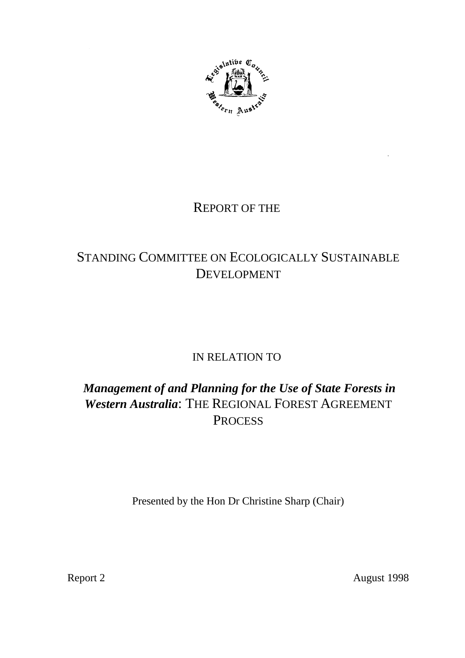

# REPORT OF THE

# STANDING COMMITTEE ON ECOLOGICALLY SUSTAINABLE DEVELOPMENT

# IN RELATION TO

# *Management of and Planning for the Use of State Forests in Western Australia*: THE REGIONAL FOREST AGREEMENT **PROCESS**

Presented by the Hon Dr Christine Sharp (Chair)

Report 2 August 1998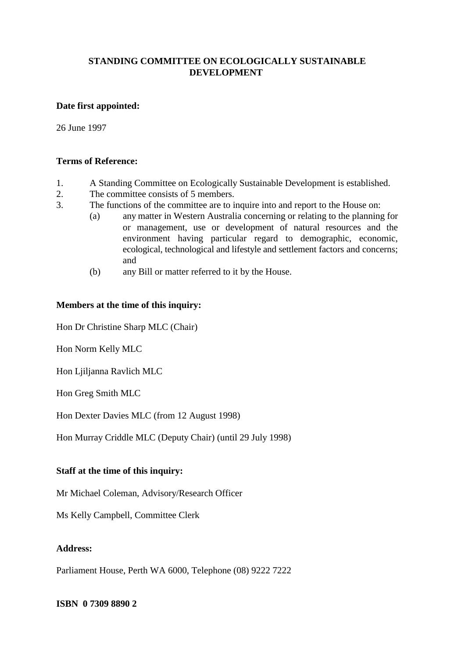## **STANDING COMMITTEE ON ECOLOGICALLY SUSTAINABLE DEVELOPMENT**

### **Date first appointed:**

26 June 1997

## **Terms of Reference:**

- 1. A Standing Committee on Ecologically Sustainable Development is established.
- 2. The committee consists of 5 members.
- 3. The functions of the committee are to inquire into and report to the House on:
	- (a) any matter in Western Australia concerning or relating to the planning for or management, use or development of natural resources and the environment having particular regard to demographic, economic, ecological, technological and lifestyle and settlement factors and concerns; and
	- (b) any Bill or matter referred to it by the House.

## **Members at the time of this inquiry:**

Hon Dr Christine Sharp MLC (Chair)

Hon Norm Kelly MLC

Hon Ljiljanna Ravlich MLC

Hon Greg Smith MLC

Hon Dexter Davies MLC (from 12 August 1998)

Hon Murray Criddle MLC (Deputy Chair) (until 29 July 1998)

### **Staff at the time of this inquiry:**

Mr Michael Coleman, Advisory/Research Officer

Ms Kelly Campbell, Committee Clerk

## **Address:**

Parliament House, Perth WA 6000, Telephone (08) 9222 7222

**ISBN 0 7309 8890 2**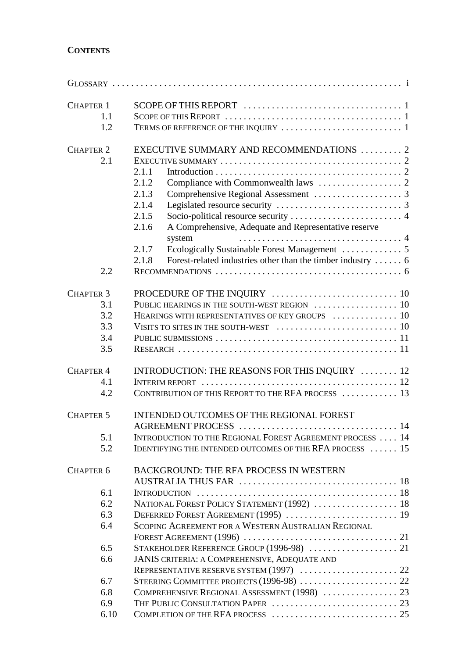# **CONTENTS**

| <b>CHAPTER 1</b>     |                                                                                                  |  |
|----------------------|--------------------------------------------------------------------------------------------------|--|
| 1.1                  |                                                                                                  |  |
| 1.2                  |                                                                                                  |  |
| <b>CHAPTER 2</b>     | EXECUTIVE SUMMARY AND RECOMMENDATIONS 2                                                          |  |
| 2.1                  |                                                                                                  |  |
|                      | 2.1.1                                                                                            |  |
|                      | 2.1.2                                                                                            |  |
|                      | 2.1.3                                                                                            |  |
|                      | 2.1.4                                                                                            |  |
|                      |                                                                                                  |  |
|                      | 2.1.5                                                                                            |  |
|                      | A Comprehensive, Adequate and Representative reserve<br>2.1.6<br>system                          |  |
|                      | 2.1.7                                                                                            |  |
|                      | 2.1.8                                                                                            |  |
| 2.2                  |                                                                                                  |  |
|                      |                                                                                                  |  |
| <b>CHAPTER 3</b>     |                                                                                                  |  |
| 3.1                  |                                                                                                  |  |
| 3.2                  | HEARINGS WITH REPRESENTATIVES OF KEY GROUPS  10                                                  |  |
| 3.3                  |                                                                                                  |  |
| 3.4                  |                                                                                                  |  |
| 3.5                  |                                                                                                  |  |
| <b>CHAPTER 4</b>     | INTRODUCTION: THE REASONS FOR THIS INQUIRY  12                                                   |  |
| 4.1                  |                                                                                                  |  |
| 4.2                  | CONTRIBUTION OF THIS REPORT TO THE RFA PROCESS  13                                               |  |
| <b>CHAPTER 5</b>     | INTENDED OUTCOMES OF THE REGIONAL FOREST                                                         |  |
|                      |                                                                                                  |  |
| 5.1                  | INTRODUCTION TO THE REGIONAL FOREST AGREEMENT PROCESS  14                                        |  |
| 5.2                  | IDENTIFYING THE INTENDED OUTCOMES OF THE RFA PROCESS  15                                         |  |
| CHAPTER <sub>6</sub> | <b>BACKGROUND: THE RFA PROCESS IN WESTERN</b>                                                    |  |
|                      |                                                                                                  |  |
| 6.1                  |                                                                                                  |  |
| 6.2                  | NATIONAL FOREST POLICY STATEMENT (1992)  18                                                      |  |
| 6.3                  | DEFERRED FOREST AGREEMENT (1995)  19                                                             |  |
| 6.4                  | SCOPING AGREEMENT FOR A WESTERN AUSTRALIAN REGIONAL                                              |  |
|                      |                                                                                                  |  |
| 6.5                  |                                                                                                  |  |
|                      |                                                                                                  |  |
| 6.6                  | <b>JANIS CRITERIA: A COMPREHENSIVE, ADEQUATE AND</b><br>REPRESENTATIVE RESERVE SYSTEM (1997)  22 |  |
| 6.7                  |                                                                                                  |  |
| 6.8                  | COMPREHENSIVE REGIONAL ASSESSMENT (1998)  23                                                     |  |
| 6.9                  |                                                                                                  |  |
| 6.10                 |                                                                                                  |  |
|                      |                                                                                                  |  |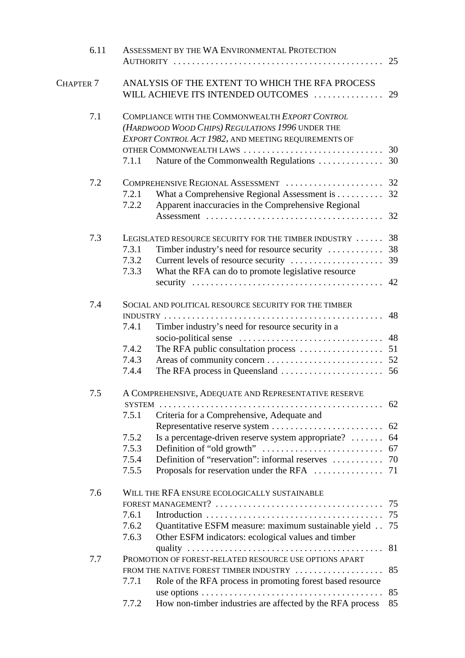| 6.11                 | ASSESSMENT BY THE WA ENVIRONMENTAL PROTECTION              |                                                                                       |    |  |  |
|----------------------|------------------------------------------------------------|---------------------------------------------------------------------------------------|----|--|--|
|                      |                                                            |                                                                                       | 25 |  |  |
| CHAPTER <sub>7</sub> |                                                            | ANALYSIS OF THE EXTENT TO WHICH THE RFA PROCESS<br>WILL ACHIEVE ITS INTENDED OUTCOMES | 29 |  |  |
| 7.1                  |                                                            | COMPLIANCE WITH THE COMMONWEALTH EXPORT CONTROL                                       |    |  |  |
|                      |                                                            | (HARDWOOD WOOD CHIPS) REGULATIONS 1996 UNDER THE                                      |    |  |  |
|                      |                                                            | EXPORT CONTROL ACT 1982, AND MEETING REQUIREMENTS OF                                  |    |  |  |
|                      |                                                            | OTHER COMMONWEALTH LAWS                                                               | 30 |  |  |
|                      | 7.1.1                                                      | Nature of the Commonwealth Regulations                                                | 30 |  |  |
| 7.2                  |                                                            |                                                                                       |    |  |  |
|                      | 7.2.1                                                      | What a Comprehensive Regional Assessment is                                           | 32 |  |  |
|                      | 7.2.2                                                      | Apparent inaccuracies in the Comprehensive Regional                                   | 32 |  |  |
| 7.3                  | 38<br>LEGISLATED RESOURCE SECURITY FOR THE TIMBER INDUSTRY |                                                                                       |    |  |  |
|                      | 7.3.1                                                      |                                                                                       |    |  |  |
|                      | 7.3.2                                                      | Current levels of resource security                                                   | 39 |  |  |
|                      | 7.3.3                                                      | What the RFA can do to promote legislative resource                                   |    |  |  |
|                      |                                                            |                                                                                       | 42 |  |  |
| 7.4                  |                                                            | SOCIAL AND POLITICAL RESOURCE SECURITY FOR THE TIMBER                                 |    |  |  |
|                      | 48                                                         |                                                                                       |    |  |  |
|                      | 7.4.1                                                      | Timber industry's need for resource security in a                                     |    |  |  |
|                      |                                                            |                                                                                       | 48 |  |  |
|                      | 7.4.2                                                      |                                                                                       |    |  |  |
|                      | 7.4.3                                                      |                                                                                       |    |  |  |
|                      | 7.4.4                                                      |                                                                                       |    |  |  |
| 7.5                  | A COMPREHENSIVE, ADEQUATE AND REPRESENTATIVE RESERVE       |                                                                                       |    |  |  |
|                      |                                                            |                                                                                       |    |  |  |
|                      | 7.5.1                                                      | Criteria for a Comprehensive, Adequate and                                            |    |  |  |
|                      |                                                            | Representative reserve system                                                         | 62 |  |  |
|                      | 7.5.2                                                      | Is a percentage-driven reserve system appropriate?  64                                |    |  |  |
|                      | 7.5.3                                                      |                                                                                       | 67 |  |  |
|                      | 7.5.4                                                      |                                                                                       |    |  |  |
|                      | 7.5.5                                                      |                                                                                       |    |  |  |
| 7.6                  | WILL THE RFA ENSURE ECOLOGICALLY SUSTAINABLE               |                                                                                       |    |  |  |
|                      | 75                                                         |                                                                                       |    |  |  |
|                      | 7.6.1                                                      |                                                                                       | 75 |  |  |
|                      | 7.6.2                                                      | Quantitative ESFM measure: maximum sustainable yield                                  | 75 |  |  |
|                      | 7.6.3                                                      | Other ESFM indicators: ecological values and timber                                   |    |  |  |
|                      |                                                            |                                                                                       | 81 |  |  |
| 7.7                  | PROMOTION OF FOREST-RELATED RESOURCE USE OPTIONS APART     |                                                                                       |    |  |  |
|                      |                                                            | FROM THE NATIVE FOREST TIMBER INDUSTRY                                                | 85 |  |  |
|                      | 7.7.1                                                      | Role of the RFA process in promoting forest based resource                            |    |  |  |
|                      |                                                            |                                                                                       | 85 |  |  |
|                      | 7.7.2                                                      | How non-timber industries are affected by the RFA process                             | 85 |  |  |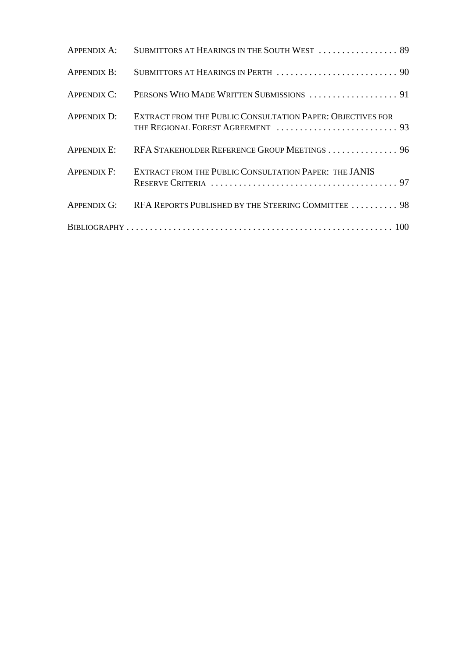|                    | APPENDIX A: SUBMITTORS AT HEARINGS IN THE SOUTH WEST  89        |  |
|--------------------|-----------------------------------------------------------------|--|
|                    |                                                                 |  |
|                    |                                                                 |  |
| APPENDIX D:        | EXTRACT FROM THE PUBLIC CONSULTATION PAPER: OBJECTIVES FOR      |  |
|                    | APPENDIX E: RFA STAKEHOLDER REFERENCE GROUP MEETINGS  96        |  |
| <b>APPENDIX F:</b> | EXTRACT FROM THE PUBLIC CONSULTATION PAPER: THE JANIS           |  |
|                    | APPENDIX G: RFA REPORTS PUBLISHED BY THE STEERING COMMITTEE  98 |  |
|                    |                                                                 |  |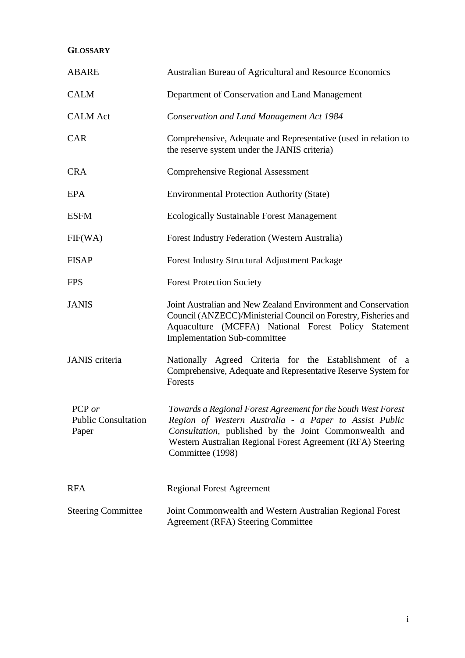# **GLOSSARY**

| <b>ABARE</b>                                  | Australian Bureau of Agricultural and Resource Economics                                                                                                                                                                                                            |
|-----------------------------------------------|---------------------------------------------------------------------------------------------------------------------------------------------------------------------------------------------------------------------------------------------------------------------|
| <b>CALM</b>                                   | Department of Conservation and Land Management                                                                                                                                                                                                                      |
| <b>CALM</b> Act                               | <b>Conservation and Land Management Act 1984</b>                                                                                                                                                                                                                    |
| <b>CAR</b>                                    | Comprehensive, Adequate and Representative (used in relation to<br>the reserve system under the JANIS criteria)                                                                                                                                                     |
| <b>CRA</b>                                    | <b>Comprehensive Regional Assessment</b>                                                                                                                                                                                                                            |
| EPA                                           | <b>Environmental Protection Authority (State)</b>                                                                                                                                                                                                                   |
| <b>ESFM</b>                                   | <b>Ecologically Sustainable Forest Management</b>                                                                                                                                                                                                                   |
| FIF(WA)                                       | Forest Industry Federation (Western Australia)                                                                                                                                                                                                                      |
| <b>FISAP</b>                                  | <b>Forest Industry Structural Adjustment Package</b>                                                                                                                                                                                                                |
| <b>FPS</b>                                    | <b>Forest Protection Society</b>                                                                                                                                                                                                                                    |
| <b>JANIS</b>                                  | Joint Australian and New Zealand Environment and Conservation<br>Council (ANZECC)/Ministerial Council on Forestry, Fisheries and<br>Aquaculture (MCFFA) National Forest Policy Statement<br><b>Implementation Sub-committee</b>                                     |
| JANIS criteria                                | Nationally Agreed Criteria for the Establishment of a<br>Comprehensive, Adequate and Representative Reserve System for<br>Forests                                                                                                                                   |
| PCP or<br><b>Public Consultation</b><br>Paper | Towards a Regional Forest Agreement for the South West Forest<br>Region of Western Australia - a Paper to Assist Public<br>Consultation, published by the Joint Commonwealth and<br>Western Australian Regional Forest Agreement (RFA) Steering<br>Committee (1998) |
| <b>RFA</b>                                    | <b>Regional Forest Agreement</b>                                                                                                                                                                                                                                    |
| <b>Steering Committee</b>                     | Joint Commonwealth and Western Australian Regional Forest<br><b>Agreement (RFA) Steering Committee</b>                                                                                                                                                              |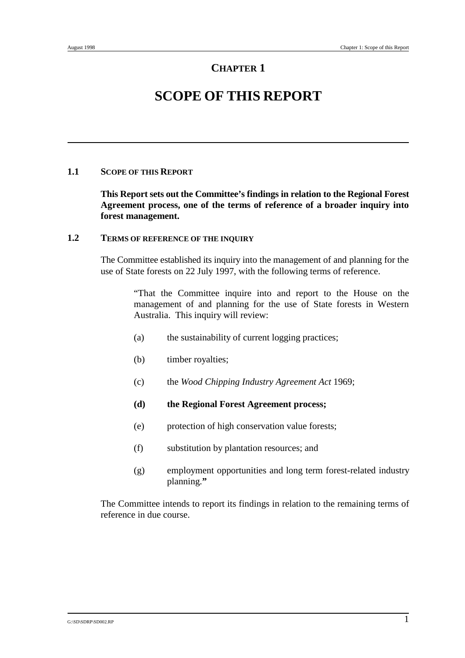# **SCOPE OF THIS REPORT**

## **1.1 SCOPE OF THIS REPORT**

**This Report sets out the Committee's findings in relation to the Regional Forest Agreement process, one of the terms of reference of a broader inquiry into forest management.**

## **1.2 TERMS OF REFERENCE OF THE INQUIRY**

The Committee established its inquiry into the management of and planning for the use of State forests on 22 July 1997, with the following terms of reference.

> "That the Committee inquire into and report to the House on the management of and planning for the use of State forests in Western Australia. This inquiry will review:

- (a) the sustainability of current logging practices;
- (b) timber royalties;
- (c) the *Wood Chipping Industry Agreement Act* 1969;
- **(d) the Regional Forest Agreement process;**
- (e) protection of high conservation value forests;
- (f) substitution by plantation resources; and
- (g) employment opportunities and long term forest-related industry planning.**"**

The Committee intends to report its findings in relation to the remaining terms of reference in due course.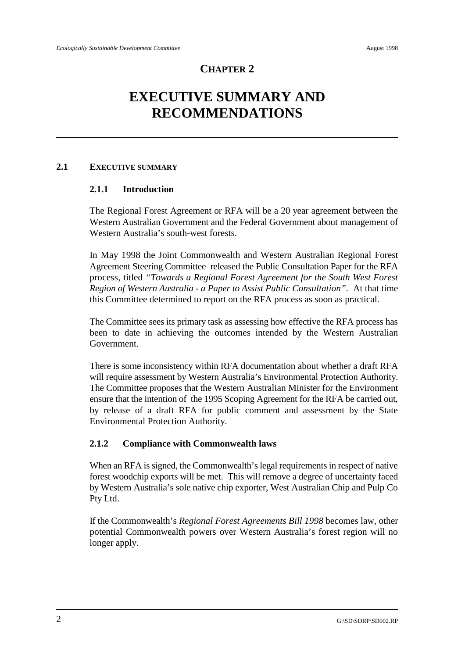# **EXECUTIVE SUMMARY AND RECOMMENDATIONS**

# **2.1 EXECUTIVE SUMMARY**

# **2.1.1 Introduction**

The Regional Forest Agreement or RFA will be a 20 year agreement between the Western Australian Government and the Federal Government about management of Western Australia's south-west forests.

In May 1998 the Joint Commonwealth and Western Australian Regional Forest Agreement Steering Committee released the Public Consultation Paper for the RFA process, titled *"Towards a Regional Forest Agreement for the South West Forest Region of Western Australia - a Paper to Assist Public Consultation".* At that time this Committee determined to report on the RFA process as soon as practical.

The Committee sees its primary task as assessing how effective the RFA process has been to date in achieving the outcomes intended by the Western Australian Government.

There is some inconsistency within RFA documentation about whether a draft RFA will require assessment by Western Australia's Environmental Protection Authority. The Committee proposes that the Western Australian Minister for the Environment ensure that the intention of the 1995 Scoping Agreement for the RFA be carried out, by release of a draft RFA for public comment and assessment by the State Environmental Protection Authority.

# **2.1.2 Compliance with Commonwealth laws**

When an RFA is signed, the Commonwealth's legal requirements in respect of native forest woodchip exports will be met. This will remove a degree of uncertainty faced by Western Australia's sole native chip exporter, West Australian Chip and Pulp Co Pty Ltd.

If the Commonwealth's *Regional Forest Agreements Bill 1998* becomes law, other potential Commonwealth powers over Western Australia's forest region will no longer apply.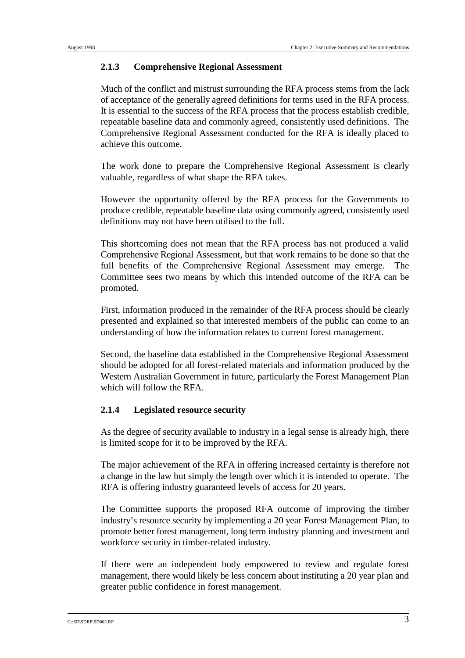## **2.1.3 Comprehensive Regional Assessment**

Much of the conflict and mistrust surrounding the RFA process stems from the lack of acceptance of the generally agreed definitions for terms used in the RFA process. It is essential to the success of the RFA process that the process establish credible, repeatable baseline data and commonly agreed, consistently used definitions. The Comprehensive Regional Assessment conducted for the RFA is ideally placed to achieve this outcome.

The work done to prepare the Comprehensive Regional Assessment is clearly valuable, regardless of what shape the RFA takes.

However the opportunity offered by the RFA process for the Governments to produce credible, repeatable baseline data using commonly agreed, consistently used definitions may not have been utilised to the full.

This shortcoming does not mean that the RFA process has not produced a valid Comprehensive Regional Assessment, but that work remains to be done so that the full benefits of the Comprehensive Regional Assessment may emerge. The Committee sees two means by which this intended outcome of the RFA can be promoted.

First, information produced in the remainder of the RFA process should be clearly presented and explained so that interested members of the public can come to an understanding of how the information relates to current forest management.

Second, the baseline data established in the Comprehensive Regional Assessment should be adopted for all forest-related materials and information produced by the Western Australian Government in future, particularly the Forest Management Plan which will follow the RFA.

# **2.1.4 Legislated resource security**

As the degree of security available to industry in a legal sense is already high, there is limited scope for it to be improved by the RFA.

The major achievement of the RFA in offering increased certainty is therefore not a change in the law but simply the length over which it is intended to operate. The RFA is offering industry guaranteed levels of access for 20 years.

The Committee supports the proposed RFA outcome of improving the timber industry's resource security by implementing a 20 year Forest Management Plan, to promote better forest management, long term industry planning and investment and workforce security in timber-related industry.

If there were an independent body empowered to review and regulate forest management, there would likely be less concern about instituting a 20 year plan and greater public confidence in forest management.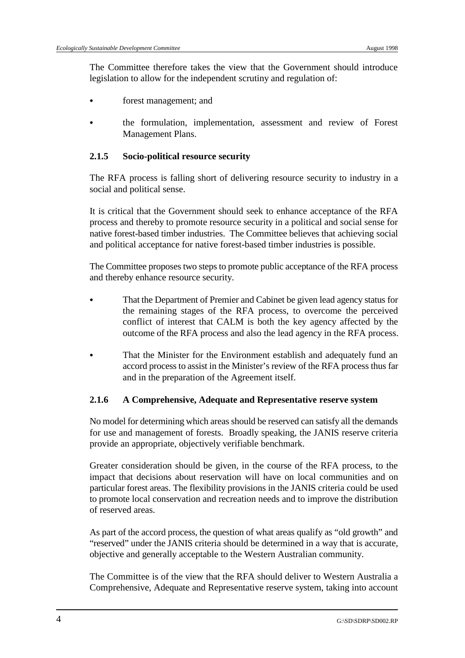The Committee therefore takes the view that the Government should introduce legislation to allow for the independent scrutiny and regulation of:

- forest management; and
- & the formulation, implementation, assessment and review of Forest Management Plans.

#### **2.1.5 Socio-political resource security**

The RFA process is falling short of delivering resource security to industry in a social and political sense.

It is critical that the Government should seek to enhance acceptance of the RFA process and thereby to promote resource security in a political and social sense for native forest-based timber industries. The Committee believes that achieving social and political acceptance for native forest-based timber industries is possible.

The Committee proposes two steps to promote public acceptance of the RFA process and thereby enhance resource security.

- That the Department of Premier and Cabinet be given lead agency status for the remaining stages of the RFA process, to overcome the perceived conflict of interest that CALM is both the key agency affected by the outcome of the RFA process and also the lead agency in the RFA process.
- That the Minister for the Environment establish and adequately fund an accord process to assist in the Minister's review of the RFA process thus far and in the preparation of the Agreement itself.

#### **2.1.6 A Comprehensive, Adequate and Representative reserve system**

No model for determining which areas should be reserved can satisfy all the demands for use and management of forests. Broadly speaking, the JANIS reserve criteria provide an appropriate, objectively verifiable benchmark.

Greater consideration should be given, in the course of the RFA process, to the impact that decisions about reservation will have on local communities and on particular forest areas. The flexibility provisions in the JANIS criteria could be used to promote local conservation and recreation needs and to improve the distribution of reserved areas.

As part of the accord process, the question of what areas qualify as "old growth" and "reserved" under the JANIS criteria should be determined in a way that is accurate, objective and generally acceptable to the Western Australian community.

The Committee is of the view that the RFA should deliver to Western Australia a Comprehensive, Adequate and Representative reserve system, taking into account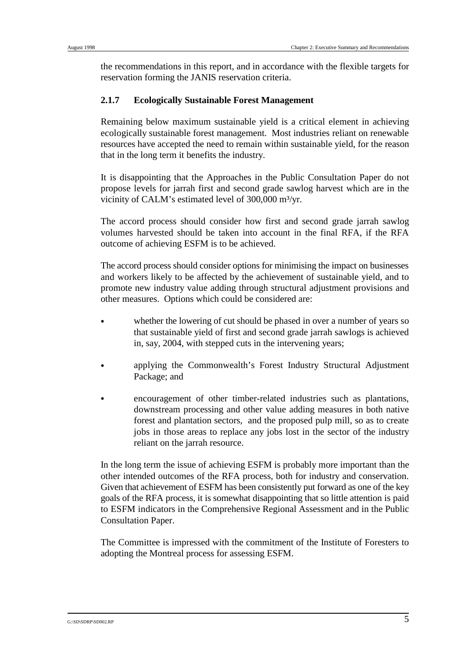the recommendations in this report, and in accordance with the flexible targets for reservation forming the JANIS reservation criteria.

### **2.1.7 Ecologically Sustainable Forest Management**

Remaining below maximum sustainable yield is a critical element in achieving ecologically sustainable forest management. Most industries reliant on renewable resources have accepted the need to remain within sustainable yield, for the reason that in the long term it benefits the industry.

It is disappointing that the Approaches in the Public Consultation Paper do not propose levels for jarrah first and second grade sawlog harvest which are in the vicinity of CALM's estimated level of 300,000 m³/yr.

The accord process should consider how first and second grade jarrah sawlog volumes harvested should be taken into account in the final RFA, if the RFA outcome of achieving ESFM is to be achieved.

The accord process should consider options for minimising the impact on businesses and workers likely to be affected by the achievement of sustainable yield, and to promote new industry value adding through structural adjustment provisions and other measures. Options which could be considered are:

- whether the lowering of cut should be phased in over a number of years so that sustainable yield of first and second grade jarrah sawlogs is achieved in, say, 2004, with stepped cuts in the intervening years;
- & applying the Commonwealth's Forest Industry Structural Adjustment Package; and
- & encouragement of other timber-related industries such as plantations, downstream processing and other value adding measures in both native forest and plantation sectors, and the proposed pulp mill, so as to create jobs in those areas to replace any jobs lost in the sector of the industry reliant on the jarrah resource.

In the long term the issue of achieving ESFM is probably more important than the other intended outcomes of the RFA process, both for industry and conservation. Given that achievement of ESFM has been consistently put forward as one of the key goals of the RFA process, it is somewhat disappointing that so little attention is paid to ESFM indicators in the Comprehensive Regional Assessment and in the Public Consultation Paper.

The Committee is impressed with the commitment of the Institute of Foresters to adopting the Montreal process for assessing ESFM.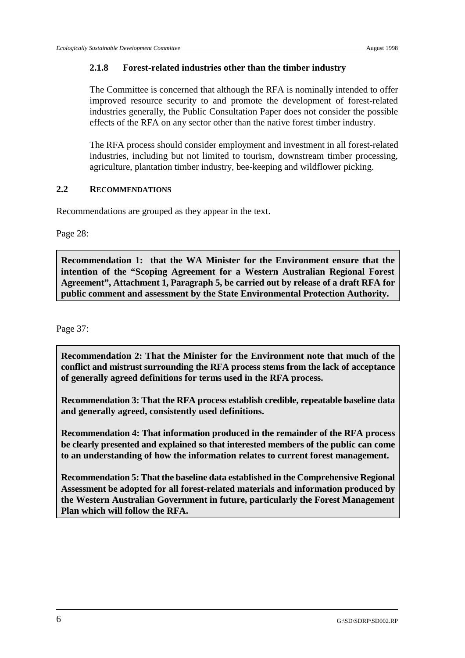## **2.1.8 Forest-related industries other than the timber industry**

The Committee is concerned that although the RFA is nominally intended to offer improved resource security to and promote the development of forest-related industries generally, the Public Consultation Paper does not consider the possible effects of the RFA on any sector other than the native forest timber industry.

The RFA process should consider employment and investment in all forest-related industries, including but not limited to tourism, downstream timber processing, agriculture, plantation timber industry, bee-keeping and wildflower picking.

## **2.2 RECOMMENDATIONS**

Recommendations are grouped as they appear in the text.

Page 28:

**Recommendation 1: that the WA Minister for the Environment ensure that the intention of the "Scoping Agreement for a Western Australian Regional Forest Agreement", Attachment 1, Paragraph 5, be carried out by release of a draft RFA for public comment and assessment by the State Environmental Protection Authority.** 

Page 37:

**Recommendation 2: That the Minister for the Environment note that much of the conflict and mistrust surrounding the RFA process stems from the lack of acceptance of generally agreed definitions for terms used in the RFA process.**

**Recommendation 3: That the RFA process establish credible, repeatable baseline data and generally agreed, consistently used definitions.** 

**Recommendation 4: That information produced in the remainder of the RFA process be clearly presented and explained so that interested members of the public can come to an understanding of how the information relates to current forest management.**

**Recommendation 5: That the baseline data established in the Comprehensive Regional Assessment be adopted for all forest-related materials and information produced by the Western Australian Government in future, particularly the Forest Management Plan which will follow the RFA.**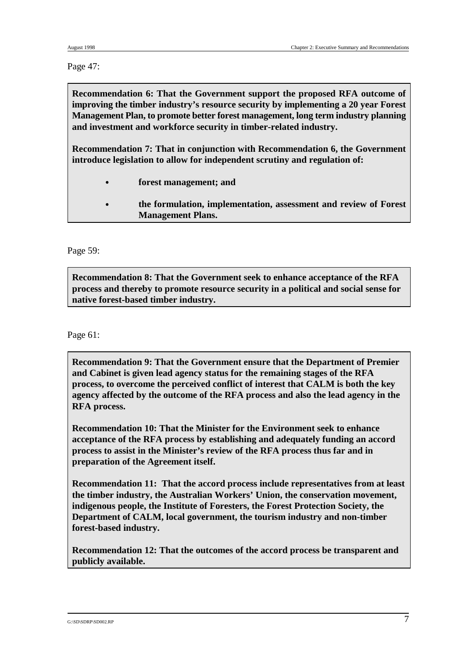Page 47:

**Recommendation 6: That the Government support the proposed RFA outcome of improving the timber industry's resource security by implementing a 20 year Forest Management Plan, to promote better forest management, long term industry planning and investment and workforce security in timber-related industry.**

**Recommendation 7: That in conjunction with Recommendation 6, the Government introduce legislation to allow for independent scrutiny and regulation of:**

- & **forest management; and**
- & **the formulation, implementation, assessment and review of Forest Management Plans.**

Page 59:

**Recommendation 8: That the Government seek to enhance acceptance of the RFA process and thereby to promote resource security in a political and social sense for native forest-based timber industry.**

Page 61:

**Recommendation 9: That the Government ensure that the Department of Premier and Cabinet is given lead agency status for the remaining stages of the RFA process, to overcome the perceived conflict of interest that CALM is both the key agency affected by the outcome of the RFA process and also the lead agency in the RFA process.**

**Recommendation 10: That the Minister for the Environment seek to enhance acceptance of the RFA process by establishing and adequately funding an accord process to assist in the Minister's review of the RFA process thus far and in preparation of the Agreement itself.** 

**Recommendation 11: That the accord process include representatives from at least the timber industry, the Australian Workers' Union, the conservation movement, indigenous people, the Institute of Foresters, the Forest Protection Society, the Department of CALM, local government, the tourism industry and non-timber forest-based industry.**

**Recommendation 12: That the outcomes of the accord process be transparent and publicly available.**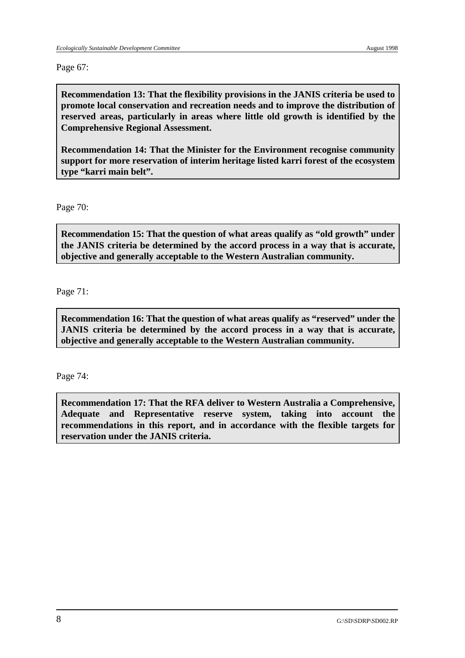Page 67:

**Recommendation 13: That the flexibility provisions in the JANIS criteria be used to promote local conservation and recreation needs and to improve the distribution of reserved areas, particularly in areas where little old growth is identified by the Comprehensive Regional Assessment.** 

**Recommendation 14: That the Minister for the Environment recognise community support for more reservation of interim heritage listed karri forest of the ecosystem type "karri main belt".**

Page 70:

**Recommendation 15: That the question of what areas qualify as "old growth" under the JANIS criteria be determined by the accord process in a way that is accurate, objective and generally acceptable to the Western Australian community.**

Page 71:

**Recommendation 16: That the question of what areas qualify as "reserved" under the JANIS criteria be determined by the accord process in a way that is accurate, objective and generally acceptable to the Western Australian community.**

Page 74:

**Recommendation 17: That the RFA deliver to Western Australia a Comprehensive, Adequate and Representative reserve system, taking into account the recommendations in this report, and in accordance with the flexible targets for reservation under the JANIS criteria.**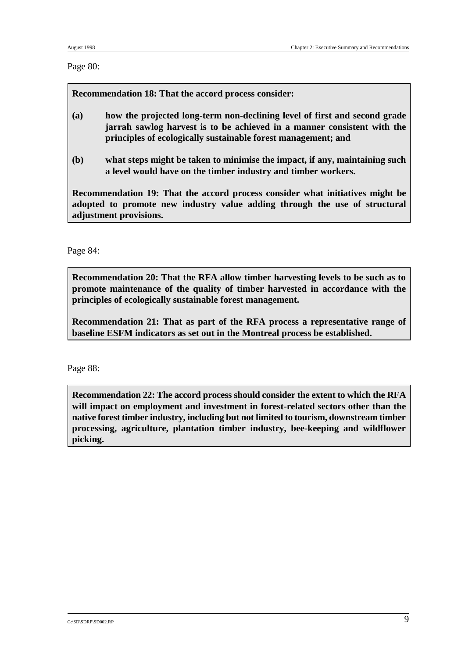Page 80:

**Recommendation 18: That the accord process consider:**

- **(a) how the projected long-term non-declining level of first and second grade jarrah sawlog harvest is to be achieved in a manner consistent with the principles of ecologically sustainable forest management; and**
- **(b) what steps might be taken to minimise the impact, if any, maintaining such a level would have on the timber industry and timber workers.**

**Recommendation 19: That the accord process consider what initiatives might be adopted to promote new industry value adding through the use of structural adjustment provisions.**

Page 84:

**Recommendation 20: That the RFA allow timber harvesting levels to be such as to promote maintenance of the quality of timber harvested in accordance with the principles of ecologically sustainable forest management.**

**Recommendation 21: That as part of the RFA process a representative range of baseline ESFM indicators as set out in the Montreal process be established.** 

Page 88:

**Recommendation 22: The accord process should consider the extent to which the RFA will impact on employment and investment in forest-related sectors other than the native forest timber industry, including but not limited to tourism, downstream timber processing, agriculture, plantation timber industry, bee-keeping and wildflower picking.**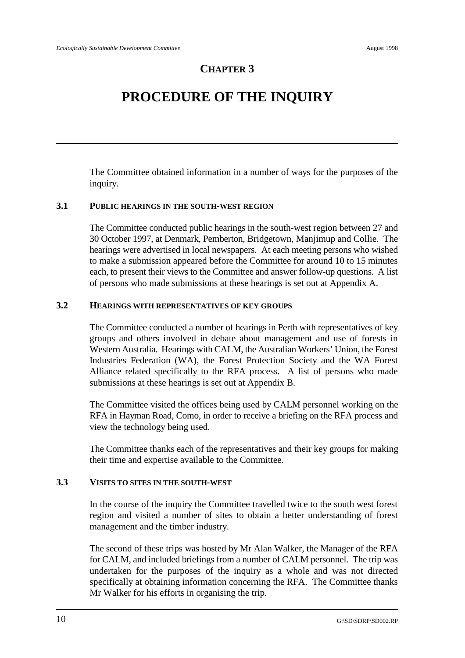# **PROCEDURE OF THE INQUIRY**

The Committee obtained information in a number of ways for the purposes of the inquiry.

# **3.1 PUBLIC HEARINGS IN THE SOUTH-WEST REGION**

The Committee conducted public hearings in the south-west region between 27 and 30 October 1997, at Denmark, Pemberton, Bridgetown, Manjimup and Collie. The hearings were advertised in local newspapers. At each meeting persons who wished to make a submission appeared before the Committee for around 10 to 15 minutes each, to present their views to the Committee and answer follow-up questions. A list of persons who made submissions at these hearings is set out at Appendix A.

# **3.2 HEARINGS WITH REPRESENTATIVES OF KEY GROUPS**

The Committee conducted a number of hearings in Perth with representatives of key groups and others involved in debate about management and use of forests in Western Australia. Hearings with CALM, the Australian Workers' Union, the Forest Industries Federation (WA), the Forest Protection Society and the WA Forest Alliance related specifically to the RFA process. A list of persons who made submissions at these hearings is set out at Appendix B.

The Committee visited the offices being used by CALM personnel working on the RFA in Hayman Road, Como, in order to receive a briefing on the RFA process and view the technology being used.

The Committee thanks each of the representatives and their key groups for making their time and expertise available to the Committee.

### **3.3 VISITS TO SITES IN THE SOUTH-WEST**

In the course of the inquiry the Committee travelled twice to the south west forest region and visited a number of sites to obtain a better understanding of forest management and the timber industry.

The second of these trips was hosted by Mr Alan Walker, the Manager of the RFA for CALM, and included briefings from a number of CALM personnel. The trip was undertaken for the purposes of the inquiry as a whole and was not directed specifically at obtaining information concerning the RFA. The Committee thanks Mr Walker for his efforts in organising the trip.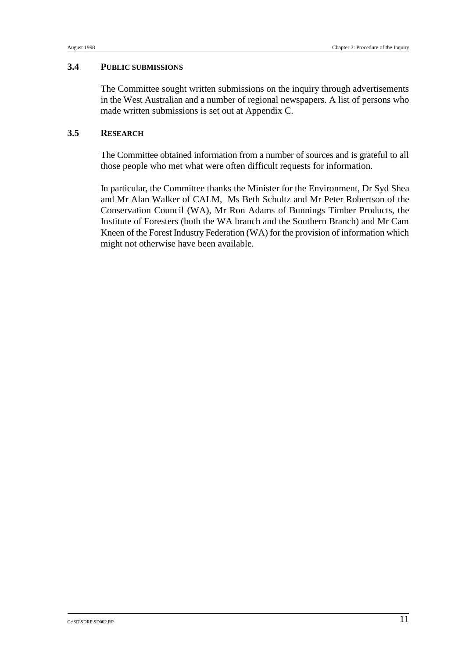#### **3.4 PUBLIC SUBMISSIONS**

The Committee sought written submissions on the inquiry through advertisements in the West Australian and a number of regional newspapers. A list of persons who made written submissions is set out at Appendix C.

## **3.5 RESEARCH**

The Committee obtained information from a number of sources and is grateful to all those people who met what were often difficult requests for information.

In particular, the Committee thanks the Minister for the Environment, Dr Syd Shea and Mr Alan Walker of CALM, Ms Beth Schultz and Mr Peter Robertson of the Conservation Council (WA), Mr Ron Adams of Bunnings Timber Products, the Institute of Foresters (both the WA branch and the Southern Branch) and Mr Cam Kneen of the Forest Industry Federation (WA) for the provision of information which might not otherwise have been available.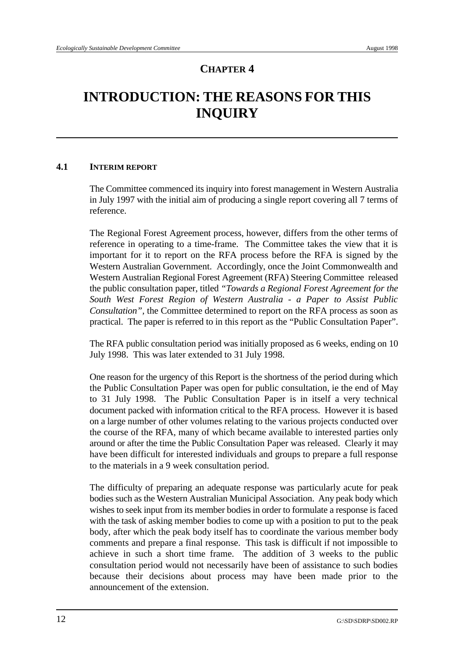# **INTRODUCTION: THE REASONS FOR THIS INQUIRY**

## **4.1 INTERIM REPORT**

The Committee commenced its inquiry into forest management in Western Australia in July 1997 with the initial aim of producing a single report covering all 7 terms of reference.

The Regional Forest Agreement process, however, differs from the other terms of reference in operating to a time-frame. The Committee takes the view that it is important for it to report on the RFA process before the RFA is signed by the Western Australian Government. Accordingly, once the Joint Commonwealth and Western Australian Regional Forest Agreement (RFA) Steering Committee released the public consultation paper, titled *"Towards a Regional Forest Agreement for the South West Forest Region of Western Australia - a Paper to Assist Public Consultation",* the Committee determined to report on the RFA process as soon as practical. The paper is referred to in this report as the "Public Consultation Paper".

The RFA public consultation period was initially proposed as 6 weeks, ending on 10 July 1998. This was later extended to 31 July 1998.

One reason for the urgency of this Report is the shortness of the period during which the Public Consultation Paper was open for public consultation, ie the end of May to 31 July 1998. The Public Consultation Paper is in itself a very technical document packed with information critical to the RFA process. However it is based on a large number of other volumes relating to the various projects conducted over the course of the RFA, many of which became available to interested parties only around or after the time the Public Consultation Paper was released. Clearly it may have been difficult for interested individuals and groups to prepare a full response to the materials in a 9 week consultation period.

The difficulty of preparing an adequate response was particularly acute for peak bodies such as the Western Australian Municipal Association. Any peak body which wishes to seek input from its member bodies in order to formulate a response is faced with the task of asking member bodies to come up with a position to put to the peak body, after which the peak body itself has to coordinate the various member body comments and prepare a final response. This task is difficult if not impossible to achieve in such a short time frame. The addition of 3 weeks to the public consultation period would not necessarily have been of assistance to such bodies because their decisions about process may have been made prior to the announcement of the extension.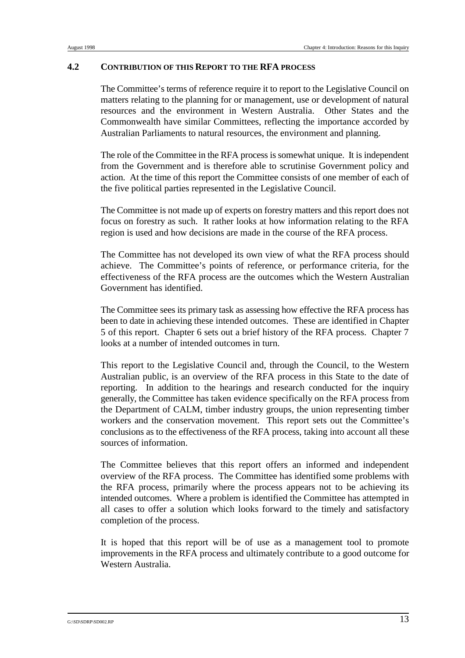### **4.2 CONTRIBUTION OF THIS REPORT TO THE RFA PROCESS**

The Committee's terms of reference require it to report to the Legislative Council on matters relating to the planning for or management, use or development of natural resources and the environment in Western Australia. Other States and the Commonwealth have similar Committees, reflecting the importance accorded by Australian Parliaments to natural resources, the environment and planning.

The role of the Committee in the RFA process is somewhat unique. It is independent from the Government and is therefore able to scrutinise Government policy and action. At the time of this report the Committee consists of one member of each of the five political parties represented in the Legislative Council.

The Committee is not made up of experts on forestry matters and this report does not focus on forestry as such. It rather looks at how information relating to the RFA region is used and how decisions are made in the course of the RFA process.

The Committee has not developed its own view of what the RFA process should achieve. The Committee's points of reference, or performance criteria, for the effectiveness of the RFA process are the outcomes which the Western Australian Government has identified.

The Committee sees its primary task as assessing how effective the RFA process has been to date in achieving these intended outcomes. These are identified in Chapter 5 of this report. Chapter 6 sets out a brief history of the RFA process. Chapter 7 looks at a number of intended outcomes in turn.

This report to the Legislative Council and, through the Council, to the Western Australian public, is an overview of the RFA process in this State to the date of reporting. In addition to the hearings and research conducted for the inquiry generally, the Committee has taken evidence specifically on the RFA process from the Department of CALM, timber industry groups, the union representing timber workers and the conservation movement. This report sets out the Committee's conclusions as to the effectiveness of the RFA process, taking into account all these sources of information.

The Committee believes that this report offers an informed and independent overview of the RFA process. The Committee has identified some problems with the RFA process, primarily where the process appears not to be achieving its intended outcomes. Where a problem is identified the Committee has attempted in all cases to offer a solution which looks forward to the timely and satisfactory completion of the process.

It is hoped that this report will be of use as a management tool to promote improvements in the RFA process and ultimately contribute to a good outcome for Western Australia.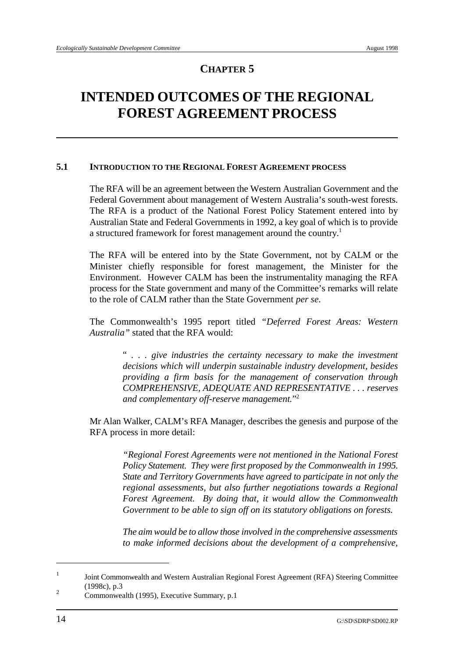# **INTENDED OUTCOMES OF THE REGIONAL FOREST AGREEMENT PROCESS**

## **5.1 INTRODUCTION TO THE REGIONAL FOREST AGREEMENT PROCESS**

The RFA will be an agreement between the Western Australian Government and the Federal Government about management of Western Australia's south-west forests. The RFA is a product of the National Forest Policy Statement entered into by Australian State and Federal Governments in 1992, a key goal of which is to provide a structured framework for forest management around the country.<sup>1</sup>

The RFA will be entered into by the State Government, not by CALM or the Minister chiefly responsible for forest management, the Minister for the Environment. However CALM has been the instrumentality managing the RFA process for the State government and many of the Committee's remarks will relate to the role of CALM rather than the State Government *per se*.

The Commonwealth's 1995 report titled *"Deferred Forest Areas: Western Australia"* stated that the RFA would:

> " *. . . give industries the certainty necessary to make the investment decisions which will underpin sustainable industry development, besides providing a firm basis for the management of conservation through COMPREHENSIVE, ADEQUATE AND REPRESENTATIVE . . . reserves and complementary off-reserve management.*"2

Mr Alan Walker, CALM's RFA Manager, describes the genesis and purpose of the RFA process in more detail:

> *"Regional Forest Agreements were not mentioned in the National Forest Policy Statement. They were first proposed by the Commonwealth in 1995. State and Territory Governments have agreed to participate in not only the regional assessments, but also further negotiations towards a Regional Forest Agreement. By doing that, it would allow the Commonwealth Government to be able to sign off on its statutory obligations on forests.*

> *The aim would be to allow those involved in the comprehensive assessments to make informed decisions about the development of a comprehensive,*

<sup>&</sup>lt;sup>1</sup> Joint Commonwealth and Western Australian Regional Forest Agreement (RFA) Steering Committee (1998c), p.3

 $\frac{2}{\text{Commonwealth}}$  (1995), Executive Summary, p.1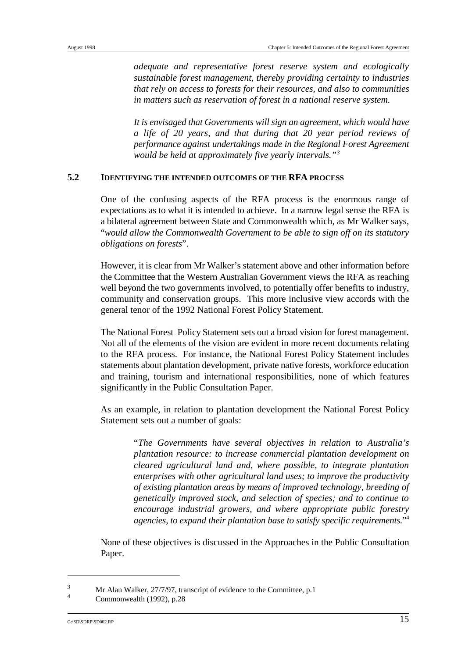*adequate and representative forest reserve system and ecologically sustainable forest management, thereby providing certainty to industries that rely on access to forests for their resources, and also to communities in matters such as reservation of forest in a national reserve system.* 

*It is envisaged that Governments will sign an agreement, which would have a life of 20 years, and that during that 20 year period reviews of performance against undertakings made in the Regional Forest Agreement would be held at approximately five yearly intervals." 3*

## **5.2 IDENTIFYING THE INTENDED OUTCOMES OF THE RFA PROCESS**

One of the confusing aspects of the RFA process is the enormous range of expectations as to what it is intended to achieve. In a narrow legal sense the RFA is a bilateral agreement between State and Commonwealth which, as Mr Walker says, "*would allow the Commonwealth Government to be able to sign off on its statutory obligations on forests*".

However, it is clear from Mr Walker's statement above and other information before the Committee that the Western Australian Government views the RFA as reaching well beyond the two governments involved, to potentially offer benefits to industry, community and conservation groups. This more inclusive view accords with the general tenor of the 1992 National Forest Policy Statement.

The National Forest Policy Statement sets out a broad vision for forest management. Not all of the elements of the vision are evident in more recent documents relating to the RFA process. For instance, the National Forest Policy Statement includes statements about plantation development, private native forests, workforce education and training, tourism and international responsibilities, none of which features significantly in the Public Consultation Paper.

As an example, in relation to plantation development the National Forest Policy Statement sets out a number of goals:

> "*The Governments have several objectives in relation to Australia's plantation resource: to increase commercial plantation development on cleared agricultural land and, where possible, to integrate plantation enterprises with other agricultural land uses; to improve the productivity of existing plantation areas by means of improved technology, breeding of genetically improved stock, and selection of species; and to continue to encourage industrial growers, and where appropriate public forestry agencies, to expand their plantation base to satisfy specific requirements.*"4

None of these objectives is discussed in the Approaches in the Public Consultation Paper.

 $\frac{3}{4}$  Mr Alan Walker, 27/7/97, transcript of evidence to the Committee, p.1

Commonwealth (1992), p.28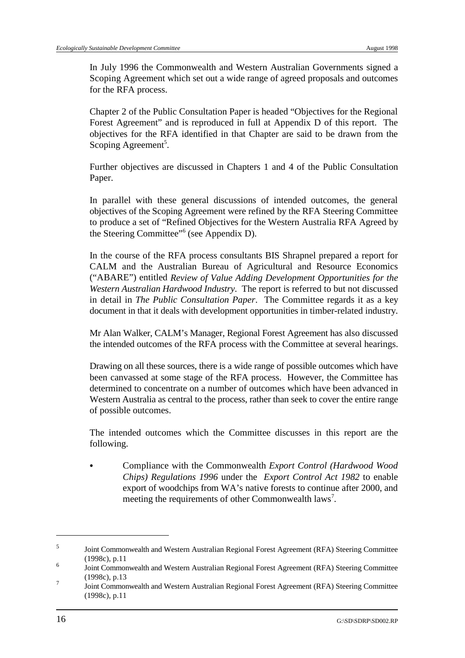In July 1996 the Commonwealth and Western Australian Governments signed a Scoping Agreement which set out a wide range of agreed proposals and outcomes for the RFA process.

Chapter 2 of the Public Consultation Paper is headed "Objectives for the Regional Forest Agreement" and is reproduced in full at Appendix D of this report. The objectives for the RFA identified in that Chapter are said to be drawn from the Scoping Agreement<sup>5</sup>.

Further objectives are discussed in Chapters 1 and 4 of the Public Consultation Paper.

In parallel with these general discussions of intended outcomes, the general objectives of the Scoping Agreement were refined by the RFA Steering Committee to produce a set of "Refined Objectives for the Western Australia RFA Agreed by the Steering Committee" $6$  (see Appendix D).

In the course of the RFA process consultants BIS Shrapnel prepared a report for CALM and the Australian Bureau of Agricultural and Resource Economics ("ABARE") entitled *Review of Value Adding Development Opportunities for the Western Australian Hardwood Industry*. The report is referred to but not discussed in detail in *The Public Consultation Paper*. The Committee regards it as a key document in that it deals with development opportunities in timber-related industry.

Mr Alan Walker, CALM's Manager, Regional Forest Agreement has also discussed the intended outcomes of the RFA process with the Committee at several hearings.

Drawing on all these sources, there is a wide range of possible outcomes which have been canvassed at some stage of the RFA process. However, the Committee has determined to concentrate on a number of outcomes which have been advanced in Western Australia as central to the process, rather than seek to cover the entire range of possible outcomes.

The intended outcomes which the Committee discusses in this report are the following.

& Compliance with the Commonwealth *Export Control (Hardwood Wood Chips) Regulations 1996* under the *Export Control Act 1982* to enable export of woodchips from WA's native forests to continue after 2000, and meeting the requirements of other Commonwealth laws<sup>7</sup>.

<sup>&</sup>lt;sup>5</sup> Joint Commonwealth and Western Australian Regional Forest Agreement (RFA) Steering Committee (1998c), p.11

Joint Commonwealth and Western Australian Regional Forest Agreement (RFA) Steering Committee <sup>6</sup> (1998c), p.13

Joint Commonwealth and Western Australian Regional Forest Agreement (RFA) Steering Committee <sup>7</sup> (1998c), p.11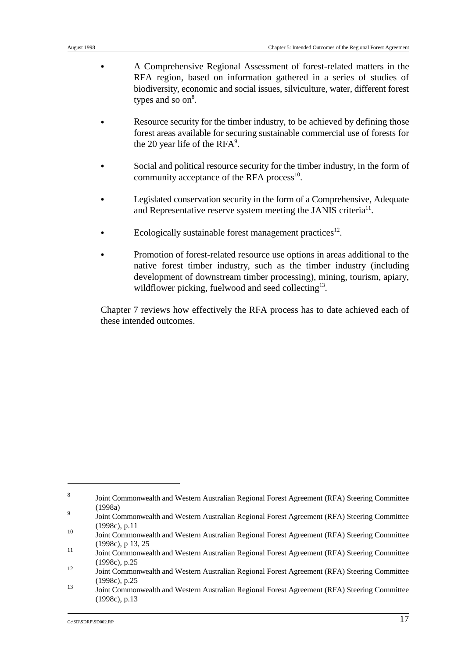- & A Comprehensive Regional Assessment of forest-related matters in the RFA region, based on information gathered in a series of studies of biodiversity, economic and social issues, silviculture, water, different forest types and so  $\text{on}^8$ .
- Resource security for the timber industry, to be achieved by defining those forest areas available for securing sustainable commercial use of forests for the 20 year life of the  $RFA^9$ .
- Social and political resource security for the timber industry, in the form of community acceptance of the RFA process<sup>10</sup>.
- Legislated conservation security in the form of a Comprehensive, Adequate and Representative reserve system meeting the JANIS criteria<sup> $11$ </sup>.
- Ecologically sustainable forest management practices<sup>12</sup>.
- Promotion of forest-related resource use options in areas additional to the native forest timber industry, such as the timber industry (including development of downstream timber processing), mining, tourism, apiary, wildflower picking, fuelwood and seed collecting $13$ .

Chapter 7 reviews how effectively the RFA process has to date achieved each of these intended outcomes.

Joint Commonwealth and Western Australian Regional Forest Agreement (RFA) Steering Committee <sup>8</sup> (1998a)

Joint Commonwealth and Western Australian Regional Forest Agreement (RFA) Steering Committee <sup>9</sup> (1998c), p.11

 $J<sup>10</sup>$  Joint Commonwealth and Western Australian Regional Forest Agreement (RFA) Steering Committee (1998c), p 13, 25

<sup>11</sup> Joint Commonwealth and Western Australian Regional Forest Agreement (RFA) Steering Committee (1998c), p.25

<sup>12</sup> Joint Commonwealth and Western Australian Regional Forest Agreement (RFA) Steering Committee (1998c), p.25

Joint Commonwealth and Western Australian Regional Forest Agreement (RFA) Steering Committee <sup>13</sup> (1998c), p.13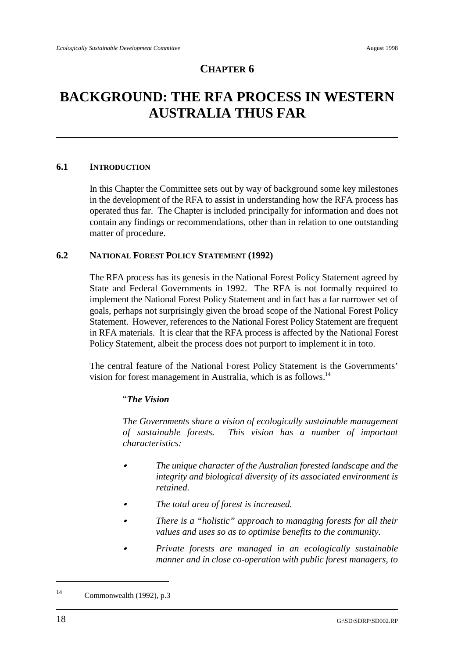# **BACKGROUND: THE RFA PROCESS IN WESTERN AUSTRALIA THUS FAR**

## **6.1 INTRODUCTION**

In this Chapter the Committee sets out by way of background some key milestones in the development of the RFA to assist in understanding how the RFA process has operated thus far. The Chapter is included principally for information and does not contain any findings or recommendations, other than in relation to one outstanding matter of procedure.

## **6.2 NATIONAL FOREST POLICY STATEMENT (1992)**

The RFA process has its genesis in the National Forest Policy Statement agreed by State and Federal Governments in 1992. The RFA is not formally required to implement the National Forest Policy Statement and in fact has a far narrower set of goals, perhaps not surprisingly given the broad scope of the National Forest Policy Statement. However, references to the National Forest Policy Statement are frequent in RFA materials. It is clear that the RFA process is affected by the National Forest Policy Statement, albeit the process does not purport to implement it in toto.

The central feature of the National Forest Policy Statement is the Governments' vision for forest management in Australia, which is as follows.14

# "*The Vision*

*The Governments share a vision of ecologically sustainable management of sustainable forests. This vision has a number of important characteristics:*

- & *The unique character of the Australian forested landscape and the integrity and biological diversity of its associated environment is retained.*
- & *The total area of forest is increased.*
- & *There is a "holistic" approach to managing forests for all their values and uses so as to optimise benefits to the community.*
- & *Private forests are managed in an ecologically sustainable manner and in close co-operation with public forest managers, to*

<sup>&</sup>lt;sup>14</sup> Commonwealth (1992), p.3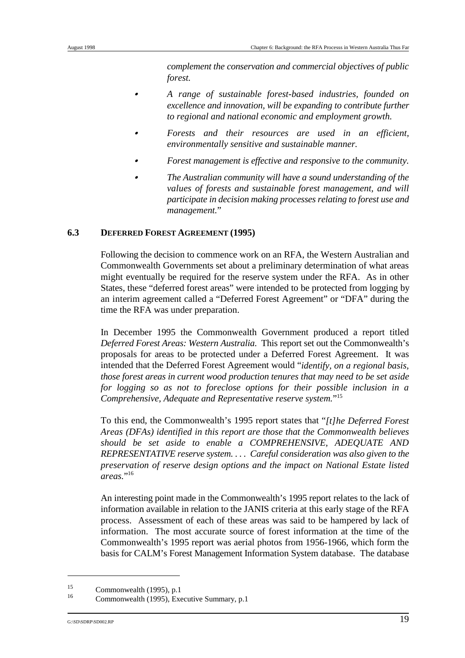*complement the conservation and commercial objectives of public forest.*

- & *A range of sustainable forest-based industries, founded on excellence and innovation, will be expanding to contribute further to regional and national economic and employment growth.*
- & *Forests and their resources are used in an efficient, environmentally sensitive and sustainable manner.*
- & *Forest management is effective and responsive to the community.*
- & *The Australian community will have a sound understanding of the values of forests and sustainable forest management, and will participate in decision making processes relating to forest use and management.*"

# **6.3 DEFERRED FOREST AGREEMENT (1995)**

Following the decision to commence work on an RFA, the Western Australian and Commonwealth Governments set about a preliminary determination of what areas might eventually be required for the reserve system under the RFA. As in other States, these "deferred forest areas" were intended to be protected from logging by an interim agreement called a "Deferred Forest Agreement" or "DFA" during the time the RFA was under preparation.

In December 1995 the Commonwealth Government produced a report titled *Deferred Forest Areas: Western Australia*. This report set out the Commonwealth's proposals for areas to be protected under a Deferred Forest Agreement. It was intended that the Deferred Forest Agreement would "*identify, on a regional basis, those forest areas in current wood production tenures that may need to be set aside for logging so as not to foreclose options for their possible inclusion in a Comprehensive, Adequate and Representative reserve system.*"15

To this end, the Commonwealth's 1995 report states that "*[t]he Deferred Forest Areas (DFAs) identified in this report are those that the Commonwealth believes should be set aside to enable a COMPREHENSIVE, ADEQUATE AND REPRESENTATIVE reserve system. . . . Careful consideration was also given to the preservation of reserve design options and the impact on National Estate listed areas.*"16

An interesting point made in the Commonwealth's 1995 report relates to the lack of information available in relation to the JANIS criteria at this early stage of the RFA process. Assessment of each of these areas was said to be hampered by lack of information. The most accurate source of forest information at the time of the Commonwealth's 1995 report was aerial photos from 1956-1966, which form the basis for CALM's Forest Management Information System database. The database

 $\frac{15}{16}$  Commonwealth (1995), p.1

Commonwealth (1995), Executive Summary, p.1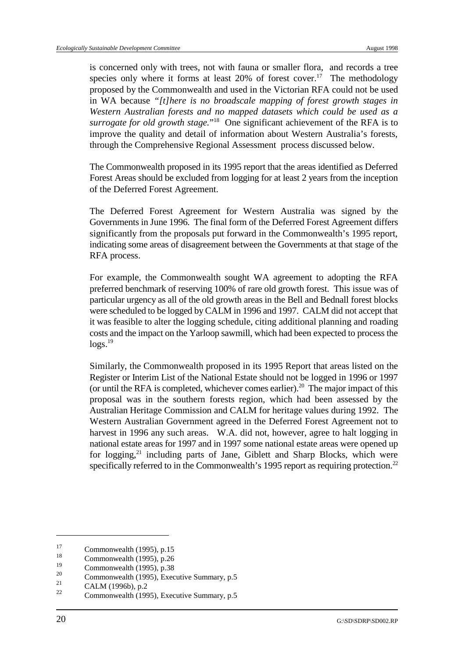is concerned only with trees, not with fauna or smaller flora, and records a tree species only where it forms at least  $20\%$  of forest cover.<sup>17</sup> The methodology proposed by the Commonwealth and used in the Victorian RFA could not be used in WA because *"[t]here is no broadscale mapping of forest growth stages in Western Australian forests and no mapped datasets which could be used as a surrogate for old growth stage.*"<sup>18</sup> One significant achievement of the RFA is to improve the quality and detail of information about Western Australia's forests, through the Comprehensive Regional Assessment process discussed below.

The Commonwealth proposed in its 1995 report that the areas identified as Deferred Forest Areas should be excluded from logging for at least 2 years from the inception of the Deferred Forest Agreement.

The Deferred Forest Agreement for Western Australia was signed by the Governments in June 1996. The final form of the Deferred Forest Agreement differs significantly from the proposals put forward in the Commonwealth's 1995 report, indicating some areas of disagreement between the Governments at that stage of the RFA process.

For example, the Commonwealth sought WA agreement to adopting the RFA preferred benchmark of reserving 100% of rare old growth forest. This issue was of particular urgency as all of the old growth areas in the Bell and Bednall forest blocks were scheduled to be logged by CALM in 1996 and 1997. CALM did not accept that it was feasible to alter the logging schedule, citing additional planning and roading costs and the impact on the Yarloop sawmill, which had been expected to process the  $\log s$ <sup>19</sup>

Similarly, the Commonwealth proposed in its 1995 Report that areas listed on the Register or Interim List of the National Estate should not be logged in 1996 or 1997 (or until the RFA is completed, whichever comes earlier).<sup>20</sup> The major impact of this proposal was in the southern forests region, which had been assessed by the Australian Heritage Commission and CALM for heritage values during 1992. The Western Australian Government agreed in the Deferred Forest Agreement not to harvest in 1996 any such areas. W.A. did not, however, agree to halt logging in national estate areas for 1997 and in 1997 some national estate areas were opened up for logging, $^{21}$  including parts of Jane, Giblett and Sharp Blocks, which were specifically referred to in the Commonwealth's 1995 report as requiring protection.<sup>22</sup>

 $\frac{17}{18}$  Commonwealth (1995), p.15

 $\frac{18}{19}$  Commonwealth (1995), p.26

<sup>&</sup>lt;sup>19</sup> Commonwealth (1995), p.38<br>20

<sup>&</sup>lt;sup>20</sup> Commonwealth (1995), Executive Summary, p.5<br>
<sup>21</sup> C<sub>1</sub>1 M (100 C) <sup>2</sup>

 $\frac{21}{22}$  CALM (1996b), p.2

Commonwealth (1995), Executive Summary, p.5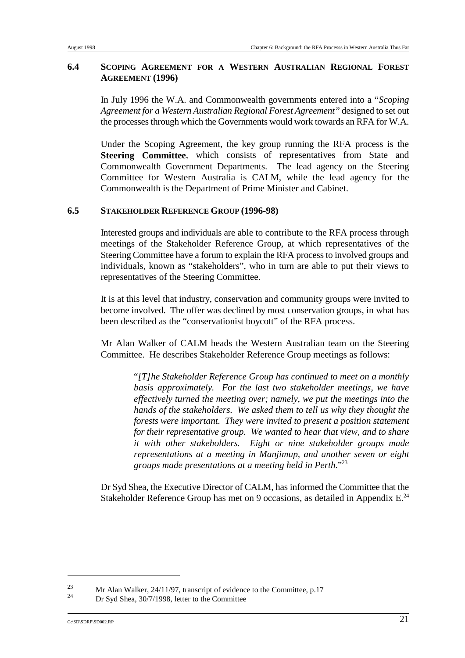## **6.4 SCOPING AGREEMENT FOR A WESTERN AUSTRALIAN REGIONAL FOREST AGREEMENT (1996)**

In July 1996 the W.A. and Commonwealth governments entered into a "*Scoping Agreement for a Western Australian Regional Forest Agreement"* designed to set out the processes through which the Governments would work towards an RFA for W.A.

Under the Scoping Agreement, the key group running the RFA process is the **Steering Committee**, which consists of representatives from State and Commonwealth Government Departments. The lead agency on the Steering Committee for Western Australia is CALM, while the lead agency for the Commonwealth is the Department of Prime Minister and Cabinet.

### **6.5 STAKEHOLDER REFERENCE GROUP (1996-98)**

Interested groups and individuals are able to contribute to the RFA process through meetings of the Stakeholder Reference Group, at which representatives of the Steering Committee have a forum to explain the RFA process to involved groups and individuals, known as "stakeholders", who in turn are able to put their views to representatives of the Steering Committee.

It is at this level that industry, conservation and community groups were invited to become involved. The offer was declined by most conservation groups, in what has been described as the "conservationist boycott" of the RFA process.

Mr Alan Walker of CALM heads the Western Australian team on the Steering Committee. He describes Stakeholder Reference Group meetings as follows:

> "*[T]he Stakeholder Reference Group has continued to meet on a monthly basis approximately. For the last two stakeholder meetings, we have effectively turned the meeting over; namely, we put the meetings into the hands of the stakeholders. We asked them to tell us why they thought the forests were important. They were invited to present a position statement for their representative group. We wanted to hear that view, and to share it with other stakeholders. Eight or nine stakeholder groups made representations at a meeting in Manjimup, and another seven or eight groups made presentations at a meeting held in Perth*."23

Dr Syd Shea, the Executive Director of CALM, has informed the Committee that the Stakeholder Reference Group has met on 9 occasions, as detailed in Appendix E.<sup>24</sup>

<sup>&</sup>lt;sup>23</sup> Mr Alan Walker, 24/11/97, transcript of evidence to the Committee, p.17

Dr Syd Shea, 30/7/1998, letter to the Committee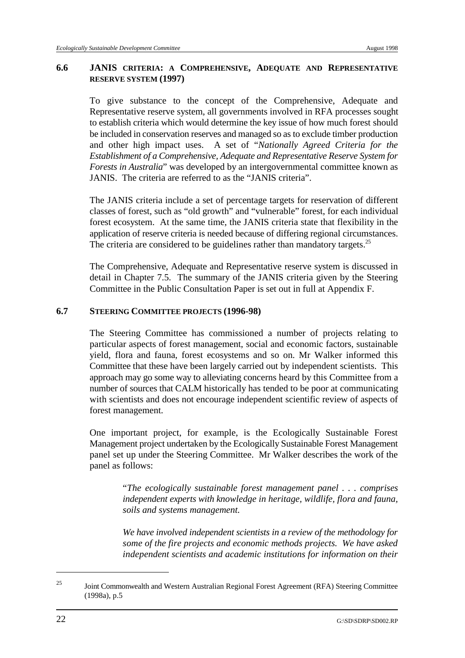### **6.6 JANIS CRITERIA: A COMPREHENSIVE, ADEQUATE AND REPRESENTATIVE RESERVE SYSTEM (1997)**

To give substance to the concept of the Comprehensive, Adequate and Representative reserve system, all governments involved in RFA processes sought to establish criteria which would determine the key issue of how much forest should be included in conservation reserves and managed so as to exclude timber production and other high impact uses. A set of "*Nationally Agreed Criteria for the Establishment of a Comprehensive, Adequate and Representative Reserve System for Forests in Australia*" was developed by an intergovernmental committee known as JANIS. The criteria are referred to as the "JANIS criteria".

The JANIS criteria include a set of percentage targets for reservation of different classes of forest, such as "old growth" and "vulnerable" forest, for each individual forest ecosystem. At the same time, the JANIS criteria state that flexibility in the application of reserve criteria is needed because of differing regional circumstances. The criteria are considered to be guidelines rather than mandatory targets.<sup>25</sup>

The Comprehensive, Adequate and Representative reserve system is discussed in detail in Chapter 7.5. The summary of the JANIS criteria given by the Steering Committee in the Public Consultation Paper is set out in full at Appendix F.

## **6.7 STEERING COMMITTEE PROJECTS (1996-98)**

The Steering Committee has commissioned a number of projects relating to particular aspects of forest management, social and economic factors, sustainable yield, flora and fauna, forest ecosystems and so on. Mr Walker informed this Committee that these have been largely carried out by independent scientists. This approach may go some way to alleviating concerns heard by this Committee from a number of sources that CALM historically has tended to be poor at communicating with scientists and does not encourage independent scientific review of aspects of forest management.

One important project, for example, is the Ecologically Sustainable Forest Management project undertaken by the Ecologically Sustainable Forest Management panel set up under the Steering Committee. Mr Walker describes the work of the panel as follows:

> "*The ecologically sustainable forest management panel . . . comprises independent experts with knowledge in heritage, wildlife, flora and fauna, soils and systems management.*

> *We have involved independent scientists in a review of the methodology for some of the fire projects and economic methods projects. We have asked independent scientists and academic institutions for information on their*

<sup>&</sup>lt;sup>25</sup> Joint Commonwealth and Western Australian Regional Forest Agreement (RFA) Steering Committee (1998a), p.5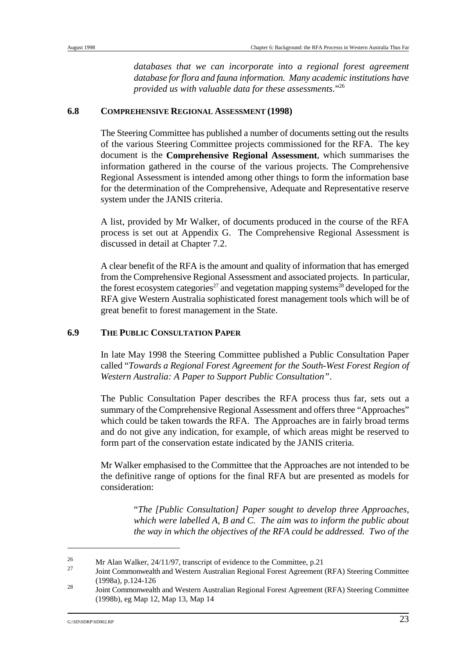*databases that we can incorporate into a regional forest agreement database for flora and fauna information. Many academic institutions have provided us with valuable data for these assessments.*"26

#### **6.8 COMPREHENSIVE REGIONAL ASSESSMENT (1998)**

The Steering Committee has published a number of documents setting out the results of the various Steering Committee projects commissioned for the RFA. The key document is the **Comprehensive Regional Assessment**, which summarises the information gathered in the course of the various projects. The Comprehensive Regional Assessment is intended among other things to form the information base for the determination of the Comprehensive, Adequate and Representative reserve system under the JANIS criteria.

A list, provided by Mr Walker, of documents produced in the course of the RFA process is set out at Appendix G. The Comprehensive Regional Assessment is discussed in detail at Chapter 7.2.

A clear benefit of the RFA is the amount and quality of information that has emerged from the Comprehensive Regional Assessment and associated projects. In particular, the forest ecosystem categories<sup>27</sup> and vegetation mapping systems<sup>28</sup> developed for the RFA give Western Australia sophisticated forest management tools which will be of great benefit to forest management in the State.

## **6.9 THE PUBLIC CONSULTATION PAPER**

In late May 1998 the Steering Committee published a Public Consultation Paper called "*Towards a Regional Forest Agreement for the South-West Forest Region of Western Australia: A Paper to Support Public Consultation"*.

The Public Consultation Paper describes the RFA process thus far, sets out a summary of the Comprehensive Regional Assessment and offers three "Approaches" which could be taken towards the RFA. The Approaches are in fairly broad terms and do not give any indication, for example, of which areas might be reserved to form part of the conservation estate indicated by the JANIS criteria.

Mr Walker emphasised to the Committee that the Approaches are not intended to be the definitive range of options for the final RFA but are presented as models for consideration:

> "*The [Public Consultation] Paper sought to develop three Approaches, which were labelled A, B and C. The aim was to inform the public about the way in which the objectives of the RFA could be addressed. Two of the*

<sup>&</sup>lt;sup>26</sup> Mr Alan Walker, 24/11/97, transcript of evidence to the Committee, p.21

Joint Commonwealth and Western Australian Regional Forest Agreement (RFA) Steering Committee <sup>27</sup> (1998a), p.124-126

Joint Commonwealth and Western Australian Regional Forest Agreement (RFA) Steering Committee <sup>28</sup> (1998b), eg Map 12, Map 13, Map 14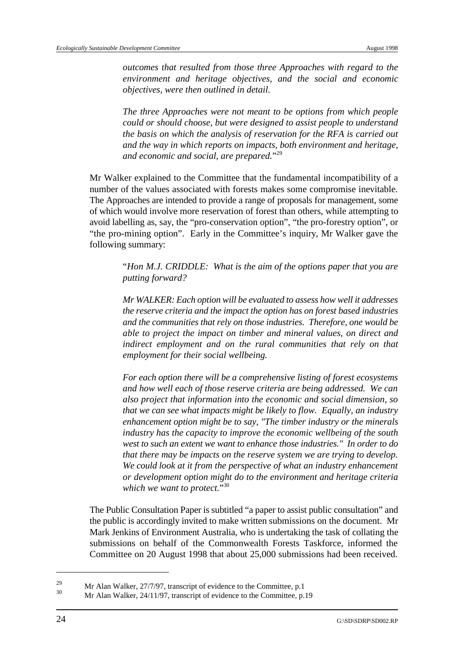*outcomes that resulted from those three Approaches with regard to the environment and heritage objectives, and the social and economic objectives, were then outlined in detail.* 

*The three Approaches were not meant to be options from which people could or should choose, but were designed to assist people to understand the basis on which the analysis of reservation for the RFA is carried out and the way in which reports on impacts, both environment and heritage,* and economic and social, are prepared."<sup>29</sup>

Mr Walker explained to the Committee that the fundamental incompatibility of a number of the values associated with forests makes some compromise inevitable. The Approaches are intended to provide a range of proposals for management, some of which would involve more reservation of forest than others, while attempting to avoid labelling as, say, the "pro-conservation option", "the pro-forestry option", or "the pro-mining option". Early in the Committee's inquiry, Mr Walker gave the following summary:

> "*Hon M.J. CRIDDLE: What is the aim of the options paper that you are putting forward?*

> *Mr WALKER: Each option will be evaluated to assess how well it addresses the reserve criteria and the impact the option has on forest based industries and the communities that rely on those industries. Therefore, one would be able to project the impact on timber and mineral values, on direct and indirect employment and on the rural communities that rely on that employment for their social wellbeing.*

> *For each option there will be a comprehensive listing of forest ecosystems and how well each of those reserve criteria are being addressed. We can also project that information into the economic and social dimension, so that we can see what impacts might be likely to flow. Equally, an industry enhancement option might be to say, "The timber industry or the minerals industry has the capacity to improve the economic wellbeing of the south west to such an extent we want to enhance those industries." In order to do that there may be impacts on the reserve system we are trying to develop. We could look at it from the perspective of what an industry enhancement or development option might do to the environment and heritage criteria which we want to protect.*"30

The Public Consultation Paper is subtitled "a paper to assist public consultation" and the public is accordingly invited to make written submissions on the document. Mr Mark Jenkins of Environment Australia, who is undertaking the task of collating the submissions on behalf of the Commonwealth Forests Taskforce, informed the Committee on 20 August 1998 that about 25,000 submissions had been received.

<sup>&</sup>lt;sup>29</sup> Mr Alan Walker, 27/7/97, transcript of evidence to the Committee, p.1<sup>30</sup>

Mr Alan Walker, 24/11/97, transcript of evidence to the Committee, p.19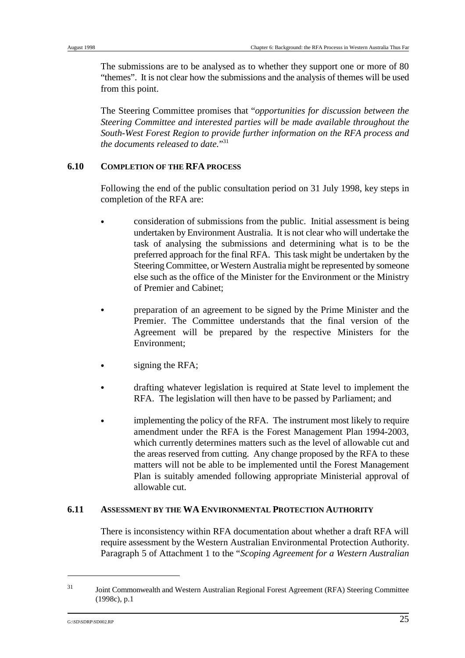The submissions are to be analysed as to whether they support one or more of 80 "themes". It is not clear how the submissions and the analysis of themes will be used from this point.

The Steering Committee promises that "*opportunities for discussion between the Steering Committee and interested parties will be made available throughout the South-West Forest Region to provide further information on the RFA process and the documents released to date.*"31

### **6.10 COMPLETION OF THE RFA PROCESS**

Following the end of the public consultation period on 31 July 1998, key steps in completion of the RFA are:

- & consideration of submissions from the public. Initial assessment is being undertaken by Environment Australia. It is not clear who will undertake the task of analysing the submissions and determining what is to be the preferred approach for the final RFA. This task might be undertaken by the Steering Committee, or Western Australia might be represented by someone else such as the office of the Minister for the Environment or the Ministry of Premier and Cabinet;
- & preparation of an agreement to be signed by the Prime Minister and the Premier. The Committee understands that the final version of the Agreement will be prepared by the respective Ministers for the Environment;
- signing the RFA;
- & drafting whatever legislation is required at State level to implement the RFA. The legislation will then have to be passed by Parliament; and
- & implementing the policy of the RFA. The instrument most likely to require amendment under the RFA is the Forest Management Plan 1994-2003, which currently determines matters such as the level of allowable cut and the areas reserved from cutting. Any change proposed by the RFA to these matters will not be able to be implemented until the Forest Management Plan is suitably amended following appropriate Ministerial approval of allowable cut.

### **6.11 ASSESSMENT BY THE WA ENVIRONMENTAL PROTECTION AUTHORITY**

There is inconsistency within RFA documentation about whether a draft RFA will require assessment by the Western Australian Environmental Protection Authority. Paragraph 5 of Attachment 1 to the "*Scoping Agreement for a Western Australian*

Joint Commonwealth and Western Australian Regional Forest Agreement (RFA) Steering Committee <sup>31</sup> (1998c), p.1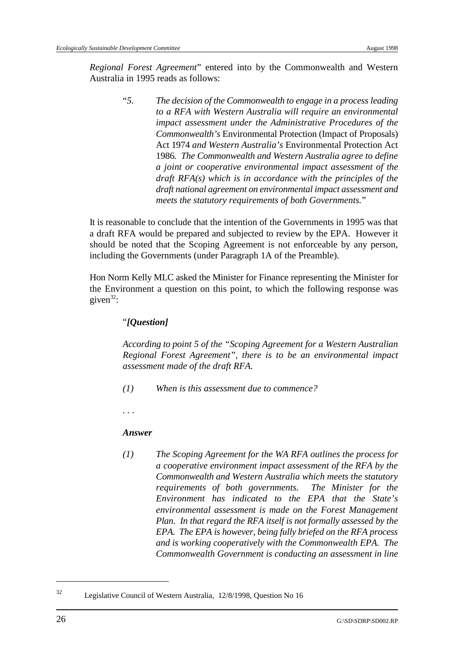*Regional Forest Agreement*" entered into by the Commonwealth and Western Australia in 1995 reads as follows:

> "*5. The decision of the Commonwealth to engage in a process leading to a RFA with Western Australia will require an environmental impact assessment under the Administrative Procedures of the Commonwealth's* Environmental Protection (Impact of Proposals) Act 1974 *and Western Australia's* Environmental Protection Act 1986*. The Commonwealth and Western Australia agree to define a joint or cooperative environmental impact assessment of the draft RFA(s) which is in accordance with the principles of the draft national agreement on environmental impact assessment and meets the statutory requirements of both Governments.*"

It is reasonable to conclude that the intention of the Governments in 1995 was that a draft RFA would be prepared and subjected to review by the EPA. However it should be noted that the Scoping Agreement is not enforceable by any person, including the Governments (under Paragraph 1A of the Preamble).

Hon Norm Kelly MLC asked the Minister for Finance representing the Minister for the Environment a question on this point, to which the following response was given<sup>32</sup>:

## "*[Question]*

*According to point 5 of the "Scoping Agreement for a Western Australian Regional Forest Agreement", there is to be an environmental impact assessment made of the draft RFA.*

- *(1) When is this assessment due to commence?*
- *. . .*

#### *Answer*

*(1) The Scoping Agreement for the WA RFA outlines the process for a cooperative environment impact assessment of the RFA by the Commonwealth and Western Australia which meets the statutory requirements of both governments. The Minister for the Environment has indicated to the EPA that the State's environmental assessment is made on the Forest Management Plan. In that regard the RFA itself is not formally assessed by the EPA. The EPA is however, being fully briefed on the RFA process and is working cooperatively with the Commonwealth EPA. The Commonwealth Government is conducting an assessment in line*

<sup>&</sup>lt;sup>32</sup> Legislative Council of Western Australia, 12/8/1998, Question No 16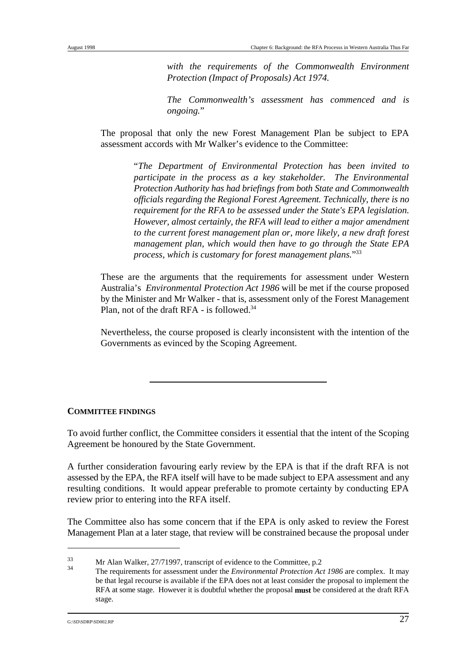*with the requirements of the Commonwealth Environment Protection (Impact of Proposals) Act 1974.* 

*The Commonwealth's assessment has commenced and is ongoing.*"

The proposal that only the new Forest Management Plan be subject to EPA assessment accords with Mr Walker's evidence to the Committee:

> "*The Department of Environmental Protection has been invited to participate in the process as a key stakeholder. The Environmental Protection Authority has had briefings from both State and Commonwealth officials regarding the Regional Forest Agreement. Technically, there is no requirement for the RFA to be assessed under the State's EPA legislation. However, almost certainly, the RFA will lead to either a major amendment to the current forest management plan or, more likely, a new draft forest management plan, which would then have to go through the State EPA process, which is customary for forest management plans.*"33

These are the arguments that the requirements for assessment under Western Australia's *Environmental Protection Act 1986* will be met if the course proposed by the Minister and Mr Walker - that is, assessment only of the Forest Management Plan, not of the draft RFA - is followed. $34$ 

Nevertheless, the course proposed is clearly inconsistent with the intention of the Governments as evinced by the Scoping Agreement.

### **COMMITTEE FINDINGS**

To avoid further conflict, the Committee considers it essential that the intent of the Scoping Agreement be honoured by the State Government.

A further consideration favouring early review by the EPA is that if the draft RFA is not assessed by the EPA, the RFA itself will have to be made subject to EPA assessment and any resulting conditions. It would appear preferable to promote certainty by conducting EPA review prior to entering into the RFA itself.

The Committee also has some concern that if the EPA is only asked to review the Forest Management Plan at a later stage, that review will be constrained because the proposal under

 $\frac{33}{34}$  Mr Alan Walker, 27/71997, transcript of evidence to the Committee, p.2

The requirements for assessment under the *Environmental Protection Act 1986* are complex. It may <sup>34</sup> be that legal recourse is available if the EPA does not at least consider the proposal to implement the RFA at some stage. However it is doubtful whether the proposal **must** be considered at the draft RFA stage.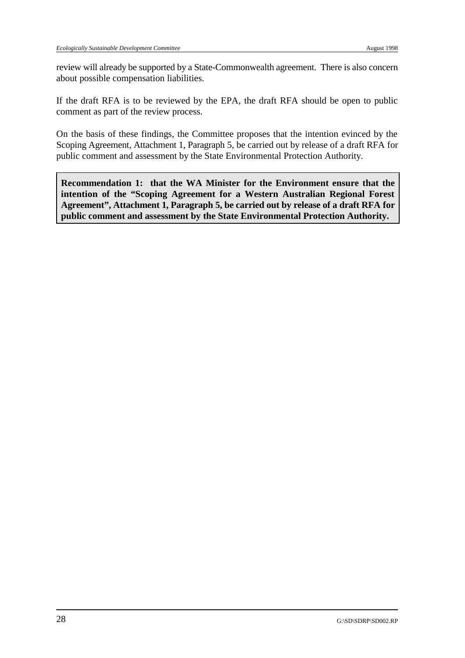review will already be supported by a State-Commonwealth agreement. There is also concern about possible compensation liabilities.

If the draft RFA is to be reviewed by the EPA, the draft RFA should be open to public comment as part of the review process.

On the basis of these findings, the Committee proposes that the intention evinced by the Scoping Agreement, Attachment 1, Paragraph 5, be carried out by release of a draft RFA for public comment and assessment by the State Environmental Protection Authority.

**Recommendation 1: that the WA Minister for the Environment ensure that the intention of the "Scoping Agreement for a Western Australian Regional Forest Agreement", Attachment 1, Paragraph 5, be carried out by release of a draft RFA for public comment and assessment by the State Environmental Protection Authority.**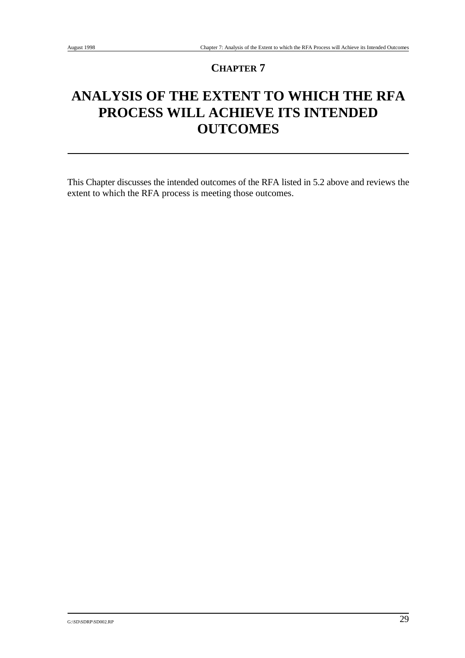# **ANALYSIS OF THE EXTENT TO WHICH THE RFA PROCESS WILL ACHIEVE ITS INTENDED OUTCOMES**

This Chapter discusses the intended outcomes of the RFA listed in 5.2 above and reviews the extent to which the RFA process is meeting those outcomes.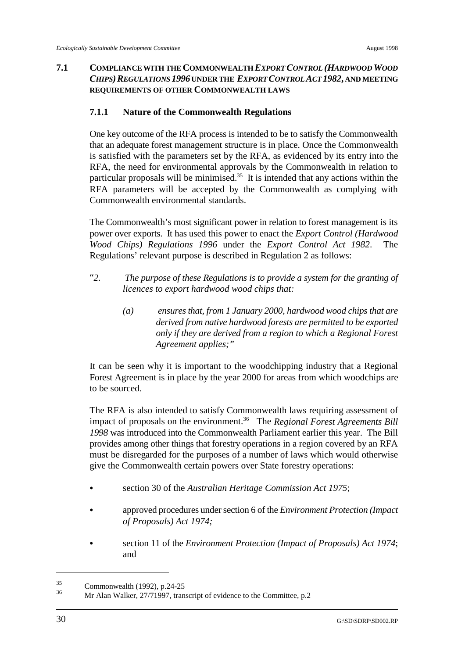## **7.1 COMPLIANCE WITH THE COMMONWEALTH** *EXPORT CONTROL (HARDWOOD WOOD CHIPS)REGULATIONS 1996* **UNDER THE** *EXPORT CONTROL ACT 1982***, AND MEETING REQUIREMENTS OF OTHER COMMONWEALTH LAWS**

## **7.1.1 Nature of the Commonwealth Regulations**

One key outcome of the RFA process is intended to be to satisfy the Commonwealth that an adequate forest management structure is in place. Once the Commonwealth is satisfied with the parameters set by the RFA, as evidenced by its entry into the RFA, the need for environmental approvals by the Commonwealth in relation to particular proposals will be minimised.<sup>35</sup> It is intended that any actions within the RFA parameters will be accepted by the Commonwealth as complying with Commonwealth environmental standards.

The Commonwealth's most significant power in relation to forest management is its power over exports. It has used this power to enact the *Export Control (Hardwood Wood Chips) Regulations 1996* under the *Export Control Act 1982*. The Regulations' relevant purpose is described in Regulation 2 as follows:

- "*2. The purpose of these Regulations is to provide a system for the granting of licences to export hardwood wood chips that:*
	- *(a) ensures that, from 1 January 2000, hardwood wood chips that are derived from native hardwood forests are permitted to be exported only if they are derived from a region to which a Regional Forest Agreement applies;"*

 It can be seen why it is important to the woodchipping industry that a Regional Forest Agreement is in place by the year 2000 for areas from which woodchips are to be sourced.

The RFA is also intended to satisfy Commonwealth laws requiring assessment of impact of proposals on the environment.<sup>36</sup> The *Regional Forest Agreements Bill 1998* was introduced into the Commonwealth Parliament earlier this year. The Bill provides among other things that forestry operations in a region covered by an RFA must be disregarded for the purposes of a number of laws which would otherwise give the Commonwealth certain powers over State forestry operations:

- & section 30 of the *Australian Heritage Commission Act 1975*;
- & approved procedures under section 6 of the *Environment Protection (Impact of Proposals) Act 1974;*
- & section 11 of the *Environment Protection (Impact of Proposals) Act 1974*; and

 $\frac{35}{36}$  Commonwealth (1992), p.24-25

Mr Alan Walker, 27/71997, transcript of evidence to the Committee, p.2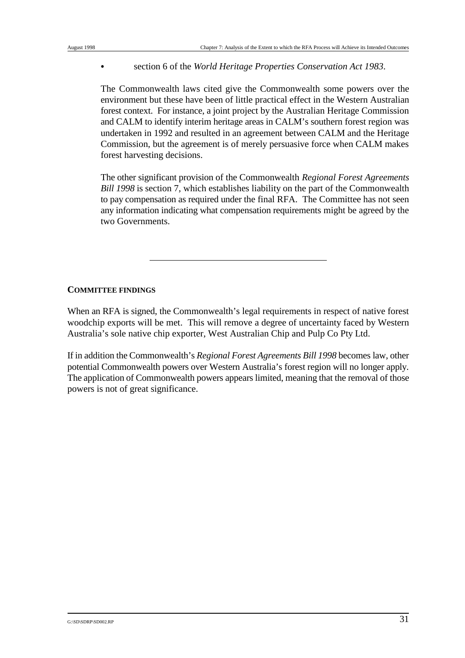& section 6 of the *World Heritage Properties Conservation Act 1983*.

The Commonwealth laws cited give the Commonwealth some powers over the environment but these have been of little practical effect in the Western Australian forest context. For instance, a joint project by the Australian Heritage Commission and CALM to identify interim heritage areas in CALM's southern forest region was undertaken in 1992 and resulted in an agreement between CALM and the Heritage Commission, but the agreement is of merely persuasive force when CALM makes forest harvesting decisions.

The other significant provision of the Commonwealth *Regional Forest Agreements Bill 1998* is section 7, which establishes liability on the part of the Commonwealth to pay compensation as required under the final RFA. The Committee has not seen any information indicating what compensation requirements might be agreed by the two Governments.

## **COMMITTEE FINDINGS**

When an RFA is signed, the Commonwealth's legal requirements in respect of native forest woodchip exports will be met. This will remove a degree of uncertainty faced by Western Australia's sole native chip exporter, West Australian Chip and Pulp Co Pty Ltd.

If in addition the Commonwealth's *Regional Forest Agreements Bill 1998* becomes law, other potential Commonwealth powers over Western Australia's forest region will no longer apply. The application of Commonwealth powers appears limited, meaning that the removal of those powers is not of great significance.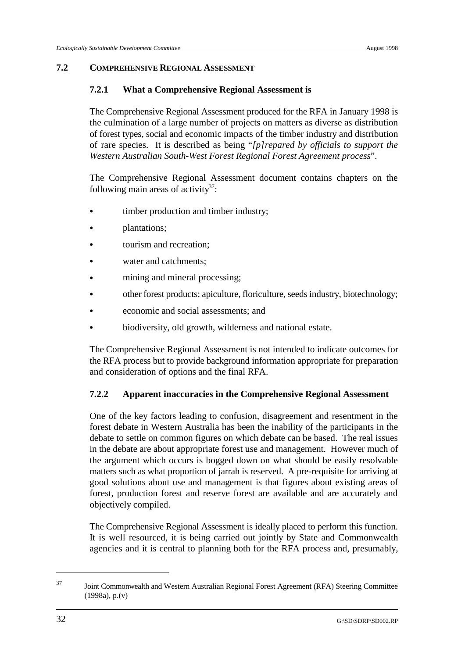### **7.2 COMPREHENSIVE REGIONAL ASSESSMENT**

## **7.2.1 What a Comprehensive Regional Assessment is**

The Comprehensive Regional Assessment produced for the RFA in January 1998 is the culmination of a large number of projects on matters as diverse as distribution of forest types, social and economic impacts of the timber industry and distribution of rare species. It is described as being "*[p]repared by officials to support the Western Australian South-West Forest Regional Forest Agreement process*".

The Comprehensive Regional Assessment document contains chapters on the following main areas of activity<sup>37</sup>:

- timber production and timber industry;
- plantations;
- tourism and recreation:
- water and catchments;
- mining and mineral processing;
- & other forest products: apiculture, floriculture, seeds industry, biotechnology;
- & economic and social assessments; and
- biodiversity, old growth, wilderness and national estate.

The Comprehensive Regional Assessment is not intended to indicate outcomes for the RFA process but to provide background information appropriate for preparation and consideration of options and the final RFA.

# **7.2.2 Apparent inaccuracies in the Comprehensive Regional Assessment**

One of the key factors leading to confusion, disagreement and resentment in the forest debate in Western Australia has been the inability of the participants in the debate to settle on common figures on which debate can be based. The real issues in the debate are about appropriate forest use and management. However much of the argument which occurs is bogged down on what should be easily resolvable matters such as what proportion of jarrah is reserved. A pre-requisite for arriving at good solutions about use and management is that figures about existing areas of forest, production forest and reserve forest are available and are accurately and objectively compiled.

The Comprehensive Regional Assessment is ideally placed to perform this function. It is well resourced, it is being carried out jointly by State and Commonwealth agencies and it is central to planning both for the RFA process and, presumably,

Joint Commonwealth and Western Australian Regional Forest Agreement (RFA) Steering Committee <sup>37</sup> (1998a), p.(v)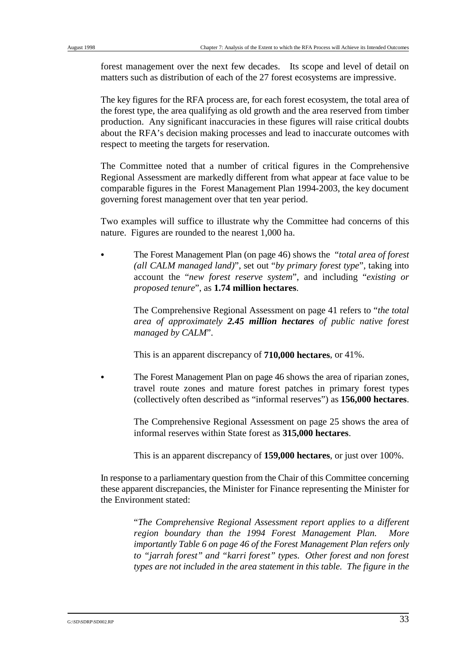forest management over the next few decades. Its scope and level of detail on matters such as distribution of each of the 27 forest ecosystems are impressive.

The key figures for the RFA process are, for each forest ecosystem, the total area of the forest type, the area qualifying as old growth and the area reserved from timber production. Any significant inaccuracies in these figures will raise critical doubts about the RFA's decision making processes and lead to inaccurate outcomes with respect to meeting the targets for reservation.

The Committee noted that a number of critical figures in the Comprehensive Regional Assessment are markedly different from what appear at face value to be comparable figures in the Forest Management Plan 1994-2003, the key document governing forest management over that ten year period.

Two examples will suffice to illustrate why the Committee had concerns of this nature. Figures are rounded to the nearest 1,000 ha.

& The Forest Management Plan (on page 46) shows the "*total area of forest (all CALM managed land)*", set out "*by primary forest type*", taking into account the "*new forest reserve system*", and including "*existing or proposed tenure*", as **1.74 million hectares**.

> The Comprehensive Regional Assessment on page 41 refers to "*the total area of approximately 2.45 million hectares of public native forest managed by CALM*".

This is an apparent discrepancy of **710,000 hectares**, or 41%.

The Forest Management Plan on page 46 shows the area of riparian zones, travel route zones and mature forest patches in primary forest types (collectively often described as "informal reserves") as **156,000 hectares**.

The Comprehensive Regional Assessment on page 25 shows the area of informal reserves within State forest as **315,000 hectares**.

This is an apparent discrepancy of **159,000 hectares**, or just over 100%.

In response to a parliamentary question from the Chair of this Committee concerning these apparent discrepancies, the Minister for Finance representing the Minister for the Environment stated:

> "*The Comprehensive Regional Assessment report applies to a different region boundary than the 1994 Forest Management Plan. More importantly Table 6 on page 46 of the Forest Management Plan refers only to "jarrah forest" and "karri forest" types. Other forest and non forest types are not included in the area statement in this table. The figure in the*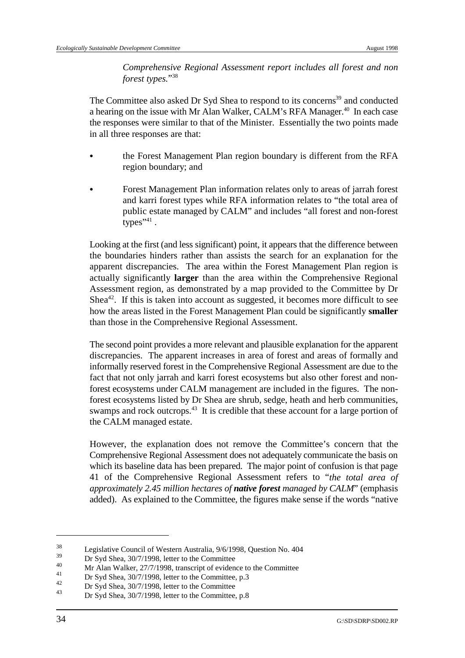*Comprehensive Regional Assessment report includes all forest and non forest types.*"38

The Committee also asked Dr Syd Shea to respond to its concerns<sup>39</sup> and conducted a hearing on the issue with Mr Alan Walker, CALM's RFA Manager.<sup>40</sup> In each case the responses were similar to that of the Minister. Essentially the two points made in all three responses are that:

- the Forest Management Plan region boundary is different from the RFA region boundary; and
- & Forest Management Plan information relates only to areas of jarrah forest and karri forest types while RFA information relates to "the total area of public estate managed by CALM" and includes "all forest and non-forest types" $41$ .

Looking at the first (and less significant) point, it appears that the difference between the boundaries hinders rather than assists the search for an explanation for the apparent discrepancies. The area within the Forest Management Plan region is actually significantly **larger** than the area within the Comprehensive Regional Assessment region, as demonstrated by a map provided to the Committee by Dr Shea<sup>42</sup>. If this is taken into account as suggested, it becomes more difficult to see how the areas listed in the Forest Management Plan could be significantly **smaller** than those in the Comprehensive Regional Assessment.

The second point provides a more relevant and plausible explanation for the apparent discrepancies. The apparent increases in area of forest and areas of formally and informally reserved forest in the Comprehensive Regional Assessment are due to the fact that not only jarrah and karri forest ecosystems but also other forest and nonforest ecosystems under CALM management are included in the figures. The nonforest ecosystems listed by Dr Shea are shrub, sedge, heath and herb communities, swamps and rock outcrops.<sup>43</sup> It is credible that these account for a large portion of the CALM managed estate.

However, the explanation does not remove the Committee's concern that the Comprehensive Regional Assessment does not adequately communicate the basis on which its baseline data has been prepared. The major point of confusion is that page 41 of the Comprehensive Regional Assessment refers to "*the total area of approximately 2.45 million hectares of native forest managed by CALM*" (emphasis added). As explained to the Committee, the figures make sense if the words "native

<sup>&</sup>lt;sup>38</sup><br>Legislative Council of Western Australia,  $9/6/1998$ , Question No. 404

 $\frac{39}{40}$  Dr Syd Shea, 30/7/1998, letter to the Committee

<sup>&</sup>lt;sup>40</sup> Mr Alan Walker, 27/7/1998, transcript of evidence to the Committee  $\frac{41}{28.5}$ 

<sup>&</sup>lt;sup>41</sup> Dr Syd Shea,  $30/7/1998$ , letter to the Committee, p.3

<sup>&</sup>lt;sup>42</sup> Dr Syd Shea,  $30/7/1998$ , letter to the Committee

Dr Syd Shea, 30/7/1998, letter to the Committee, p.8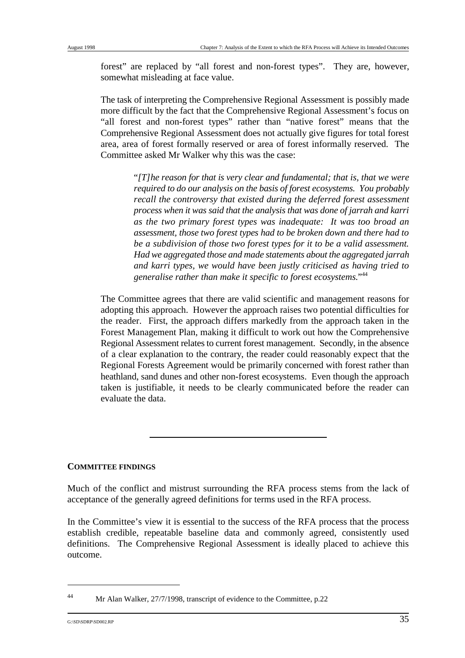forest" are replaced by "all forest and non-forest types". They are, however, somewhat misleading at face value.

The task of interpreting the Comprehensive Regional Assessment is possibly made more difficult by the fact that the Comprehensive Regional Assessment's focus on "all forest and non-forest types" rather than "native forest" means that the Comprehensive Regional Assessment does not actually give figures for total forest area, area of forest formally reserved or area of forest informally reserved. The Committee asked Mr Walker why this was the case:

> "*[T]he reason for that is very clear and fundamental; that is, that we were required to do our analysis on the basis of forest ecosystems. You probably recall the controversy that existed during the deferred forest assessment process when it was said that the analysis that was done of jarrah and karri as the two primary forest types was inadequate: It was too broad an assessment, those two forest types had to be broken down and there had to be a subdivision of those two forest types for it to be a valid assessment. Had we aggregated those and made statements about the aggregated jarrah and karri types, we would have been justly criticised as having tried to generalise rather than make it specific to forest ecosystems.*"44

The Committee agrees that there are valid scientific and management reasons for adopting this approach. However the approach raises two potential difficulties for the reader. First, the approach differs markedly from the approach taken in the Forest Management Plan, making it difficult to work out how the Comprehensive Regional Assessment relates to current forest management. Secondly, in the absence of a clear explanation to the contrary, the reader could reasonably expect that the Regional Forests Agreement would be primarily concerned with forest rather than heathland, sand dunes and other non-forest ecosystems. Even though the approach taken is justifiable, it needs to be clearly communicated before the reader can evaluate the data.

#### **COMMITTEE FINDINGS**

Much of the conflict and mistrust surrounding the RFA process stems from the lack of acceptance of the generally agreed definitions for terms used in the RFA process.

In the Committee's view it is essential to the success of the RFA process that the process establish credible, repeatable baseline data and commonly agreed, consistently used definitions. The Comprehensive Regional Assessment is ideally placed to achieve this outcome.

<sup>&</sup>lt;sup>44</sup> Mr Alan Walker, 27/7/1998, transcript of evidence to the Committee, p.22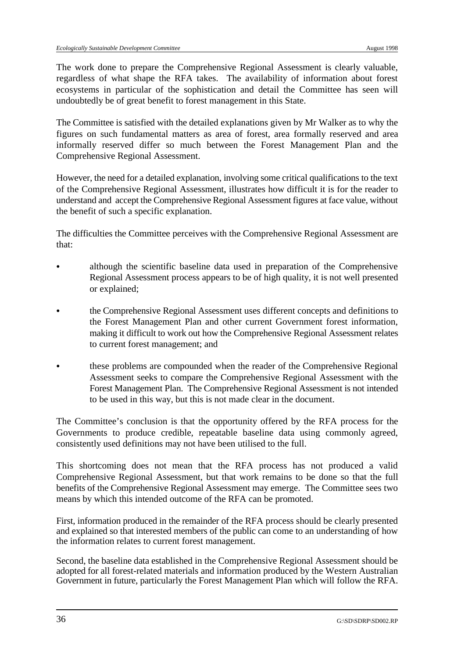The work done to prepare the Comprehensive Regional Assessment is clearly valuable, regardless of what shape the RFA takes. The availability of information about forest ecosystems in particular of the sophistication and detail the Committee has seen will undoubtedly be of great benefit to forest management in this State.

The Committee is satisfied with the detailed explanations given by Mr Walker as to why the figures on such fundamental matters as area of forest, area formally reserved and area informally reserved differ so much between the Forest Management Plan and the Comprehensive Regional Assessment.

However, the need for a detailed explanation, involving some critical qualifications to the text of the Comprehensive Regional Assessment, illustrates how difficult it is for the reader to understand and accept the Comprehensive Regional Assessment figures at face value, without the benefit of such a specific explanation.

The difficulties the Committee perceives with the Comprehensive Regional Assessment are that:

- although the scientific baseline data used in preparation of the Comprehensive Regional Assessment process appears to be of high quality, it is not well presented or explained;
- & the Comprehensive Regional Assessment uses different concepts and definitions to the Forest Management Plan and other current Government forest information, making it difficult to work out how the Comprehensive Regional Assessment relates to current forest management; and
- & these problems are compounded when the reader of the Comprehensive Regional Assessment seeks to compare the Comprehensive Regional Assessment with the Forest Management Plan. The Comprehensive Regional Assessment is not intended to be used in this way, but this is not made clear in the document.

The Committee's conclusion is that the opportunity offered by the RFA process for the Governments to produce credible, repeatable baseline data using commonly agreed, consistently used definitions may not have been utilised to the full.

This shortcoming does not mean that the RFA process has not produced a valid Comprehensive Regional Assessment, but that work remains to be done so that the full benefits of the Comprehensive Regional Assessment may emerge. The Committee sees two means by which this intended outcome of the RFA can be promoted.

First, information produced in the remainder of the RFA process should be clearly presented and explained so that interested members of the public can come to an understanding of how the information relates to current forest management.

Second, the baseline data established in the Comprehensive Regional Assessment should be adopted for all forest-related materials and information produced by the Western Australian Government in future, particularly the Forest Management Plan which will follow the RFA.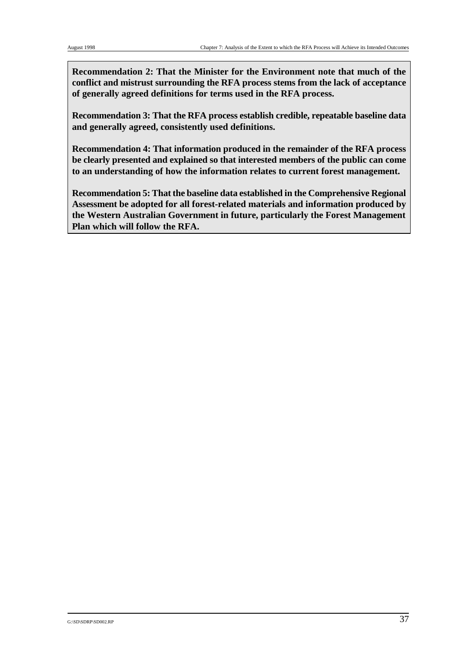**Recommendation 2: That the Minister for the Environment note that much of the conflict and mistrust surrounding the RFA process stems from the lack of acceptance of generally agreed definitions for terms used in the RFA process.**

**Recommendation 3: That the RFA process establish credible, repeatable baseline data and generally agreed, consistently used definitions.** 

**Recommendation 4: That information produced in the remainder of the RFA process be clearly presented and explained so that interested members of the public can come to an understanding of how the information relates to current forest management.**

**Recommendation 5: That the baseline data established in the Comprehensive Regional Assessment be adopted for all forest-related materials and information produced by the Western Australian Government in future, particularly the Forest Management Plan which will follow the RFA.**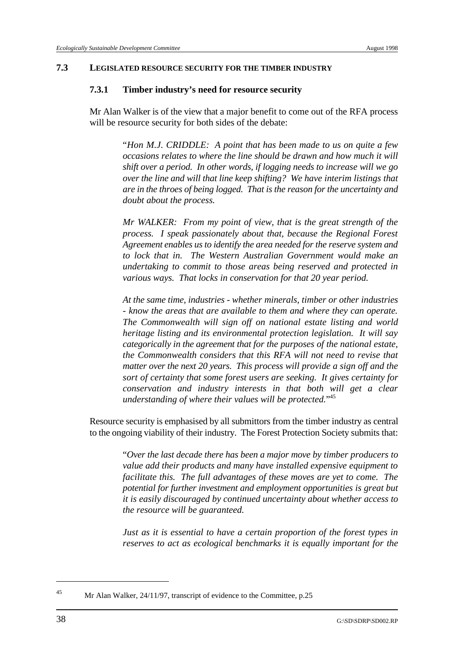#### **7.3 LEGISLATED RESOURCE SECURITY FOR THE TIMBER INDUSTRY**

#### **7.3.1 Timber industry's need for resource security**

Mr Alan Walker is of the view that a major benefit to come out of the RFA process will be resource security for both sides of the debate:

> "*Hon M.J. CRIDDLE: A point that has been made to us on quite a few occasions relates to where the line should be drawn and how much it will shift over a period. In other words, if logging needs to increase will we go over the line and will that line keep shifting? We have interim listings that are in the throes of being logged. That is the reason for the uncertainty and doubt about the process.*

> *Mr WALKER: From my point of view, that is the great strength of the process. I speak passionately about that, because the Regional Forest Agreement enables us to identify the area needed for the reserve system and to lock that in. The Western Australian Government would make an undertaking to commit to those areas being reserved and protected in various ways. That locks in conservation for that 20 year period.*

> *At the same time, industries - whether minerals, timber or other industries - know the areas that are available to them and where they can operate. The Commonwealth will sign off on national estate listing and world heritage listing and its environmental protection legislation. It will say categorically in the agreement that for the purposes of the national estate, the Commonwealth considers that this RFA will not need to revise that matter over the next 20 years. This process will provide a sign off and the sort of certainty that some forest users are seeking. It gives certainty for conservation and industry interests in that both will get a clear understanding of where their values will be protected.*"45

Resource security is emphasised by all submittors from the timber industry as central to the ongoing viability of their industry. The Forest Protection Society submits that:

> "*Over the last decade there has been a major move by timber producers to value add their products and many have installed expensive equipment to facilitate this. The full advantages of these moves are yet to come. The potential for further investment and employment opportunities is great but it is easily discouraged by continued uncertainty about whether access to the resource will be guaranteed.*

> *Just as it is essential to have a certain proportion of the forest types in reserves to act as ecological benchmarks it is equally important for the*

<sup>&</sup>lt;sup>45</sup> Mr Alan Walker, 24/11/97, transcript of evidence to the Committee, p.25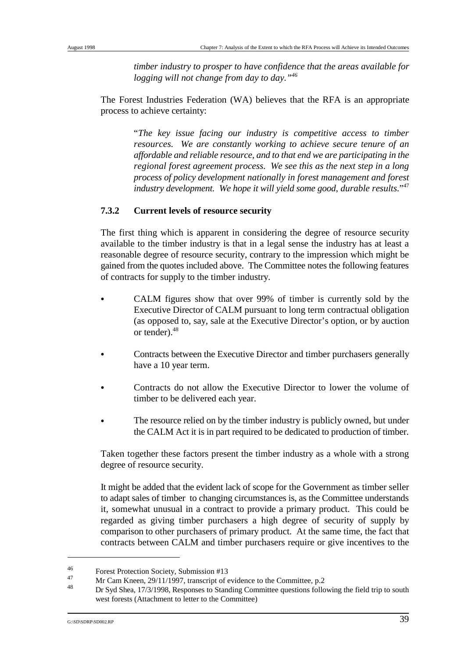*timber industry to prosper to have confidence that the areas available for logging will not change from day to day."46*

The Forest Industries Federation (WA) believes that the RFA is an appropriate process to achieve certainty:

> "*The key issue facing our industry is competitive access to timber resources. We are constantly working to achieve secure tenure of an affordable and reliable resource, and to that end we are participating in the regional forest agreement process. We see this as the next step in a long process of policy development nationally in forest management and forest industry development. We hope it will yield some good, durable results.*"47

# **7.3.2 Current levels of resource security**

The first thing which is apparent in considering the degree of resource security available to the timber industry is that in a legal sense the industry has at least a reasonable degree of resource security, contrary to the impression which might be gained from the quotes included above. The Committee notes the following features of contracts for supply to the timber industry.

- CALM figures show that over 99% of timber is currently sold by the Executive Director of CALM pursuant to long term contractual obligation (as opposed to, say, sale at the Executive Director's option, or by auction or tender). 48
- Contracts between the Executive Director and timber purchasers generally have a 10 year term.
- Contracts do not allow the Executive Director to lower the volume of timber to be delivered each year.
- The resource relied on by the timber industry is publicly owned, but under the CALM Act it is in part required to be dedicated to production of timber.

Taken together these factors present the timber industry as a whole with a strong degree of resource security.

It might be added that the evident lack of scope for the Government as timber seller to adapt sales of timber to changing circumstances is, as the Committee understands it, somewhat unusual in a contract to provide a primary product. This could be regarded as giving timber purchasers a high degree of security of supply by comparison to other purchasers of primary product. At the same time, the fact that contracts between CALM and timber purchasers require or give incentives to the

<sup>&</sup>lt;sup>46</sup><br>Forest Protection Society, Submission #13<br> $\frac{47}{6}$  M<sub>s</sub> C<sub>1</sub> M<sub>s</sub> C<sub>1</sub> M<sub>s</sub> 20(11/1007 transition)

 $\frac{47}{10}$  Mr Cam Kneen, 29/11/1997, transcript of evidence to the Committee, p.2

Dr Syd Shea, 17/3/1998, Responses to Standing Committee questions following the field trip to south <sup>48</sup> west forests (Attachment to letter to the Committee)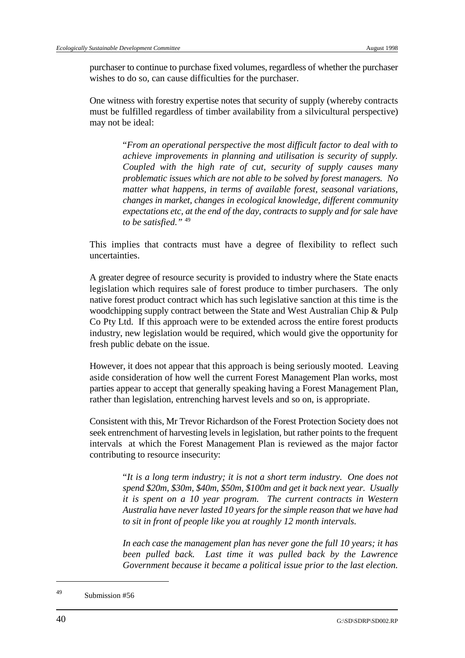purchaser to continue to purchase fixed volumes, regardless of whether the purchaser wishes to do so, can cause difficulties for the purchaser.

One witness with forestry expertise notes that security of supply (whereby contracts must be fulfilled regardless of timber availability from a silvicultural perspective) may not be ideal:

> "*From an operational perspective the most difficult factor to deal with to achieve improvements in planning and utilisation is security of supply. Coupled with the high rate of cut, security of supply causes many problematic issues which are not able to be solved by forest managers. No matter what happens, in terms of available forest, seasonal variations, changes in market, changes in ecological knowledge, different community expectations etc, at the end of the day, contracts to supply and for sale have to be satisfied."* <sup>49</sup>

This implies that contracts must have a degree of flexibility to reflect such uncertainties.

A greater degree of resource security is provided to industry where the State enacts legislation which requires sale of forest produce to timber purchasers. The only native forest product contract which has such legislative sanction at this time is the woodchipping supply contract between the State and West Australian Chip & Pulp Co Pty Ltd. If this approach were to be extended across the entire forest products industry, new legislation would be required, which would give the opportunity for fresh public debate on the issue.

However, it does not appear that this approach is being seriously mooted. Leaving aside consideration of how well the current Forest Management Plan works, most parties appear to accept that generally speaking having a Forest Management Plan, rather than legislation, entrenching harvest levels and so on, is appropriate.

Consistent with this, Mr Trevor Richardson of the Forest Protection Society does not seek entrenchment of harvesting levels in legislation, but rather points to the frequent intervals at which the Forest Management Plan is reviewed as the major factor contributing to resource insecurity:

> "*It is a long term industry; it is not a short term industry. One does not spend \$20m, \$30m, \$40m, \$50m, \$100m and get it back next year. Usually it is spent on a 10 year program. The current contracts in Western Australia have never lasted 10 years for the simple reason that we have had to sit in front of people like you at roughly 12 month intervals.*

> *In each case the management plan has never gone the full 10 years; it has been pulled back. Last time it was pulled back by the Lawrence Government because it became a political issue prior to the last election.*

 $^{49}$  Submission #56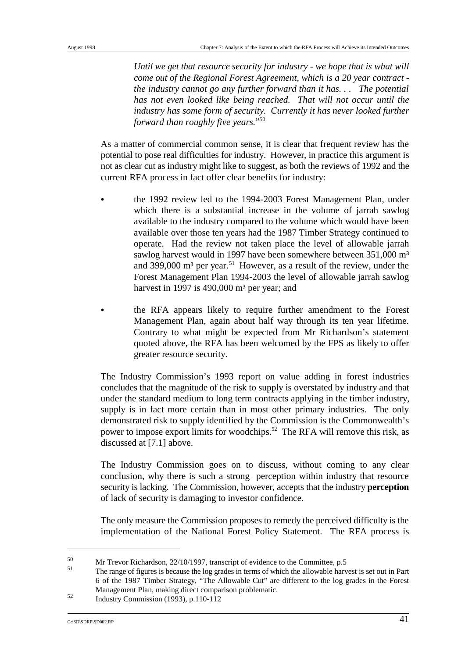*Until we get that resource security for industry - we hope that is what will come out of the Regional Forest Agreement, which is a 20 year contract the industry cannot go any further forward than it has. . . The potential has not even looked like being reached. That will not occur until the industry has some form of security. Currently it has never looked further forward than roughly five years.*"50

As a matter of commercial common sense, it is clear that frequent review has the potential to pose real difficulties for industry. However, in practice this argument is not as clear cut as industry might like to suggest, as both the reviews of 1992 and the current RFA process in fact offer clear benefits for industry:

- the 1992 review led to the 1994-2003 Forest Management Plan, under which there is a substantial increase in the volume of jarrah sawlog available to the industry compared to the volume which would have been available over those ten years had the 1987 Timber Strategy continued to operate. Had the review not taken place the level of allowable jarrah sawlog harvest would in 1997 have been somewhere between 351,000 m<sup>3</sup> and 399,000  $m<sup>3</sup>$  per year.<sup>51</sup> However, as a result of the review, under the Forest Management Plan 1994-2003 the level of allowable jarrah sawlog harvest in 1997 is 490,000  $m<sup>3</sup>$  per year; and
- & the RFA appears likely to require further amendment to the Forest Management Plan, again about half way through its ten year lifetime. Contrary to what might be expected from Mr Richardson's statement quoted above, the RFA has been welcomed by the FPS as likely to offer greater resource security.

The Industry Commission's 1993 report on value adding in forest industries concludes that the magnitude of the risk to supply is overstated by industry and that under the standard medium to long term contracts applying in the timber industry, supply is in fact more certain than in most other primary industries. The only demonstrated risk to supply identified by the Commission is the Commonwealth's power to impose export limits for woodchips.<sup>52</sup> The RFA will remove this risk, as discussed at [7.1] above.

The Industry Commission goes on to discuss, without coming to any clear conclusion, why there is such a strong perception within industry that resource security is lacking. The Commission, however, accepts that the industry **perception** of lack of security is damaging to investor confidence.

The only measure the Commission proposes to remedy the perceived difficulty is the implementation of the National Forest Policy Statement. The RFA process is

<sup>&</sup>lt;sup>50</sup> Mr Trevor Richardson, 22/10/1997, transcript of evidence to the Committee, p.5

The range of figures is because the log grades in terms of which the allowable harvest is set out in Part 6 of the 1987 Timber Strategy, "The Allowable Cut" are different to the log grades in the Forest Management Plan, making direct comparison problematic.

<sup>&</sup>lt;sup>52</sup> Industry Commission (1993), p.110-112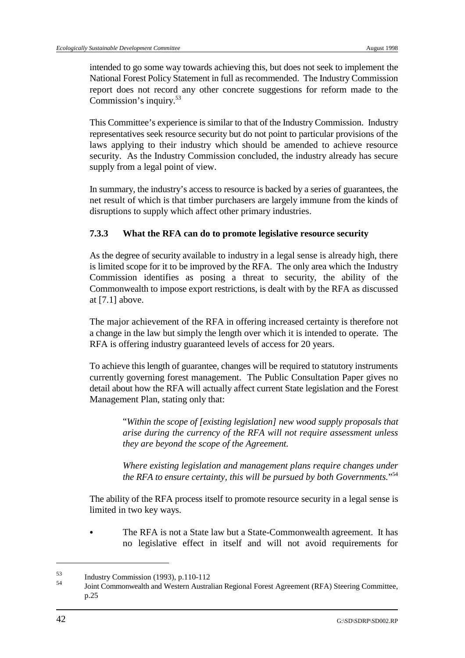intended to go some way towards achieving this, but does not seek to implement the National Forest Policy Statement in full as recommended. The Industry Commission report does not record any other concrete suggestions for reform made to the Commission's inquiry.53

This Committee's experience is similar to that of the Industry Commission. Industry representatives seek resource security but do not point to particular provisions of the laws applying to their industry which should be amended to achieve resource security. As the Industry Commission concluded, the industry already has secure supply from a legal point of view.

In summary, the industry's access to resource is backed by a series of guarantees, the net result of which is that timber purchasers are largely immune from the kinds of disruptions to supply which affect other primary industries.

## **7.3.3 What the RFA can do to promote legislative resource security**

As the degree of security available to industry in a legal sense is already high, there is limited scope for it to be improved by the RFA. The only area which the Industry Commission identifies as posing a threat to security, the ability of the Commonwealth to impose export restrictions, is dealt with by the RFA as discussed at [7.1] above.

The major achievement of the RFA in offering increased certainty is therefore not a change in the law but simply the length over which it is intended to operate. The RFA is offering industry guaranteed levels of access for 20 years.

To achieve this length of guarantee, changes will be required to statutory instruments currently governing forest management. The Public Consultation Paper gives no detail about how the RFA will actually affect current State legislation and the Forest Management Plan, stating only that:

> "*Within the scope of [existing legislation] new wood supply proposals that arise during the currency of the RFA will not require assessment unless they are beyond the scope of the Agreement.*

> *Where existing legislation and management plans require changes under the RFA to ensure certainty, this will be pursued by both Governments.*"54

The ability of the RFA process itself to promote resource security in a legal sense is limited in two key ways.

The RFA is not a State law but a State-Commonwealth agreement. It has no legislative effect in itself and will not avoid requirements for

 $^{53}$  Industry Commission (1993), p.110-112<br> $^{54}$  Is integer and Western Australia

Joint Commonwealth and Western Australian Regional Forest Agreement (RFA) Steering Committee, <sup>54</sup> p.25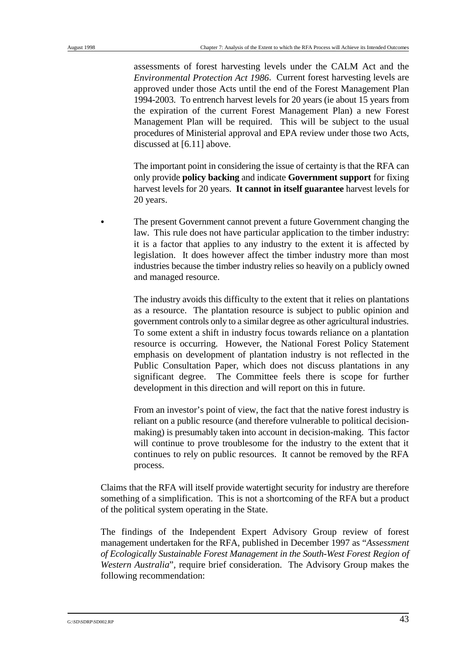assessments of forest harvesting levels under the CALM Act and the *Environmental Protection Act 1986*. Current forest harvesting levels are approved under those Acts until the end of the Forest Management Plan 1994-2003. To entrench harvest levels for 20 years (ie about 15 years from the expiration of the current Forest Management Plan) a new Forest Management Plan will be required. This will be subject to the usual procedures of Ministerial approval and EPA review under those two Acts, discussed at [6.11] above.

The important point in considering the issue of certainty is that the RFA can only provide **policy backing** and indicate **Government support** for fixing harvest levels for 20 years. **It cannot in itself guarantee** harvest levels for 20 years.

The present Government cannot prevent a future Government changing the law. This rule does not have particular application to the timber industry: it is a factor that applies to any industry to the extent it is affected by legislation. It does however affect the timber industry more than most industries because the timber industry relies so heavily on a publicly owned and managed resource.

The industry avoids this difficulty to the extent that it relies on plantations as a resource. The plantation resource is subject to public opinion and government controls only to a similar degree as other agricultural industries. To some extent a shift in industry focus towards reliance on a plantation resource is occurring. However, the National Forest Policy Statement emphasis on development of plantation industry is not reflected in the Public Consultation Paper, which does not discuss plantations in any significant degree. The Committee feels there is scope for further development in this direction and will report on this in future.

From an investor's point of view, the fact that the native forest industry is reliant on a public resource (and therefore vulnerable to political decisionmaking) is presumably taken into account in decision-making. This factor will continue to prove troublesome for the industry to the extent that it continues to rely on public resources. It cannot be removed by the RFA process.

Claims that the RFA will itself provide watertight security for industry are therefore something of a simplification. This is not a shortcoming of the RFA but a product of the political system operating in the State.

The findings of the Independent Expert Advisory Group review of forest management undertaken for the RFA, published in December 1997 as "*Assessment of Ecologically Sustainable Forest Management in the South-West Forest Region of Western Australia*"*,* require brief consideration. The Advisory Group makes the following recommendation: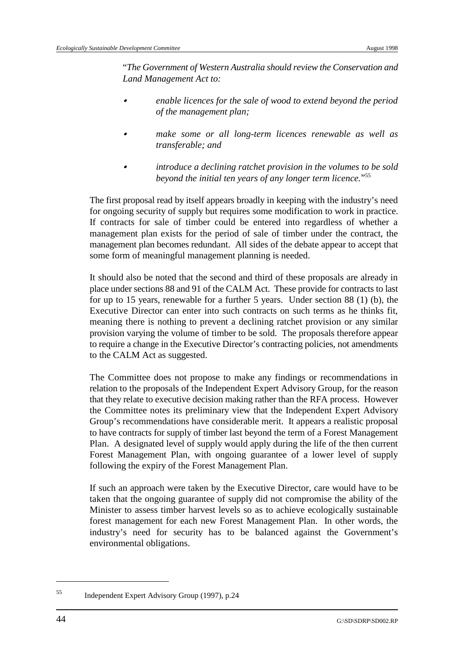"*The Government of Western Australia should review the Conservation and Land Management Act to:*

- & *enable licences for the sale of wood to extend beyond the period of the management plan;*
- & *make some or all long-term licences renewable as well as transferable; and*
- & *introduce a declining ratchet provision in the volumes to be sold beyond the initial ten years of any longer term licence.*"55

The first proposal read by itself appears broadly in keeping with the industry's need for ongoing security of supply but requires some modification to work in practice. If contracts for sale of timber could be entered into regardless of whether a management plan exists for the period of sale of timber under the contract, the management plan becomes redundant. All sides of the debate appear to accept that some form of meaningful management planning is needed.

It should also be noted that the second and third of these proposals are already in place under sections 88 and 91 of the CALM Act. These provide for contracts to last for up to 15 years, renewable for a further 5 years. Under section 88 (1) (b), the Executive Director can enter into such contracts on such terms as he thinks fit, meaning there is nothing to prevent a declining ratchet provision or any similar provision varying the volume of timber to be sold. The proposals therefore appear to require a change in the Executive Director's contracting policies, not amendments to the CALM Act as suggested.

The Committee does not propose to make any findings or recommendations in relation to the proposals of the Independent Expert Advisory Group, for the reason that they relate to executive decision making rather than the RFA process. However the Committee notes its preliminary view that the Independent Expert Advisory Group's recommendations have considerable merit. It appears a realistic proposal to have contracts for supply of timber last beyond the term of a Forest Management Plan. A designated level of supply would apply during the life of the then current Forest Management Plan, with ongoing guarantee of a lower level of supply following the expiry of the Forest Management Plan.

If such an approach were taken by the Executive Director, care would have to be taken that the ongoing guarantee of supply did not compromise the ability of the Minister to assess timber harvest levels so as to achieve ecologically sustainable forest management for each new Forest Management Plan. In other words, the industry's need for security has to be balanced against the Government's environmental obligations.

 $I_{\text{1}}$ <sup>55</sup> Independent Expert Advisory Group (1997), p.24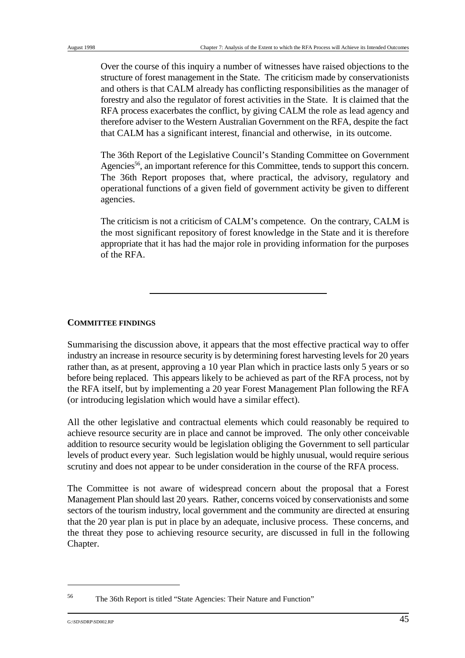Over the course of this inquiry a number of witnesses have raised objections to the structure of forest management in the State. The criticism made by conservationists and others is that CALM already has conflicting responsibilities as the manager of forestry and also the regulator of forest activities in the State. It is claimed that the RFA process exacerbates the conflict, by giving CALM the role as lead agency and therefore adviser to the Western Australian Government on the RFA, despite the fact that CALM has a significant interest, financial and otherwise, in its outcome.

The 36th Report of the Legislative Council's Standing Committee on Government Agencies<sup>56</sup>, an important reference for this Committee, tends to support this concern. The 36th Report proposes that, where practical, the advisory, regulatory and operational functions of a given field of government activity be given to different agencies.

The criticism is not a criticism of CALM's competence. On the contrary, CALM is the most significant repository of forest knowledge in the State and it is therefore appropriate that it has had the major role in providing information for the purposes of the RFA.

## **COMMITTEE FINDINGS**

Summarising the discussion above, it appears that the most effective practical way to offer industry an increase in resource security is by determining forest harvesting levels for 20 years rather than, as at present, approving a 10 year Plan which in practice lasts only 5 years or so before being replaced. This appears likely to be achieved as part of the RFA process, not by the RFA itself, but by implementing a 20 year Forest Management Plan following the RFA (or introducing legislation which would have a similar effect).

All the other legislative and contractual elements which could reasonably be required to achieve resource security are in place and cannot be improved. The only other conceivable addition to resource security would be legislation obliging the Government to sell particular levels of product every year. Such legislation would be highly unusual, would require serious scrutiny and does not appear to be under consideration in the course of the RFA process.

The Committee is not aware of widespread concern about the proposal that a Forest Management Plan should last 20 years. Rather, concerns voiced by conservationists and some sectors of the tourism industry, local government and the community are directed at ensuring that the 20 year plan is put in place by an adequate, inclusive process. These concerns, and the threat they pose to achieving resource security, are discussed in full in the following Chapter.

The 36th Report is titled "State Agencies: Their Nature and Function" <sup>56</sup>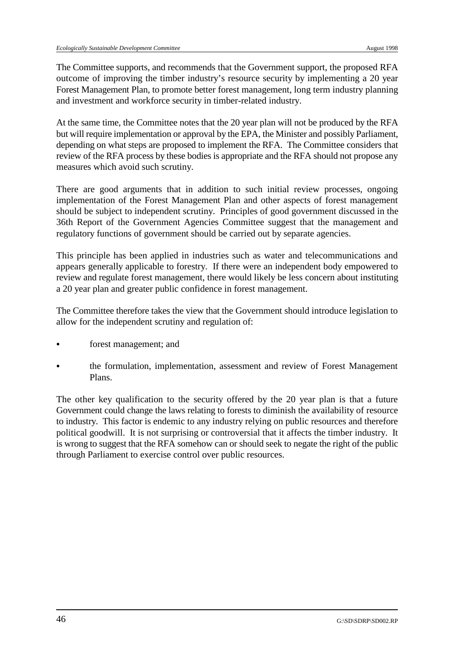The Committee supports, and recommends that the Government support, the proposed RFA outcome of improving the timber industry's resource security by implementing a 20 year Forest Management Plan, to promote better forest management, long term industry planning and investment and workforce security in timber-related industry.

At the same time, the Committee notes that the 20 year plan will not be produced by the RFA but will require implementation or approval by the EPA, the Minister and possibly Parliament, depending on what steps are proposed to implement the RFA. The Committee considers that review of the RFA process by these bodies is appropriate and the RFA should not propose any measures which avoid such scrutiny.

There are good arguments that in addition to such initial review processes, ongoing implementation of the Forest Management Plan and other aspects of forest management should be subject to independent scrutiny. Principles of good government discussed in the 36th Report of the Government Agencies Committee suggest that the management and regulatory functions of government should be carried out by separate agencies.

This principle has been applied in industries such as water and telecommunications and appears generally applicable to forestry. If there were an independent body empowered to review and regulate forest management, there would likely be less concern about instituting a 20 year plan and greater public confidence in forest management.

The Committee therefore takes the view that the Government should introduce legislation to allow for the independent scrutiny and regulation of:

- forest management; and
- & the formulation, implementation, assessment and review of Forest Management Plans.

The other key qualification to the security offered by the 20 year plan is that a future Government could change the laws relating to forests to diminish the availability of resource to industry. This factor is endemic to any industry relying on public resources and therefore political goodwill. It is not surprising or controversial that it affects the timber industry. It is wrong to suggest that the RFA somehow can or should seek to negate the right of the public through Parliament to exercise control over public resources.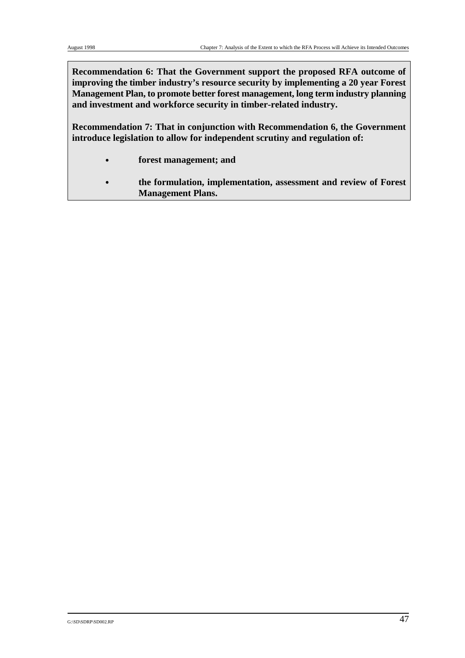**Recommendation 6: That the Government support the proposed RFA outcome of improving the timber industry's resource security by implementing a 20 year Forest Management Plan, to promote better forest management, long term industry planning and investment and workforce security in timber-related industry.**

**Recommendation 7: That in conjunction with Recommendation 6, the Government introduce legislation to allow for independent scrutiny and regulation of:**

- & **forest management; and**
- & **the formulation, implementation, assessment and review of Forest Management Plans.**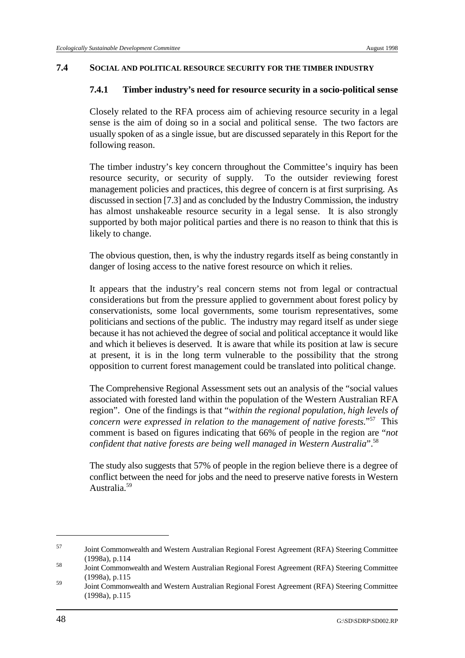#### **7.4 SOCIAL AND POLITICAL RESOURCE SECURITY FOR THE TIMBER INDUSTRY**

### **7.4.1 Timber industry's need for resource security in a socio-political sense**

Closely related to the RFA process aim of achieving resource security in a legal sense is the aim of doing so in a social and political sense. The two factors are usually spoken of as a single issue, but are discussed separately in this Report for the following reason.

The timber industry's key concern throughout the Committee's inquiry has been resource security, or security of supply. To the outsider reviewing forest management policies and practices, this degree of concern is at first surprising. As discussed in section [7.3] and as concluded by the Industry Commission, the industry has almost unshakeable resource security in a legal sense. It is also strongly supported by both major political parties and there is no reason to think that this is likely to change.

The obvious question, then, is why the industry regards itself as being constantly in danger of losing access to the native forest resource on which it relies.

It appears that the industry's real concern stems not from legal or contractual considerations but from the pressure applied to government about forest policy by conservationists, some local governments, some tourism representatives, some politicians and sections of the public. The industry may regard itself as under siege because it has not achieved the degree of social and political acceptance it would like and which it believes is deserved. It is aware that while its position at law is secure at present, it is in the long term vulnerable to the possibility that the strong opposition to current forest management could be translated into political change.

The Comprehensive Regional Assessment sets out an analysis of the "social values associated with forested land within the population of the Western Australian RFA region". One of the findings is that "*within the regional population, high levels of concern were expressed in relation to the management of native forests.*"<sup>57</sup> This comment is based on figures indicating that 66% of people in the region are "*not confident that native forests are being well managed in Western Australia*". 58

The study also suggests that 57% of people in the region believe there is a degree of conflict between the need for jobs and the need to preserve native forests in Western Australia.59

Joint Commonwealth and Western Australian Regional Forest Agreement (RFA) Steering Committee <sup>57</sup> (1998a), p.114

Joint Commonwealth and Western Australian Regional Forest Agreement (RFA) Steering Committee <sup>58</sup> (1998a), p.115

Joint Commonwealth and Western Australian Regional Forest Agreement (RFA) Steering Committee <sup>59</sup> (1998a), p.115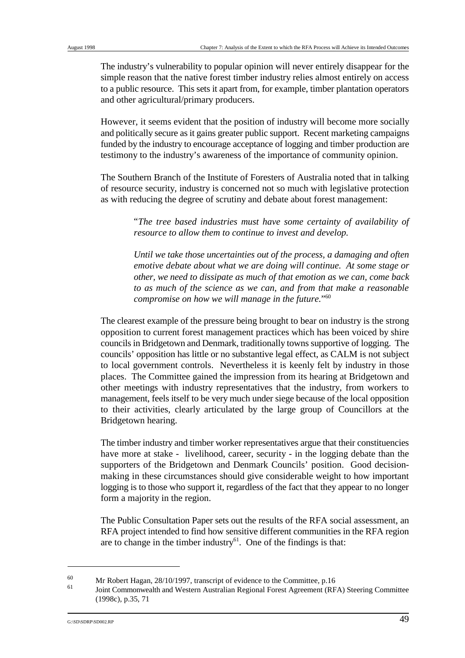The industry's vulnerability to popular opinion will never entirely disappear for the simple reason that the native forest timber industry relies almost entirely on access to a public resource. This sets it apart from, for example, timber plantation operators and other agricultural/primary producers.

However, it seems evident that the position of industry will become more socially and politically secure as it gains greater public support. Recent marketing campaigns funded by the industry to encourage acceptance of logging and timber production are testimony to the industry's awareness of the importance of community opinion.

The Southern Branch of the Institute of Foresters of Australia noted that in talking of resource security, industry is concerned not so much with legislative protection as with reducing the degree of scrutiny and debate about forest management:

> "*The tree based industries must have some certainty of availability of resource to allow them to continue to invest and develop.*

> *Until we take those uncertainties out of the process, a damaging and often emotive debate about what we are doing will continue. At some stage or other, we need to dissipate as much of that emotion as we can, come back to as much of the science as we can, and from that make a reasonable compromise on how we will manage in the future.*"60

The clearest example of the pressure being brought to bear on industry is the strong opposition to current forest management practices which has been voiced by shire councils in Bridgetown and Denmark, traditionally towns supportive of logging. The councils' opposition has little or no substantive legal effect, as CALM is not subject to local government controls. Nevertheless it is keenly felt by industry in those places. The Committee gained the impression from its hearing at Bridgetown and other meetings with industry representatives that the industry, from workers to management, feels itself to be very much under siege because of the local opposition to their activities, clearly articulated by the large group of Councillors at the Bridgetown hearing.

The timber industry and timber worker representatives argue that their constituencies have more at stake - livelihood, career, security - in the logging debate than the supporters of the Bridgetown and Denmark Councils' position. Good decisionmaking in these circumstances should give considerable weight to how important logging is to those who support it, regardless of the fact that they appear to no longer form a majority in the region.

The Public Consultation Paper sets out the results of the RFA social assessment, an RFA project intended to find how sensitive different communities in the RFA region are to change in the timber industry $^{61}$ . One of the findings is that:

 $Mr$  Robert Hagan, 28/10/1997, transcript of evidence to the Committee, p.16 60

Joint Commonwealth and Western Australian Regional Forest Agreement (RFA) Steering Committee <sup>61</sup> (1998c), p.35, 71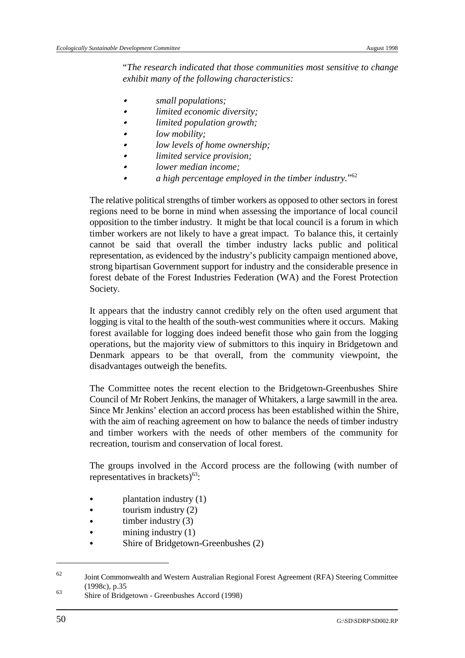"*The research indicated that those communities most sensitive to change exhibit many of the following characteristics:*

- & *small populations;*
- & *limited economic diversity;*
- & *limited population growth;*
- low mobility;
- & *low levels of home ownership;*
- & *limited service provision;*
- & *lower median income;*
- & *a high percentage employed in the timber industry.*"62

The relative political strengths of timber workers as opposed to other sectors in forest regions need to be borne in mind when assessing the importance of local council opposition to the timber industry. It might be that local council is a forum in which timber workers are not likely to have a great impact. To balance this, it certainly cannot be said that overall the timber industry lacks public and political representation, as evidenced by the industry's publicity campaign mentioned above, strong bipartisan Government support for industry and the considerable presence in forest debate of the Forest Industries Federation (WA) and the Forest Protection Society.

It appears that the industry cannot credibly rely on the often used argument that logging is vital to the health of the south-west communities where it occurs. Making forest available for logging does indeed benefit those who gain from the logging operations, but the majority view of submittors to this inquiry in Bridgetown and Denmark appears to be that overall, from the community viewpoint, the disadvantages outweigh the benefits.

The Committee notes the recent election to the Bridgetown-Greenbushes Shire Council of Mr Robert Jenkins, the manager of Whitakers, a large sawmill in the area. Since Mr Jenkins' election an accord process has been established within the Shire, with the aim of reaching agreement on how to balance the needs of timber industry and timber workers with the needs of other members of the community for recreation, tourism and conservation of local forest.

The groups involved in the Accord process are the following (with number of representatives in brackets $)^{63}$ :

- $plantation industry (1)$
- tourism industry  $(2)$
- timber industry  $(3)$
- mining industry  $(1)$
- Shire of Bridgetown-Greenbushes (2)

<sup>&</sup>lt;sup>62</sup> Joint Commonwealth and Western Australian Regional Forest Agreement (RFA) Steering Committee (1998c), p.35

Shire of Bridgetown - Greenbushes Accord (1998) <sup>63</sup>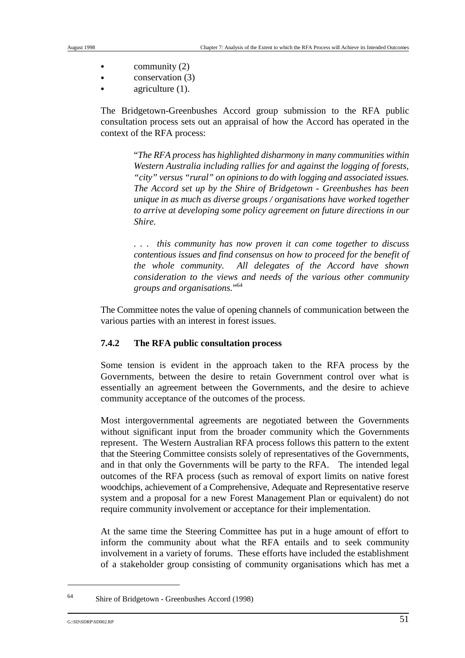- $\bullet$  community (2)
- $conservation (3)$
- agriculture  $(1)$ .

The Bridgetown-Greenbushes Accord group submission to the RFA public consultation process sets out an appraisal of how the Accord has operated in the context of the RFA process:

> "*The RFA process has highlighted disharmony in many communities within Western Australia including rallies for and against the logging of forests, "city" versus "rural" on opinions to do with logging and associated issues. The Accord set up by the Shire of Bridgetown - Greenbushes has been unique in as much as diverse groups / organisations have worked together to arrive at developing some policy agreement on future directions in our Shire.*

> *. . . this community has now proven it can come together to discuss contentious issues and find consensus on how to proceed for the benefit of the whole community. All delegates of the Accord have shown consideration to the views and needs of the various other community groups and organisations.*"64

The Committee notes the value of opening channels of communication between the various parties with an interest in forest issues.

# **7.4.2 The RFA public consultation process**

Some tension is evident in the approach taken to the RFA process by the Governments, between the desire to retain Government control over what is essentially an agreement between the Governments, and the desire to achieve community acceptance of the outcomes of the process.

Most intergovernmental agreements are negotiated between the Governments without significant input from the broader community which the Governments represent. The Western Australian RFA process follows this pattern to the extent that the Steering Committee consists solely of representatives of the Governments, and in that only the Governments will be party to the RFA. The intended legal outcomes of the RFA process (such as removal of export limits on native forest woodchips, achievement of a Comprehensive, Adequate and Representative reserve system and a proposal for a new Forest Management Plan or equivalent) do not require community involvement or acceptance for their implementation.

At the same time the Steering Committee has put in a huge amount of effort to inform the community about what the RFA entails and to seek community involvement in a variety of forums. These efforts have included the establishment of a stakeholder group consisting of community organisations which has met a

Shire of Bridgetown - Greenbushes Accord (1998) <sup>64</sup>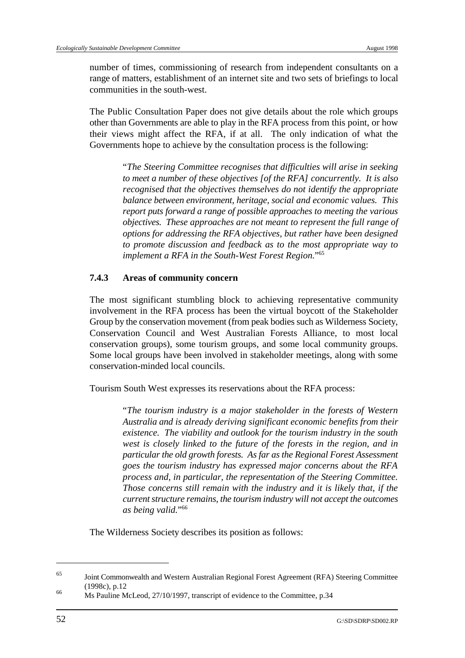number of times, commissioning of research from independent consultants on a range of matters, establishment of an internet site and two sets of briefings to local communities in the south-west.

The Public Consultation Paper does not give details about the role which groups other than Governments are able to play in the RFA process from this point, or how their views might affect the RFA, if at all. The only indication of what the Governments hope to achieve by the consultation process is the following:

> "*The Steering Committee recognises that difficulties will arise in seeking to meet a number of these objectives [of the RFA] concurrently. It is also recognised that the objectives themselves do not identify the appropriate balance between environment, heritage, social and economic values. This report puts forward a range of possible approaches to meeting the various objectives. These approaches are not meant to represent the full range of options for addressing the RFA objectives, but rather have been designed to promote discussion and feedback as to the most appropriate way to implement a RFA in the South-West Forest Region.*"65

## **7.4.3 Areas of community concern**

The most significant stumbling block to achieving representative community involvement in the RFA process has been the virtual boycott of the Stakeholder Group by the conservation movement (from peak bodies such as Wilderness Society, Conservation Council and West Australian Forests Alliance, to most local conservation groups), some tourism groups, and some local community groups. Some local groups have been involved in stakeholder meetings, along with some conservation-minded local councils.

Tourism South West expresses its reservations about the RFA process:

"*The tourism industry is a major stakeholder in the forests of Western Australia and is already deriving significant economic benefits from their existence. The viability and outlook for the tourism industry in the south west is closely linked to the future of the forests in the region, and in particular the old growth forests. As far as the Regional Forest Assessment goes the tourism industry has expressed major concerns about the RFA process and, in particular, the representation of the Steering Committee. Those concerns still remain with the industry and it is likely that, if the current structure remains, the tourism industry will not accept the outcomes as being valid.*"<sup>66</sup>

The Wilderness Society describes its position as follows:

Joint Commonwealth and Western Australian Regional Forest Agreement (RFA) Steering Committee <sup>65</sup> (1998c), p.12

Ms Pauline McLeod, 27/10/1997, transcript of evidence to the Committee, p.34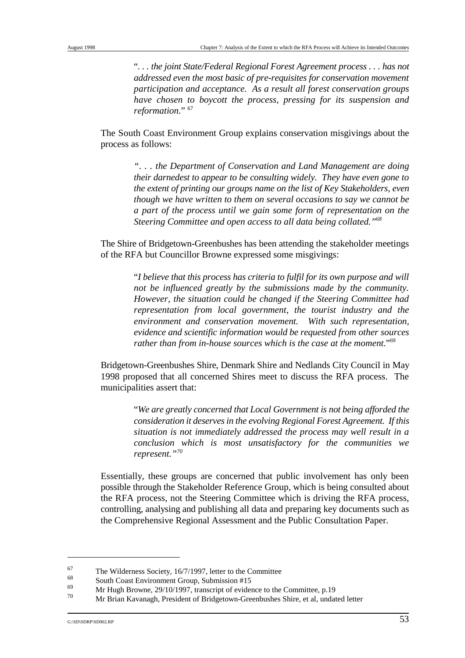"*. . . the joint State/Federal Regional Forest Agreement process . . . has not addressed even the most basic of pre-requisites for conservation movement participation and acceptance. As a result all forest conservation groups have chosen to boycott the process, pressing for its suspension and reformation.*" 67

The South Coast Environment Group explains conservation misgivings about the process as follows:

> *". . . the Department of Conservation and Land Management are doing their darnedest to appear to be consulting widely. They have even gone to the extent of printing our groups name on the list of Key Stakeholders, even though we have written to them on several occasions to say we cannot be a part of the process until we gain some form of representation on the Steering Committee and open access to all data being collated."68*

The Shire of Bridgetown-Greenbushes has been attending the stakeholder meetings of the RFA but Councillor Browne expressed some misgivings:

> "*I believe that this process has criteria to fulfil for its own purpose and will not be influenced greatly by the submissions made by the community. However, the situation could be changed if the Steering Committee had representation from local government, the tourist industry and the environment and conservation movement. With such representation, evidence and scientific information would be requested from other sources rather than from in-house sources which is the case at the moment.*"69

Bridgetown-Greenbushes Shire, Denmark Shire and Nedlands City Council in May 1998 proposed that all concerned Shires meet to discuss the RFA process. The municipalities assert that:

> "*We are greatly concerned that Local Government is not being afforded the consideration it deserves in the evolving Regional Forest Agreement. If this situation is not immediately addressed the process may well result in a conclusion which is most unsatisfactory for the communities we represent."70*

Essentially, these groups are concerned that public involvement has only been possible through the Stakeholder Reference Group, which is being consulted about the RFA process, not the Steering Committee which is driving the RFA process, controlling, analysing and publishing all data and preparing key documents such as the Comprehensive Regional Assessment and the Public Consultation Paper.

 $^{67}$  The Wilderness Society, 16/7/1997, letter to the Committee  $^{68}$ 

 $\frac{68}{69}$  South Coast Environment Group, Submission #15

 $\frac{69}{70}$  Mr Hugh Browne, 29/10/1997, transcript of evidence to the Committee, p.19

Mr Brian Kavanagh, President of Bridgetown-Greenbushes Shire, et al, undated letter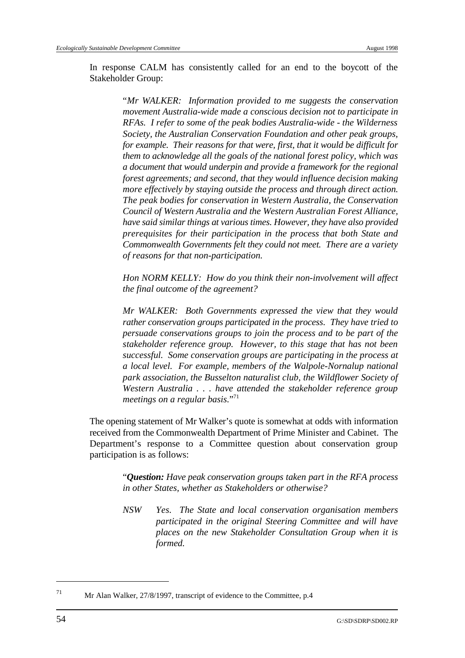In response CALM has consistently called for an end to the boycott of the Stakeholder Group:

> "*Mr WALKER: Information provided to me suggests the conservation movement Australia-wide made a conscious decision not to participate in RFAs. I refer to some of the peak bodies Australia-wide - the Wilderness Society, the Australian Conservation Foundation and other peak groups, for example. Their reasons for that were, first, that it would be difficult for them to acknowledge all the goals of the national forest policy, which was a document that would underpin and provide a framework for the regional forest agreements; and second, that they would influence decision making more effectively by staying outside the process and through direct action. The peak bodies for conservation in Western Australia, the Conservation Council of Western Australia and the Western Australian Forest Alliance, have said similar things at various times. However, they have also provided prerequisites for their participation in the process that both State and Commonwealth Governments felt they could not meet. There are a variety of reasons for that non-participation.*

> *Hon NORM KELLY: How do you think their non-involvement will affect the final outcome of the agreement?*

> *Mr WALKER: Both Governments expressed the view that they would rather conservation groups participated in the process. They have tried to persuade conservations groups to join the process and to be part of the stakeholder reference group. However, to this stage that has not been successful. Some conservation groups are participating in the process at a local level. For example, members of the Walpole-Nornalup national park association, the Busselton naturalist club, the Wildflower Society of Western Australia . . . have attended the stakeholder reference group meetings on a regular basis.*"71

The opening statement of Mr Walker's quote is somewhat at odds with information received from the Commonwealth Department of Prime Minister and Cabinet. The Department's response to a Committee question about conservation group participation is as follows:

> "*Question: Have peak conservation groups taken part in the RFA process in other States, whether as Stakeholders or otherwise?*

> *NSW Yes. The State and local conservation organisation members participated in the original Steering Committee and will have places on the new Stakeholder Consultation Group when it is formed.*

<sup>&</sup>lt;sup>71</sup> Mr Alan Walker, 27/8/1997, transcript of evidence to the Committee, p.4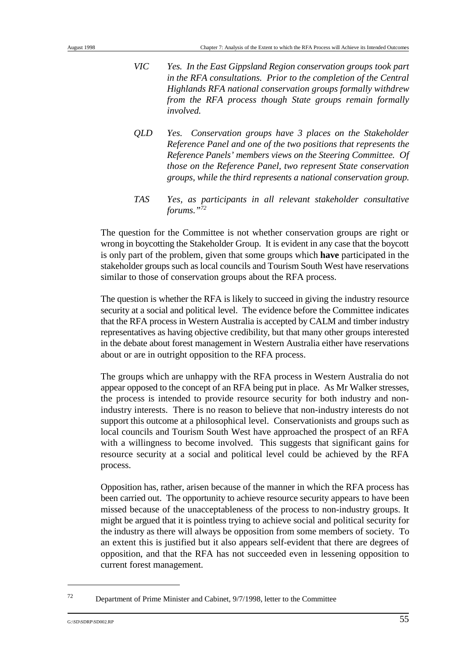- *VIC Yes. In the East Gippsland Region conservation groups took part in the RFA consultations. Prior to the completion of the Central Highlands RFA national conservation groups formally withdrew from the RFA process though State groups remain formally involved.*
- *QLD Yes. Conservation groups have 3 places on the Stakeholder Reference Panel and one of the two positions that represents the Reference Panels' members views on the Steering Committee. Of those on the Reference Panel, two represent State conservation groups, while the third represents a national conservation group.*
- *TAS Yes, as participants in all relevant stakeholder consultative forums."72*

The question for the Committee is not whether conservation groups are right or wrong in boycotting the Stakeholder Group. It is evident in any case that the boycott is only part of the problem, given that some groups which **have** participated in the stakeholder groups such as local councils and Tourism South West have reservations similar to those of conservation groups about the RFA process.

The question is whether the RFA is likely to succeed in giving the industry resource security at a social and political level. The evidence before the Committee indicates that the RFA process in Western Australia is accepted by CALM and timber industry representatives as having objective credibility, but that many other groups interested in the debate about forest management in Western Australia either have reservations about or are in outright opposition to the RFA process.

The groups which are unhappy with the RFA process in Western Australia do not appear opposed to the concept of an RFA being put in place. As Mr Walker stresses, the process is intended to provide resource security for both industry and nonindustry interests. There is no reason to believe that non-industry interests do not support this outcome at a philosophical level. Conservationists and groups such as local councils and Tourism South West have approached the prospect of an RFA with a willingness to become involved. This suggests that significant gains for resource security at a social and political level could be achieved by the RFA process.

Opposition has, rather, arisen because of the manner in which the RFA process has been carried out. The opportunity to achieve resource security appears to have been missed because of the unacceptableness of the process to non-industry groups. It might be argued that it is pointless trying to achieve social and political security for the industry as there will always be opposition from some members of society. To an extent this is justified but it also appears self-evident that there are degrees of opposition, and that the RFA has not succeeded even in lessening opposition to current forest management.

 $^{72}$  Department of Prime Minister and Cabinet,  $9/7/1998$ , letter to the Committee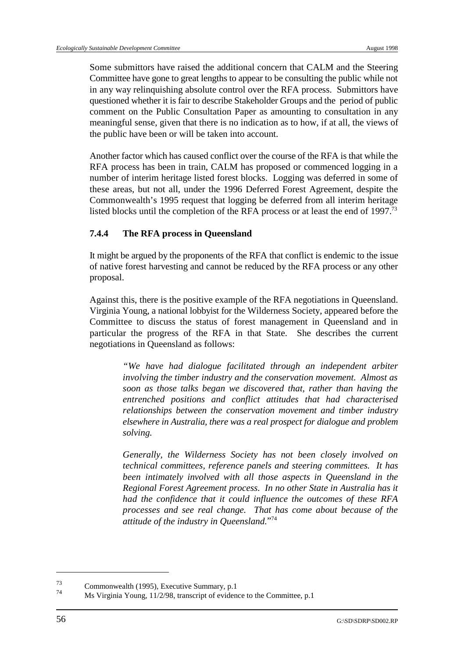Some submittors have raised the additional concern that CALM and the Steering Committee have gone to great lengths to appear to be consulting the public while not in any way relinquishing absolute control over the RFA process. Submittors have questioned whether it is fair to describe Stakeholder Groups and the period of public comment on the Public Consultation Paper as amounting to consultation in any meaningful sense, given that there is no indication as to how, if at all, the views of the public have been or will be taken into account.

Another factor which has caused conflict over the course of the RFA is that while the RFA process has been in train, CALM has proposed or commenced logging in a number of interim heritage listed forest blocks. Logging was deferred in some of these areas, but not all, under the 1996 Deferred Forest Agreement, despite the Commonwealth's 1995 request that logging be deferred from all interim heritage listed blocks until the completion of the RFA process or at least the end of 1997.<sup>73</sup>

# **7.4.4 The RFA process in Queensland**

It might be argued by the proponents of the RFA that conflict is endemic to the issue of native forest harvesting and cannot be reduced by the RFA process or any other proposal.

Against this, there is the positive example of the RFA negotiations in Queensland. Virginia Young, a national lobbyist for the Wilderness Society, appeared before the Committee to discuss the status of forest management in Queensland and in particular the progress of the RFA in that State. She describes the current negotiations in Queensland as follows:

> *"We have had dialogue facilitated through an independent arbiter involving the timber industry and the conservation movement. Almost as soon as those talks began we discovered that, rather than having the entrenched positions and conflict attitudes that had characterised relationships between the conservation movement and timber industry elsewhere in Australia, there was a real prospect for dialogue and problem solving.*

> *Generally, the Wilderness Society has not been closely involved on technical committees, reference panels and steering committees. It has been intimately involved with all those aspects in Queensland in the Regional Forest Agreement process. In no other State in Australia has it had the confidence that it could influence the outcomes of these RFA processes and see real change. That has come about because of the attitude of the industry in Queensland.*"74

 $\frac{73}{74}$  Commonwealth (1995), Executive Summary, p.1

Ms Virginia Young,  $11/2/98$ , transcript of evidence to the Committee, p.1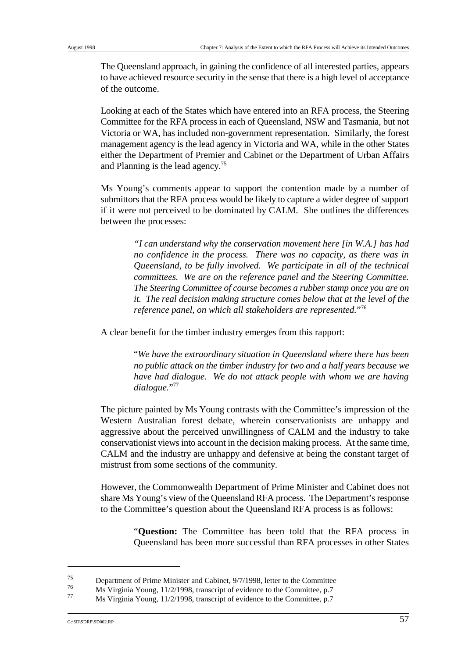The Queensland approach, in gaining the confidence of all interested parties, appears to have achieved resource security in the sense that there is a high level of acceptance of the outcome.

Looking at each of the States which have entered into an RFA process, the Steering Committee for the RFA process in each of Queensland, NSW and Tasmania, but not Victoria or WA, has included non-government representation. Similarly, the forest management agency is the lead agency in Victoria and WA, while in the other States either the Department of Premier and Cabinet or the Department of Urban Affairs and Planning is the lead agency.<sup>75</sup>

Ms Young's comments appear to support the contention made by a number of submittors that the RFA process would be likely to capture a wider degree of support if it were not perceived to be dominated by CALM. She outlines the differences between the processes:

> *"I can understand why the conservation movement here [in W.A.] has had no confidence in the process. There was no capacity, as there was in Queensland, to be fully involved. We participate in all of the technical committees. We are on the reference panel and the Steering Committee. The Steering Committee of course becomes a rubber stamp once you are on it. The real decision making structure comes below that at the level of the reference panel, on which all stakeholders are represented.*"<sup>76</sup>

A clear benefit for the timber industry emerges from this rapport:

"*We have the extraordinary situation in Queensland where there has been no public attack on the timber industry for two and a half years because we have had dialogue. We do not attack people with whom we are having dialogue.*"77

The picture painted by Ms Young contrasts with the Committee's impression of the Western Australian forest debate, wherein conservationists are unhappy and aggressive about the perceived unwillingness of CALM and the industry to take conservationist views into account in the decision making process. At the same time, CALM and the industry are unhappy and defensive at being the constant target of mistrust from some sections of the community.

However, the Commonwealth Department of Prime Minister and Cabinet does not share Ms Young's view of the Queensland RFA process. The Department's response to the Committee's question about the Queensland RFA process is as follows:

> "**Question:** The Committee has been told that the RFA process in Queensland has been more successful than RFA processes in other States

<sup>&</sup>lt;sup>75</sup> Department of Prime Minister and Cabinet, 9/7/1998, letter to the Committee 76

 $\frac{76}{77}$  Ms Virginia Young, 11/2/1998, transcript of evidence to the Committee, p.7

Ms Virginia Young, 11/2/1998, transcript of evidence to the Committee, p.7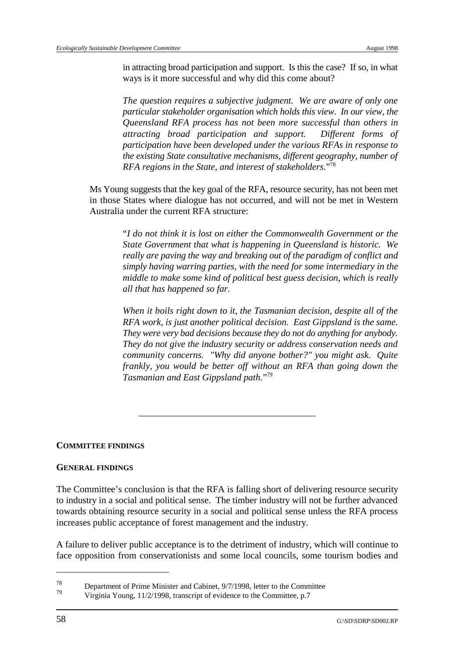in attracting broad participation and support. Is this the case? If so, in what ways is it more successful and why did this come about?

*The question requires a subjective judgment. We are aware of only one particular stakeholder organisation which holds this view. In our view, the Queensland RFA process has not been more successful than others in attracting broad participation and support. Different forms of participation have been developed under the various RFAs in response to the existing State consultative mechanisms, different geography, number of RFA regions in the State, and interest of stakeholders.*<sup>778</sup>

Ms Young suggests that the key goal of the RFA, resource security, has not been met in those States where dialogue has not occurred, and will not be met in Western Australia under the current RFA structure:

> "*I do not think it is lost on either the Commonwealth Government or the State Government that what is happening in Queensland is historic. We really are paving the way and breaking out of the paradigm of conflict and simply having warring parties, with the need for some intermediary in the middle to make some kind of political best guess decision, which is really all that has happened so far.*

> *When it boils right down to it, the Tasmanian decision, despite all of the RFA work, is just another political decision. East Gippsland is the same. They were very bad decisions because they do not do anything for anybody. They do not give the industry security or address conservation needs and community concerns. "Why did anyone bother?" you might ask. Quite frankly, you would be better off without an RFA than going down the Tasmanian and East Gippsland path.*"79

#### **COMMITTEE FINDINGS**

#### **GENERAL FINDINGS**

The Committee's conclusion is that the RFA is falling short of delivering resource security to industry in a social and political sense. The timber industry will not be further advanced towards obtaining resource security in a social and political sense unless the RFA process increases public acceptance of forest management and the industry.

A failure to deliver public acceptance is to the detriment of industry, which will continue to face opposition from conservationists and some local councils, some tourism bodies and

 $\frac{78}{79}$  Department of Prime Minister and Cabinet, 9/7/1998, letter to the Committee

Virginia Young, 11/2/1998, transcript of evidence to the Committee, p.7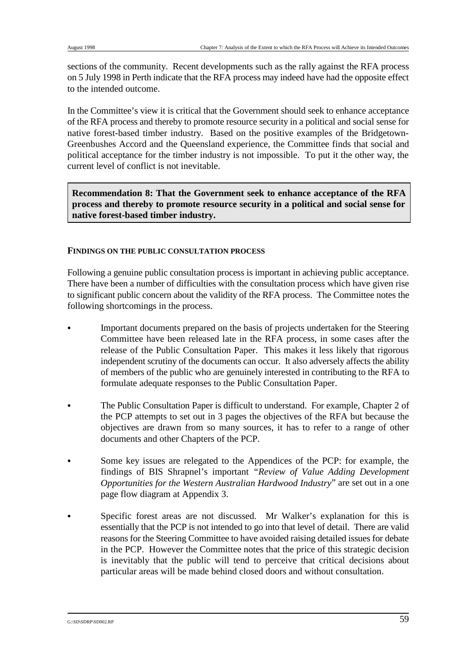sections of the community. Recent developments such as the rally against the RFA process on 5 July 1998 in Perth indicate that the RFA process may indeed have had the opposite effect to the intended outcome.

In the Committee's view it is critical that the Government should seek to enhance acceptance of the RFA process and thereby to promote resource security in a political and social sense for native forest-based timber industry. Based on the positive examples of the Bridgetown-Greenbushes Accord and the Queensland experience, the Committee finds that social and political acceptance for the timber industry is not impossible. To put it the other way, the current level of conflict is not inevitable.

**Recommendation 8: That the Government seek to enhance acceptance of the RFA process and thereby to promote resource security in a political and social sense for native forest-based timber industry.**

### **FINDINGS ON THE PUBLIC CONSULTATION PROCESS**

Following a genuine public consultation process is important in achieving public acceptance. There have been a number of difficulties with the consultation process which have given rise to significant public concern about the validity of the RFA process. The Committee notes the following shortcomings in the process.

- & Important documents prepared on the basis of projects undertaken for the Steering Committee have been released late in the RFA process, in some cases after the release of the Public Consultation Paper. This makes it less likely that rigorous independent scrutiny of the documents can occur. It also adversely affects the ability of members of the public who are genuinely interested in contributing to the RFA to formulate adequate responses to the Public Consultation Paper.
- The Public Consultation Paper is difficult to understand. For example, Chapter 2 of the PCP attempts to set out in 3 pages the objectives of the RFA but because the objectives are drawn from so many sources, it has to refer to a range of other documents and other Chapters of the PCP.
- Some key issues are relegated to the Appendices of the PCP: for example, the findings of BIS Shrapnel's important *"Review of Value Adding Development Opportunities for the Western Australian Hardwood Industry*" are set out in a one page flow diagram at Appendix 3.
- Specific forest areas are not discussed. Mr Walker's explanation for this is essentially that the PCP is not intended to go into that level of detail. There are valid reasons for the Steering Committee to have avoided raising detailed issues for debate in the PCP. However the Committee notes that the price of this strategic decision is inevitably that the public will tend to perceive that critical decisions about particular areas will be made behind closed doors and without consultation.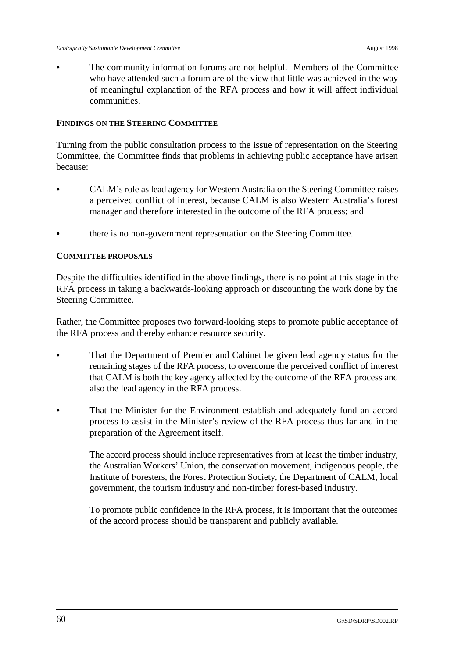The community information forums are not helpful. Members of the Committee who have attended such a forum are of the view that little was achieved in the way of meaningful explanation of the RFA process and how it will affect individual communities.

#### **FINDINGS ON THE STEERING COMMITTEE**

Turning from the public consultation process to the issue of representation on the Steering Committee, the Committee finds that problems in achieving public acceptance have arisen because:

- & CALM's role as lead agency for Western Australia on the Steering Committee raises a perceived conflict of interest, because CALM is also Western Australia's forest manager and therefore interested in the outcome of the RFA process; and
- & there is no non-government representation on the Steering Committee.

### **COMMITTEE PROPOSALS**

Despite the difficulties identified in the above findings, there is no point at this stage in the RFA process in taking a backwards-looking approach or discounting the work done by the Steering Committee.

Rather, the Committee proposes two forward-looking steps to promote public acceptance of the RFA process and thereby enhance resource security.

- That the Department of Premier and Cabinet be given lead agency status for the remaining stages of the RFA process, to overcome the perceived conflict of interest that CALM is both the key agency affected by the outcome of the RFA process and also the lead agency in the RFA process.
- That the Minister for the Environment establish and adequately fund an accord process to assist in the Minister's review of the RFA process thus far and in the preparation of the Agreement itself.

The accord process should include representatives from at least the timber industry, the Australian Workers' Union, the conservation movement, indigenous people, the Institute of Foresters, the Forest Protection Society, the Department of CALM, local government, the tourism industry and non-timber forest-based industry.

To promote public confidence in the RFA process, it is important that the outcomes of the accord process should be transparent and publicly available.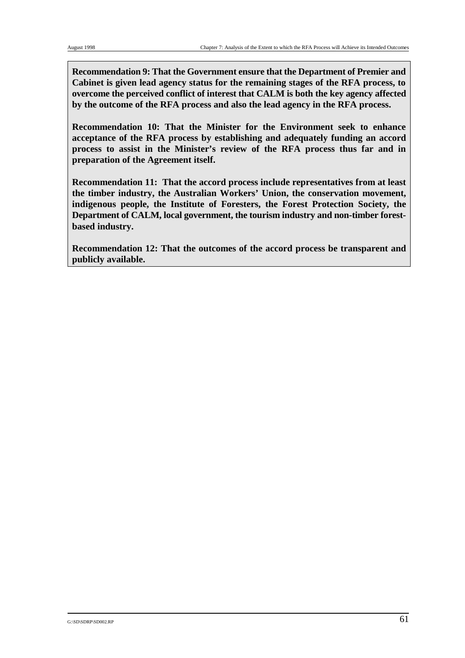**Recommendation 9: That the Government ensure that the Department of Premier and Cabinet is given lead agency status for the remaining stages of the RFA process, to overcome the perceived conflict of interest that CALM is both the key agency affected by the outcome of the RFA process and also the lead agency in the RFA process.**

**Recommendation 10: That the Minister for the Environment seek to enhance acceptance of the RFA process by establishing and adequately funding an accord process to assist in the Minister's review of the RFA process thus far and in preparation of the Agreement itself.** 

**Recommendation 11: That the accord process include representatives from at least the timber industry, the Australian Workers' Union, the conservation movement, indigenous people, the Institute of Foresters, the Forest Protection Society, the Department of CALM, local government, the tourism industry and non-timber forestbased industry.**

**Recommendation 12: That the outcomes of the accord process be transparent and publicly available.**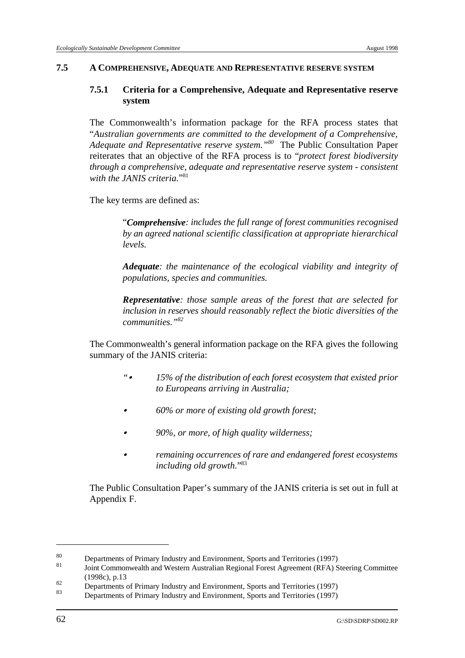### **7.5 A COMPREHENSIVE, ADEQUATE AND REPRESENTATIVE RESERVE SYSTEM**

### **7.5.1 Criteria for a Comprehensive, Adequate and Representative reserve system**

The Commonwealth's information package for the RFA process states that "*Australian governments are committed to the development of a Comprehensive, Adequate and Representative reserve system.*"<sup>80</sup> The Public Consultation Paper reiterates that an objective of the RFA process is to "*protect forest biodiversity through a comprehensive, adequate and representative reserve system - consistent with the JANIS criteria*<sup>"81</sup>

The key terms are defined as:

"*Comprehensive: includes the full range of forest communities recognised by an agreed national scientific classification at appropriate hierarchical levels.*

*Adequate: the maintenance of the ecological viability and integrity of populations, species and communities.*

*Representative: those sample areas of the forest that are selected for inclusion in reserves should reasonably reflect the biotic diversities of the communities."82*

The Commonwealth's general information package on the RFA gives the following summary of the JANIS criteria:

- *"*& *15% of the distribution of each forest ecosystem that existed prior to Europeans arriving in Australia;*
- & *60% or more of existing old growth forest;*
- & *90%, or more, of high quality wilderness;*
- & *remaining occurrences of rare and endangered forest ecosystems including old growth.*"83

The Public Consultation Paper's summary of the JANIS criteria is set out in full at Appendix F.

 $\frac{80}{81}$  Departments of Primary Industry and Environment, Sports and Territories (1997)

Joint Commonwealth and Western Australian Regional Forest Agreement (RFA) Steering Committee (1998c), p.13

 $\frac{82}{200}$  Departments of Primary Industry and Environment, Sports and Territories (1997)

Departments of Primary Industry and Environment, Sports and Territories (1997)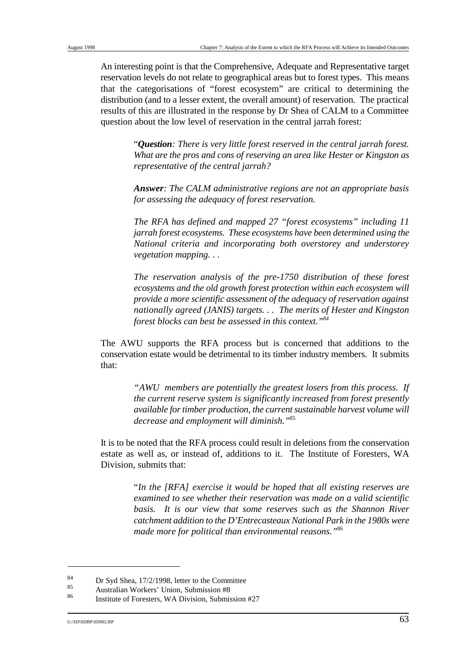An interesting point is that the Comprehensive, Adequate and Representative target reservation levels do not relate to geographical areas but to forest types. This means that the categorisations of "forest ecosystem" are critical to determining the distribution (and to a lesser extent, the overall amount) of reservation. The practical results of this are illustrated in the response by Dr Shea of CALM to a Committee question about the low level of reservation in the central jarrah forest:

> "*Question: There is very little forest reserved in the central jarrah forest. What are the pros and cons of reserving an area like Hester or Kingston as representative of the central jarrah?*

> *Answer: The CALM administrative regions are not an appropriate basis for assessing the adequacy of forest reservation.*

> *The RFA has defined and mapped 27 "forest ecosystems" including 11 jarrah forest ecosystems. These ecosystems have been determined using the National criteria and incorporating both overstorey and understorey vegetation mapping. . .*

> *The reservation analysis of the pre-1750 distribution of these forest ecosystems and the old growth forest protection within each ecosystem will provide a more scientific assessment of the adequacy of reservation against nationally agreed (JANIS) targets. . . The merits of Hester and Kingston forest blocks can best be assessed in this context."84*

The AWU supports the RFA process but is concerned that additions to the conservation estate would be detrimental to its timber industry members. It submits that:

> *"AWU members are potentially the greatest losers from this process. If the current reserve system is significantly increased from forest presently available for timber production, the current sustainable harvest volume will decrease and employment will diminish."*<sup>85</sup>

It is to be noted that the RFA process could result in deletions from the conservation estate as well as, or instead of, additions to it. The Institute of Foresters, WA Division, submits that:

> "*In the [RFA] exercise it would be hoped that all existing reserves are examined to see whether their reservation was made on a valid scientific basis. It is our view that some reserves such as the Shannon River catchment addition to the D'Entrecasteaux National Park in the 1980s were made more for political than environmental reasons."*86

 $\frac{84}{85}$  Dr Syd Shea, 17/2/1998, letter to the Committee

 $\frac{85}{100}$  Australian Workers' Union, Submission #8

Institute of Foresters, WA Division, Submission #27 <sup>86</sup>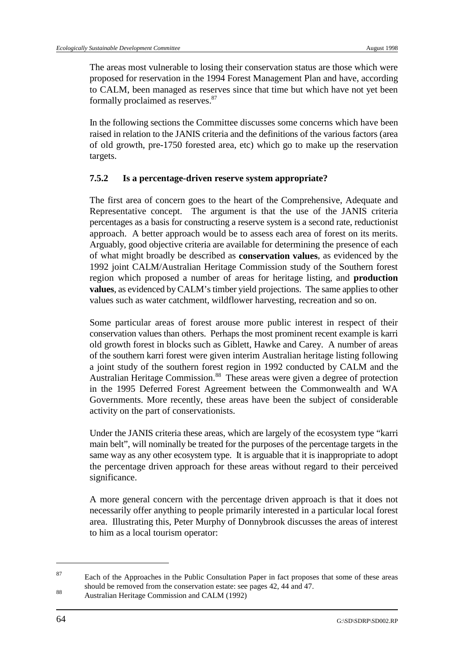The areas most vulnerable to losing their conservation status are those which were proposed for reservation in the 1994 Forest Management Plan and have, according to CALM, been managed as reserves since that time but which have not yet been formally proclaimed as reserves.<sup>87</sup>

In the following sections the Committee discusses some concerns which have been raised in relation to the JANIS criteria and the definitions of the various factors (area of old growth, pre-1750 forested area, etc) which go to make up the reservation targets.

## **7.5.2 Is a percentage-driven reserve system appropriate?**

The first area of concern goes to the heart of the Comprehensive, Adequate and Representative concept. The argument is that the use of the JANIS criteria percentages as a basis for constructing a reserve system is a second rate, reductionist approach. A better approach would be to assess each area of forest on its merits. Arguably, good objective criteria are available for determining the presence of each of what might broadly be described as **conservation values**, as evidenced by the 1992 joint CALM/Australian Heritage Commission study of the Southern forest region which proposed a number of areas for heritage listing, and **production values**, as evidenced by CALM's timber yield projections. The same applies to other values such as water catchment, wildflower harvesting, recreation and so on.

Some particular areas of forest arouse more public interest in respect of their conservation values than others. Perhaps the most prominent recent example is karri old growth forest in blocks such as Giblett, Hawke and Carey. A number of areas of the southern karri forest were given interim Australian heritage listing following a joint study of the southern forest region in 1992 conducted by CALM and the Australian Heritage Commission.<sup>88</sup> These areas were given a degree of protection in the 1995 Deferred Forest Agreement between the Commonwealth and WA Governments. More recently, these areas have been the subject of considerable activity on the part of conservationists.

Under the JANIS criteria these areas, which are largely of the ecosystem type "karri main belt", will nominally be treated for the purposes of the percentage targets in the same way as any other ecosystem type. It is arguable that it is inappropriate to adopt the percentage driven approach for these areas without regard to their perceived significance.

A more general concern with the percentage driven approach is that it does not necessarily offer anything to people primarily interested in a particular local forest area. Illustrating this, Peter Murphy of Donnybrook discusses the areas of interest to him as a local tourism operator:

<sup>&</sup>lt;sup>87</sup> Each of the Approaches in the Public Consultation Paper in fact proposes that some of these areas should be removed from the conservation estate: see pages 42, 44 and 47.

<sup>88</sup> Australian Heritage Commission and CALM (1992)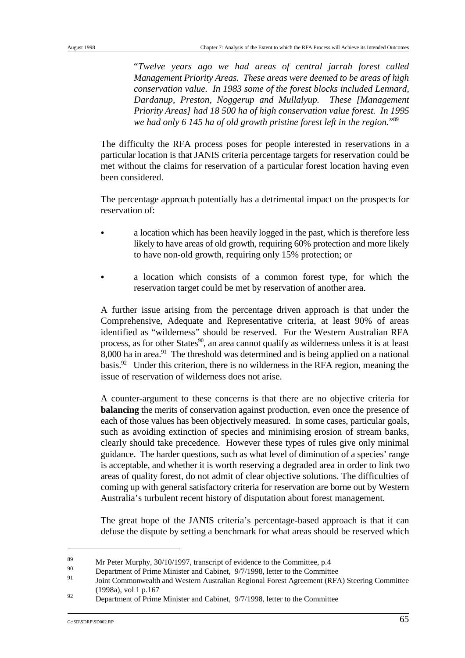"*Twelve years ago we had areas of central jarrah forest called Management Priority Areas. These areas were deemed to be areas of high conservation value. In 1983 some of the forest blocks included Lennard, Dardanup, Preston, Noggerup and Mullalyup. These [Management Priority Areas] had 18 500 ha of high conservation value forest. In 1995 we had only 6 145 ha of old growth pristine forest left in the region.*"<sup>89</sup>

The difficulty the RFA process poses for people interested in reservations in a particular location is that JANIS criteria percentage targets for reservation could be met without the claims for reservation of a particular forest location having even been considered.

The percentage approach potentially has a detrimental impact on the prospects for reservation of:

- & a location which has been heavily logged in the past, which is therefore less likely to have areas of old growth, requiring 60% protection and more likely to have non-old growth, requiring only 15% protection; or
- & a location which consists of a common forest type, for which the reservation target could be met by reservation of another area.

A further issue arising from the percentage driven approach is that under the Comprehensive, Adequate and Representative criteria, at least 90% of areas identified as "wilderness" should be reserved. For the Western Australian RFA process, as for other States $^{90}$ , an area cannot qualify as wilderness unless it is at least 8,000 ha in area. $91$  The threshold was determined and is being applied on a national basis. $^{92}$  Under this criterion, there is no wilderness in the RFA region, meaning the issue of reservation of wilderness does not arise.

A counter-argument to these concerns is that there are no objective criteria for **balancing** the merits of conservation against production, even once the presence of each of those values has been objectively measured. In some cases, particular goals, such as avoiding extinction of species and minimising erosion of stream banks, clearly should take precedence. However these types of rules give only minimal guidance. The harder questions, such as what level of diminution of a species' range is acceptable, and whether it is worth reserving a degraded area in order to link two areas of quality forest, do not admit of clear objective solutions. The difficulties of coming up with general satisfactory criteria for reservation are borne out by Western Australia's turbulent recent history of disputation about forest management.

The great hope of the JANIS criteria's percentage-based approach is that it can defuse the dispute by setting a benchmark for what areas should be reserved which

 $Mr$  Peter Murphy, 30/10/1997, transcript of evidence to the Committee, p.4

Department of Prime Minister and Cabinet,  $9/7/1998$ , letter to the Committee

Joint Commonwealth and Western Australian Regional Forest Agreement (RFA) Steering Committee (1998a), vol 1 p.167

<sup>&</sup>lt;sup>92</sup> Department of Prime Minister and Cabinet, 9/7/1998, letter to the Committee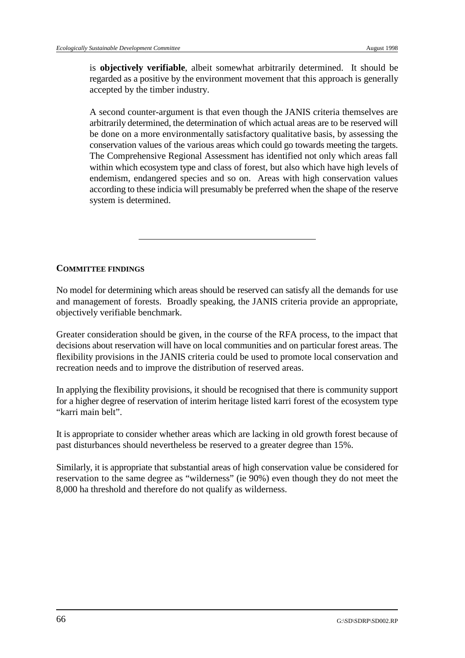is **objectively verifiable**, albeit somewhat arbitrarily determined. It should be regarded as a positive by the environment movement that this approach is generally accepted by the timber industry.

A second counter-argument is that even though the JANIS criteria themselves are arbitrarily determined, the determination of which actual areas are to be reserved will be done on a more environmentally satisfactory qualitative basis, by assessing the conservation values of the various areas which could go towards meeting the targets. The Comprehensive Regional Assessment has identified not only which areas fall within which ecosystem type and class of forest, but also which have high levels of endemism, endangered species and so on. Areas with high conservation values according to these indicia will presumably be preferred when the shape of the reserve system is determined.

## **COMMITTEE FINDINGS**

No model for determining which areas should be reserved can satisfy all the demands for use and management of forests. Broadly speaking, the JANIS criteria provide an appropriate, objectively verifiable benchmark.

Greater consideration should be given, in the course of the RFA process, to the impact that decisions about reservation will have on local communities and on particular forest areas. The flexibility provisions in the JANIS criteria could be used to promote local conservation and recreation needs and to improve the distribution of reserved areas.

In applying the flexibility provisions, it should be recognised that there is community support for a higher degree of reservation of interim heritage listed karri forest of the ecosystem type "karri main belt".

It is appropriate to consider whether areas which are lacking in old growth forest because of past disturbances should nevertheless be reserved to a greater degree than 15%.

Similarly, it is appropriate that substantial areas of high conservation value be considered for reservation to the same degree as "wilderness" (ie 90%) even though they do not meet the 8,000 ha threshold and therefore do not qualify as wilderness.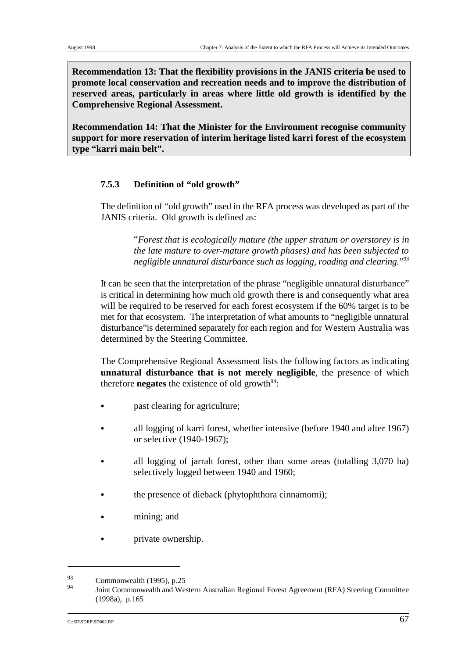**Recommendation 13: That the flexibility provisions in the JANIS criteria be used to promote local conservation and recreation needs and to improve the distribution of reserved areas, particularly in areas where little old growth is identified by the Comprehensive Regional Assessment.** 

**Recommendation 14: That the Minister for the Environment recognise community support for more reservation of interim heritage listed karri forest of the ecosystem type "karri main belt".**

### **7.5.3 Definition of "old growth"**

The definition of "old growth" used in the RFA process was developed as part of the JANIS criteria. Old growth is defined as:

> "*Forest that is ecologically mature (the upper stratum or overstorey is in the late mature to over-mature growth phases) and has been subjected to negligible unnatural disturbance such as logging, roading and clearing.*"93

It can be seen that the interpretation of the phrase "negligible unnatural disturbance" is critical in determining how much old growth there is and consequently what area will be required to be reserved for each forest ecosystem if the 60% target is to be met for that ecosystem. The interpretation of what amounts to "negligible unnatural disturbance"is determined separately for each region and for Western Australia was determined by the Steering Committee.

The Comprehensive Regional Assessment lists the following factors as indicating **unnatural disturbance that is not merely negligible**, the presence of which therefore **negates** the existence of old growth<sup>94</sup>:

- past clearing for agriculture;
- & all logging of karri forest, whether intensive (before 1940 and after 1967) or selective (1940-1967);
- all logging of jarrah forest, other than some areas (totalling 3,070 ha) selectively logged between 1940 and 1960;
- the presence of dieback (phytophthora cinnamomi);
- mining; and
- private ownership.

 $\frac{93}{94}$  Commonwealth (1995), p.25

Joint Commonwealth and Western Australian Regional Forest Agreement (RFA) Steering Committee (1998a), p.165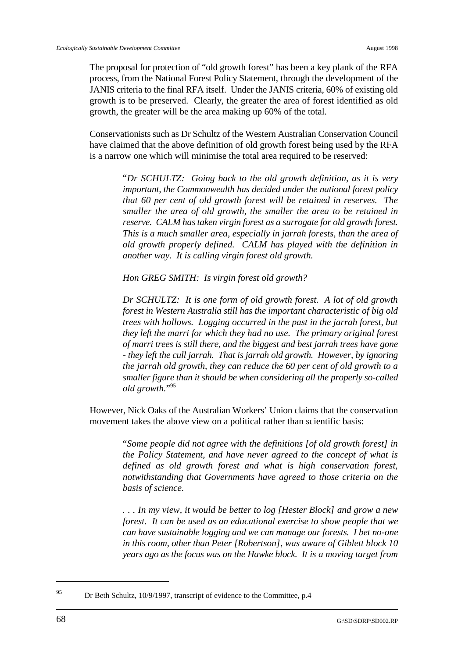The proposal for protection of "old growth forest" has been a key plank of the RFA process, from the National Forest Policy Statement, through the development of the JANIS criteria to the final RFA itself. Under the JANIS criteria, 60% of existing old growth is to be preserved. Clearly, the greater the area of forest identified as old growth, the greater will be the area making up 60% of the total.

Conservationists such as Dr Schultz of the Western Australian Conservation Council have claimed that the above definition of old growth forest being used by the RFA is a narrow one which will minimise the total area required to be reserved:

> "*Dr SCHULTZ: Going back to the old growth definition, as it is very important, the Commonwealth has decided under the national forest policy that 60 per cent of old growth forest will be retained in reserves. The smaller the area of old growth, the smaller the area to be retained in reserve. CALM has taken virgin forest as a surrogate for old growth forest. This is a much smaller area, especially in jarrah forests, than the area of old growth properly defined. CALM has played with the definition in another way. It is calling virgin forest old growth.*

*Hon GREG SMITH: Is virgin forest old growth?*

*Dr SCHULTZ: It is one form of old growth forest. A lot of old growth forest in Western Australia still has the important characteristic of big old trees with hollows. Logging occurred in the past in the jarrah forest, but they left the marri for which they had no use. The primary original forest of marri trees is still there, and the biggest and best jarrah trees have gone - they left the cull jarrah. That is jarrah old growth. However, by ignoring the jarrah old growth, they can reduce the 60 per cent of old growth to a smaller figure than it should be when considering all the properly so-called old growth.*"95

However, Nick Oaks of the Australian Workers' Union claims that the conservation movement takes the above view on a political rather than scientific basis:

> "*Some people did not agree with the definitions [of old growth forest] in the Policy Statement, and have never agreed to the concept of what is defined as old growth forest and what is high conservation forest, notwithstanding that Governments have agreed to those criteria on the basis of science.*

> *. . . In my view, it would be better to log [Hester Block] and grow a new forest. It can be used as an educational exercise to show people that we can have sustainable logging and we can manage our forests. I bet no-one in this room, other than Peter [Robertson], was aware of Giblett block 10 years ago as the focus was on the Hawke block. It is a moving target from*

<sup>&</sup>lt;sup>95</sup> Dr Beth Schultz, 10/9/1997, transcript of evidence to the Committee, p.4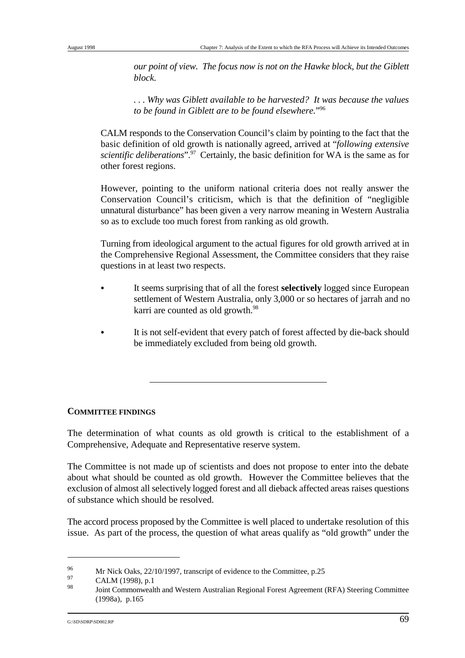*our point of view. The focus now is not on the Hawke block, but the Giblett block.* 

*. . . Why was Giblett available to be harvested? It was because the values* to be found in Giblett are to be found elsewhere."<sup>96</sup>

CALM responds to the Conservation Council's claim by pointing to the fact that the basic definition of old growth is nationally agreed, arrived at "*following extensive scientific deliberations*".<sup>97</sup> Certainly, the basic definition for WA is the same as for other forest regions.

However, pointing to the uniform national criteria does not really answer the Conservation Council's criticism, which is that the definition of "negligible unnatural disturbance" has been given a very narrow meaning in Western Australia so as to exclude too much forest from ranking as old growth.

Turning from ideological argument to the actual figures for old growth arrived at in the Comprehensive Regional Assessment, the Committee considers that they raise questions in at least two respects.

- & It seems surprising that of all the forest **selectively** logged since European settlement of Western Australia, only 3,000 or so hectares of jarrah and no karri are counted as old growth.<sup>98</sup>
- It is not self-evident that every patch of forest affected by die-back should be immediately excluded from being old growth.

### **COMMITTEE FINDINGS**

The determination of what counts as old growth is critical to the establishment of a Comprehensive, Adequate and Representative reserve system.

The Committee is not made up of scientists and does not propose to enter into the debate about what should be counted as old growth. However the Committee believes that the exclusion of almost all selectively logged forest and all dieback affected areas raises questions of substance which should be resolved.

The accord process proposed by the Committee is well placed to undertake resolution of this issue. As part of the process, the question of what areas qualify as "old growth" under the

<sup>&</sup>lt;sup>96</sup> Mr Nick Oaks, 22/10/1997, transcript of evidence to the Committee, p.25

 $\frac{97}{98}$  CALM (1998), p.1

Joint Commonwealth and Western Australian Regional Forest Agreement (RFA) Steering Committee (1998a), p.165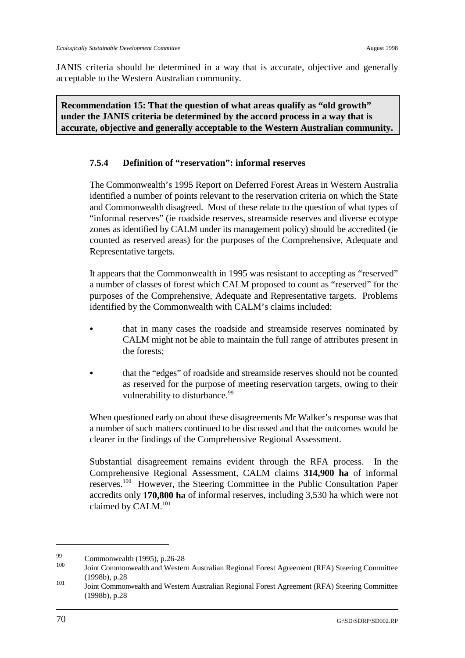JANIS criteria should be determined in a way that is accurate, objective and generally acceptable to the Western Australian community.

**Recommendation 15: That the question of what areas qualify as "old growth" under the JANIS criteria be determined by the accord process in a way that is accurate, objective and generally acceptable to the Western Australian community.**

#### **7.5.4 Definition of "reservation": informal reserves**

The Commonwealth's 1995 Report on Deferred Forest Areas in Western Australia identified a number of points relevant to the reservation criteria on which the State and Commonwealth disagreed. Most of these relate to the question of what types of "informal reserves" (ie roadside reserves, streamside reserves and diverse ecotype zones as identified by CALM under its management policy) should be accredited (ie counted as reserved areas) for the purposes of the Comprehensive, Adequate and Representative targets.

It appears that the Commonwealth in 1995 was resistant to accepting as "reserved" a number of classes of forest which CALM proposed to count as "reserved" for the purposes of the Comprehensive, Adequate and Representative targets. Problems identified by the Commonwealth with CALM's claims included:

- & that in many cases the roadside and streamside reserves nominated by CALM might not be able to maintain the full range of attributes present in the forests;
- that the "edges" of roadside and streamside reserves should not be counted as reserved for the purpose of meeting reservation targets, owing to their vulnerability to disturbance.<sup>99</sup>

When questioned early on about these disagreements Mr Walker's response was that a number of such matters continued to be discussed and that the outcomes would be clearer in the findings of the Comprehensive Regional Assessment.

Substantial disagreement remains evident through the RFA process. In the Comprehensive Regional Assessment, CALM claims **314,900 ha** of informal reserves.<sup>100</sup> However, the Steering Committee in the Public Consultation Paper accredits only **170,800 ha** of informal reserves, including 3,530 ha which were not claimed by CALM.<sup>101</sup>

 $\frac{99}{100}$  Commonwealth (1995), p.26-28

Joint Commonwealth and Western Australian Regional Forest Agreement (RFA) Steering Committee (1998b), p.28

Joint Commonwealth and Western Australian Regional Forest Agreement (RFA) Steering Committee <sup>101</sup> (1998b), p.28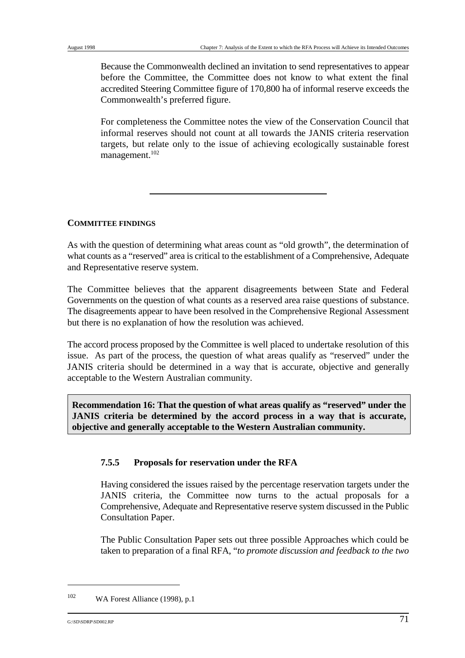Because the Commonwealth declined an invitation to send representatives to appear before the Committee, the Committee does not know to what extent the final accredited Steering Committee figure of 170,800 ha of informal reserve exceeds the Commonwealth's preferred figure.

For completeness the Committee notes the view of the Conservation Council that informal reserves should not count at all towards the JANIS criteria reservation targets, but relate only to the issue of achieving ecologically sustainable forest management.<sup>102</sup>

#### **COMMITTEE FINDINGS**

As with the question of determining what areas count as "old growth", the determination of what counts as a "reserved" area is critical to the establishment of a Comprehensive, Adequate and Representative reserve system.

The Committee believes that the apparent disagreements between State and Federal Governments on the question of what counts as a reserved area raise questions of substance. The disagreements appear to have been resolved in the Comprehensive Regional Assessment but there is no explanation of how the resolution was achieved.

The accord process proposed by the Committee is well placed to undertake resolution of this issue. As part of the process, the question of what areas qualify as "reserved" under the JANIS criteria should be determined in a way that is accurate, objective and generally acceptable to the Western Australian community.

**Recommendation 16: That the question of what areas qualify as "reserved" under the JANIS criteria be determined by the accord process in a way that is accurate, objective and generally acceptable to the Western Australian community.**

#### **7.5.5 Proposals for reservation under the RFA**

Having considered the issues raised by the percentage reservation targets under the JANIS criteria, the Committee now turns to the actual proposals for a Comprehensive, Adequate and Representative reserve system discussed in the Public Consultation Paper.

The Public Consultation Paper sets out three possible Approaches which could be taken to preparation of a final RFA, "*to promote discussion and feedback to the two*

 $W_A$  Forest Alliance (1998), p.1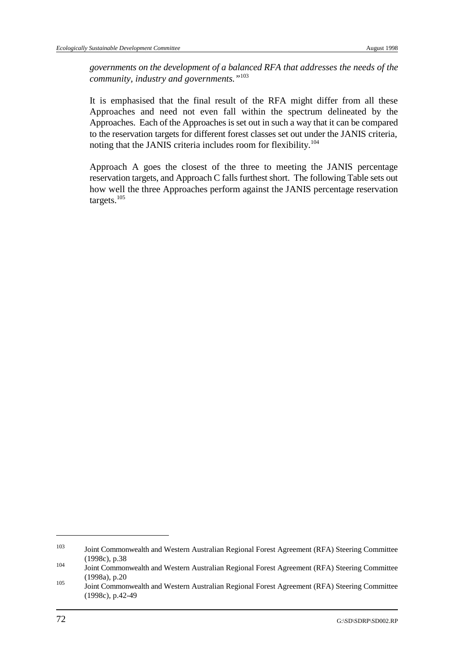*governments on the development of a balanced RFA that addresses the needs of the community, industry and governments."*<sup>103</sup>

It is emphasised that the final result of the RFA might differ from all these Approaches and need not even fall within the spectrum delineated by the Approaches. Each of the Approaches is set out in such a way that it can be compared to the reservation targets for different forest classes set out under the JANIS criteria, noting that the JANIS criteria includes room for flexibility. 104

Approach A goes the closest of the three to meeting the JANIS percentage reservation targets, and Approach C falls furthest short. The following Table sets out how well the three Approaches perform against the JANIS percentage reservation targets.105

<sup>&</sup>lt;sup>103</sup> Joint Commonwealth and Western Australian Regional Forest Agreement (RFA) Steering Committee (1998c), p.38

Joint Commonwealth and Western Australian Regional Forest Agreement (RFA) Steering Committee (1998a), p.20

Joint Commonwealth and Western Australian Regional Forest Agreement (RFA) Steering Committee (1998c), p.42-49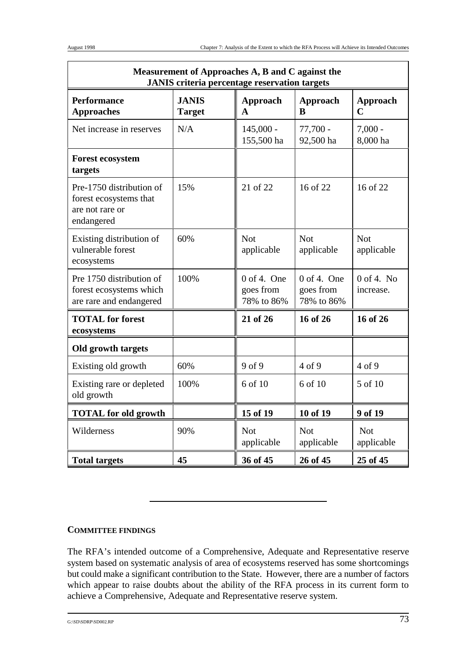| Measurement of Approaches A, B and C against the<br><b>JANIS</b> criteria percentage reservation targets |                               |                                          |                                          |                                |  |
|----------------------------------------------------------------------------------------------------------|-------------------------------|------------------------------------------|------------------------------------------|--------------------------------|--|
| <b>Performance</b><br><b>Approaches</b>                                                                  | <b>JANIS</b><br><b>Target</b> | Approach<br>A                            | Approach<br>R                            | <b>Approach</b><br>$\mathbf C$ |  |
| Net increase in reserves                                                                                 | N/A                           | $145,000 -$<br>155,500 ha                | $77,700 -$<br>92,500 ha                  | $7,000 -$<br>8,000 ha          |  |
| <b>Forest ecosystem</b><br>targets                                                                       |                               |                                          |                                          |                                |  |
| Pre-1750 distribution of<br>forest ecosystems that<br>are not rare or<br>endangered                      | 15%                           | 21 of 22                                 | 16 of 22                                 | 16 of 22                       |  |
| Existing distribution of<br>vulnerable forest<br>ecosystems                                              | 60%                           | <b>Not</b><br>applicable                 | <b>Not</b><br>applicable                 | <b>Not</b><br>applicable       |  |
| Pre 1750 distribution of<br>forest ecosystems which<br>are rare and endangered                           | 100%                          | $0$ of 4. One<br>goes from<br>78% to 86% | $0$ of 4. One<br>goes from<br>78% to 86% | $0$ of 4. No<br>increase.      |  |
| <b>TOTAL</b> for forest<br>ecosystems                                                                    |                               | 21 of 26                                 | 16 of 26                                 | 16 of 26                       |  |
| Old growth targets                                                                                       |                               |                                          |                                          |                                |  |
| Existing old growth                                                                                      | 60%                           | 9 of 9                                   | $4$ of 9                                 | 4 of 9                         |  |
| Existing rare or depleted<br>old growth                                                                  | 100%                          | 6 of 10                                  | 6 of 10                                  | 5 of 10                        |  |
| <b>TOTAL</b> for old growth                                                                              |                               | 15 of 19                                 | 10 of 19                                 | 9 of 19                        |  |
| Wilderness                                                                                               | 90%                           | <b>Not</b><br>applicable                 | <b>Not</b><br>applicable                 | <b>Not</b><br>applicable       |  |
| <b>Total targets</b>                                                                                     | 45                            | 36 of 45                                 | 26 of 45                                 | 25 of 45                       |  |

#### **COMMITTEE FINDINGS**

The RFA's intended outcome of a Comprehensive, Adequate and Representative reserve system based on systematic analysis of area of ecosystems reserved has some shortcomings but could make a significant contribution to the State. However, there are a number of factors which appear to raise doubts about the ability of the RFA process in its current form to achieve a Comprehensive, Adequate and Representative reserve system.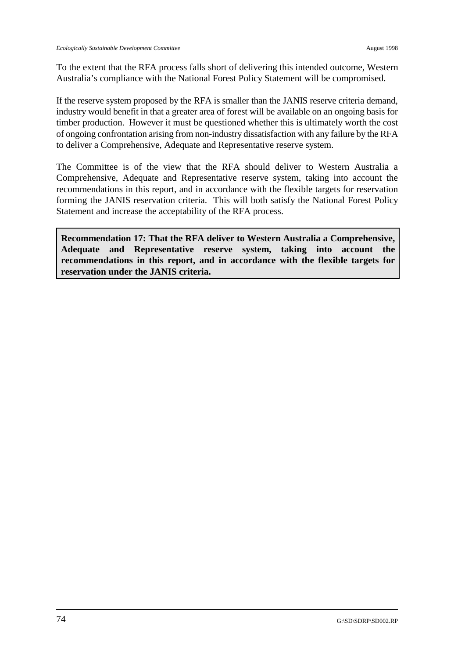To the extent that the RFA process falls short of delivering this intended outcome, Western Australia's compliance with the National Forest Policy Statement will be compromised.

If the reserve system proposed by the RFA is smaller than the JANIS reserve criteria demand, industry would benefit in that a greater area of forest will be available on an ongoing basis for timber production. However it must be questioned whether this is ultimately worth the cost of ongoing confrontation arising from non-industry dissatisfaction with any failure by the RFA to deliver a Comprehensive, Adequate and Representative reserve system.

The Committee is of the view that the RFA should deliver to Western Australia a Comprehensive, Adequate and Representative reserve system, taking into account the recommendations in this report, and in accordance with the flexible targets for reservation forming the JANIS reservation criteria. This will both satisfy the National Forest Policy Statement and increase the acceptability of the RFA process.

**Recommendation 17: That the RFA deliver to Western Australia a Comprehensive, Adequate and Representative reserve system, taking into account the recommendations in this report, and in accordance with the flexible targets for reservation under the JANIS criteria.**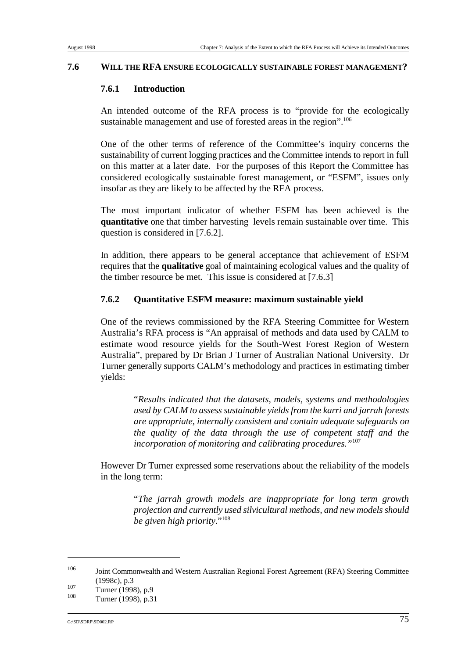#### **7.6 WILL THE RFA ENSURE ECOLOGICALLY SUSTAINABLE FOREST MANAGEMENT?**

#### **7.6.1 Introduction**

An intended outcome of the RFA process is to "provide for the ecologically sustainable management and use of forested areas in the region".<sup>106</sup>

One of the other terms of reference of the Committee's inquiry concerns the sustainability of current logging practices and the Committee intends to report in full on this matter at a later date. For the purposes of this Report the Committee has considered ecologically sustainable forest management, or "ESFM", issues only insofar as they are likely to be affected by the RFA process.

The most important indicator of whether ESFM has been achieved is the **quantitative** one that timber harvesting levels remain sustainable over time. This question is considered in [7.6.2].

In addition, there appears to be general acceptance that achievement of ESFM requires that the **qualitative** goal of maintaining ecological values and the quality of the timber resource be met. This issue is considered at [7.6.3]

#### **7.6.2 Quantitative ESFM measure: maximum sustainable yield**

One of the reviews commissioned by the RFA Steering Committee for Western Australia's RFA process is "An appraisal of methods and data used by CALM to estimate wood resource yields for the South-West Forest Region of Western Australia", prepared by Dr Brian J Turner of Australian National University. Dr Turner generally supports CALM's methodology and practices in estimating timber yields:

> "*Results indicated that the datasets, models, systems and methodologies used by CALM to assess sustainable yields from the karri and jarrah forests are appropriate, internally consistent and contain adequate safeguards on the quality of the data through the use of competent staff and the incorporation of monitoring and calibrating procedures."*<sup>107</sup>

However Dr Turner expressed some reservations about the reliability of the models in the long term:

> "*The jarrah growth models are inappropriate for long term growth projection and currently used silvicultural methods, and new models should be given high priority.*"108

<sup>&</sup>lt;sup>106</sup> Joint Commonwealth and Western Australian Regional Forest Agreement (RFA) Steering Committee (1998c), p.3

 $\frac{107}{108}$  Turner (1998), p.9

Turner (1998), p.31

G:\SD\SDRP\SD002.RP  $75$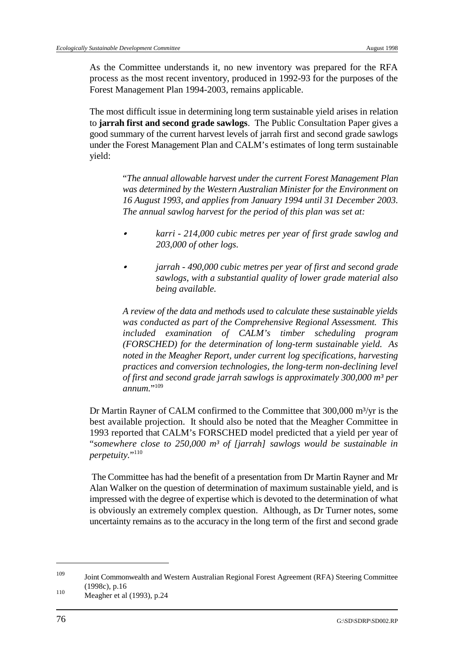As the Committee understands it, no new inventory was prepared for the RFA process as the most recent inventory, produced in 1992-93 for the purposes of the Forest Management Plan 1994-2003, remains applicable.

The most difficult issue in determining long term sustainable yield arises in relation to **jarrah first and second grade sawlogs**. The Public Consultation Paper gives a good summary of the current harvest levels of jarrah first and second grade sawlogs under the Forest Management Plan and CALM's estimates of long term sustainable yield:

> "*The annual allowable harvest under the current Forest Management Plan was determined by the Western Australian Minister for the Environment on 16 August 1993, and applies from January 1994 until 31 December 2003. The annual sawlog harvest for the period of this plan was set at:*

- & *karri 214,000 cubic metres per year of first grade sawlog and 203,000 of other logs.*
- & *jarrah 490,000 cubic metres per year of first and second grade sawlogs, with a substantial quality of lower grade material also being available.*

*A review of the data and methods used to calculate these sustainable yields was conducted as part of the Comprehensive Regional Assessment. This included examination of CALM's timber scheduling program (FORSCHED) for the determination of long-term sustainable yield. As noted in the Meagher Report, under current log specifications, harvesting practices and conversion technologies, the long-term non-declining level of first and second grade jarrah sawlogs is approximately 300,000 m³ per annum.*"109

Dr Martin Rayner of CALM confirmed to the Committee that 300,000 m<sup>3</sup>/yr is the best available projection. It should also be noted that the Meagher Committee in 1993 reported that CALM's FORSCHED model predicted that a yield per year of "*somewhere close to 250,000 m³ of [jarrah] sawlogs would be sustainable in perpetuity.*"<sup>110</sup>

 The Committee has had the benefit of a presentation from Dr Martin Rayner and Mr Alan Walker on the question of determination of maximum sustainable yield, and is impressed with the degree of expertise which is devoted to the determination of what is obviously an extremely complex question. Although, as Dr Turner notes, some uncertainty remains as to the accuracy in the long term of the first and second grade

<sup>&</sup>lt;sup>109</sup> Joint Commonwealth and Western Australian Regional Forest Agreement (RFA) Steering Committee (1998c), p.16

 $^{110}$  Meagher et al (1993), p.24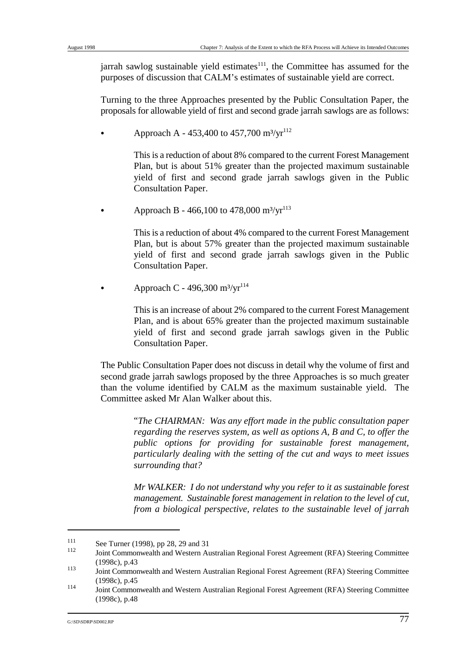jarrah sawlog sustainable yield estimates $\frac{111}{11}$ , the Committee has assumed for the purposes of discussion that CALM's estimates of sustainable yield are correct.

Turning to the three Approaches presented by the Public Consultation Paper, the proposals for allowable yield of first and second grade jarrah sawlogs are as follows:

Approach A - 453,400 to 457,700  $\text{m}^3/\text{yr}^{112}$ 

This is a reduction of about 8% compared to the current Forest Management Plan, but is about 51% greater than the projected maximum sustainable yield of first and second grade jarrah sawlogs given in the Public Consultation Paper.

Approach B - 466,100 to 478,000  $\text{m}^3/\text{yr}^{113}$ 

This is a reduction of about 4% compared to the current Forest Management Plan, but is about 57% greater than the projected maximum sustainable yield of first and second grade jarrah sawlogs given in the Public Consultation Paper.

Approach C - 496,300 m<sup>3</sup>/yr<sup>114</sup>

This is an increase of about 2% compared to the current Forest Management Plan, and is about 65% greater than the projected maximum sustainable yield of first and second grade jarrah sawlogs given in the Public Consultation Paper.

The Public Consultation Paper does not discuss in detail why the volume of first and second grade jarrah sawlogs proposed by the three Approaches is so much greater than the volume identified by CALM as the maximum sustainable yield. The Committee asked Mr Alan Walker about this.

> "*The CHAIRMAN: Was any effort made in the public consultation paper regarding the reserves system, as well as options A, B and C, to offer the public options for providing for sustainable forest management, particularly dealing with the setting of the cut and ways to meet issues surrounding that?*

> *Mr WALKER: I do not understand why you refer to it as sustainable forest management. Sustainable forest management in relation to the level of cut, from a biological perspective, relates to the sustainable level of jarrah*

 $See$  Turner (1998), pp 28, 29 and 31

Joint Commonwealth and Western Australian Regional Forest Agreement (RFA) Steering Committee (1998c), p.43

Joint Commonwealth and Western Australian Regional Forest Agreement (RFA) Steering Committee <sup>113</sup> (1998c), p.45

Joint Commonwealth and Western Australian Regional Forest Agreement (RFA) Steering Committee <sup>114</sup> (1998c), p.48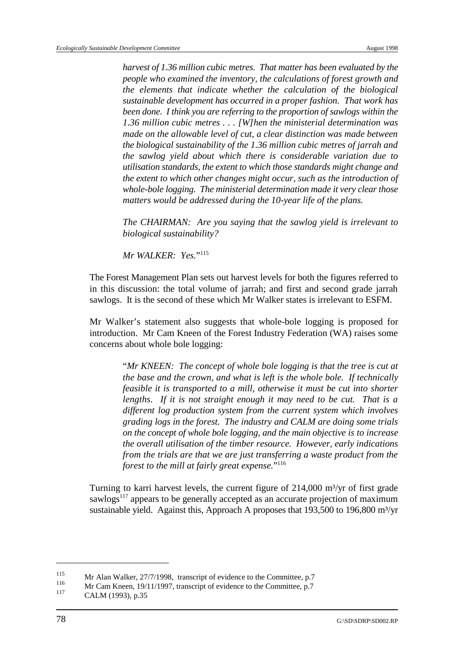*harvest of 1.36 million cubic metres. That matter has been evaluated by the people who examined the inventory, the calculations of forest growth and the elements that indicate whether the calculation of the biological sustainable development has occurred in a proper fashion. That work has been done. I think you are referring to the proportion of sawlogs within the 1.36 million cubic metres . . . [W]hen the ministerial determination was made on the allowable level of cut, a clear distinction was made between the biological sustainability of the 1.36 million cubic metres of jarrah and the sawlog yield about which there is considerable variation due to utilisation standards, the extent to which those standards might change and the extent to which other changes might occur, such as the introduction of whole-bole logging. The ministerial determination made it very clear those matters would be addressed during the 10-year life of the plans.*

*The CHAIRMAN: Are you saying that the sawlog yield is irrelevant to biological sustainability?*

*Mr WALKER: Yes.*"115

The Forest Management Plan sets out harvest levels for both the figures referred to in this discussion: the total volume of jarrah; and first and second grade jarrah sawlogs. It is the second of these which Mr Walker states is irrelevant to ESFM.

Mr Walker's statement also suggests that whole-bole logging is proposed for introduction. Mr Cam Kneen of the Forest Industry Federation (WA) raises some concerns about whole bole logging:

> "*Mr KNEEN: The concept of whole bole logging is that the tree is cut at the base and the crown, and what is left is the whole bole. If technically feasible it is transported to a mill, otherwise it must be cut into shorter lengths. If it is not straight enough it may need to be cut. That is a different log production system from the current system which involves grading logs in the forest. The industry and CALM are doing some trials on the concept of whole bole logging, and the main objective is to increase the overall utilisation of the timber resource. However, early indications from the trials are that we are just transferring a waste product from the forest to the mill at fairly great expense.*"<sup>116</sup>

Turning to karri harvest levels, the current figure of  $214,000$  m<sup>3</sup>/yr of first grade sawlogs $117$  appears to be generally accepted as an accurate projection of maximum sustainable yield. Against this, Approach A proposes that  $193,500$  to  $196,800$  m<sup>3</sup>/yr

<sup>&</sup>lt;sup>115</sup> Mr Alan Walker, 27/7/1998, transcript of evidence to the Committee, p.7

Mr Cam Kneen, 19/11/1997, transcript of evidence to the Committee, p.7<br>117

CALM (1993), p.35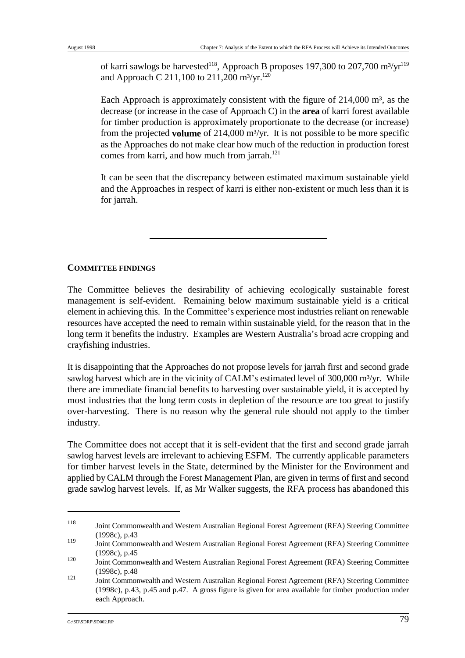of karri sawlogs be harvested<sup>118</sup>, Approach B proposes 197,300 to 207,700 m<sup>3</sup>/yr<sup>119</sup> and Approach C 211,100 to 211,200 m<sup>3</sup>/yr.<sup>120</sup>

Each Approach is approximately consistent with the figure of  $214,000$  m<sup>3</sup>, as the decrease (or increase in the case of Approach C) in the **area** of karri forest available for timber production is approximately proportionate to the decrease (or increase) from the projected **volume** of 214,000 m³/yr. It is not possible to be more specific as the Approaches do not make clear how much of the reduction in production forest comes from karri, and how much from jarrah.<sup>121</sup>

It can be seen that the discrepancy between estimated maximum sustainable yield and the Approaches in respect of karri is either non-existent or much less than it is for jarrah.

#### **COMMITTEE FINDINGS**

The Committee believes the desirability of achieving ecologically sustainable forest management is self-evident. Remaining below maximum sustainable yield is a critical element in achieving this. In the Committee's experience most industries reliant on renewable resources have accepted the need to remain within sustainable yield, for the reason that in the long term it benefits the industry. Examples are Western Australia's broad acre cropping and crayfishing industries.

It is disappointing that the Approaches do not propose levels for jarrah first and second grade sawlog harvest which are in the vicinity of CALM's estimated level of 300,000 m<sup>3</sup>/yr. While there are immediate financial benefits to harvesting over sustainable yield, it is accepted by most industries that the long term costs in depletion of the resource are too great to justify over-harvesting. There is no reason why the general rule should not apply to the timber industry.

The Committee does not accept that it is self-evident that the first and second grade jarrah sawlog harvest levels are irrelevant to achieving ESFM. The currently applicable parameters for timber harvest levels in the State, determined by the Minister for the Environment and applied by CALM through the Forest Management Plan, are given in terms of first and second grade sawlog harvest levels. If, as Mr Walker suggests, the RFA process has abandoned this

Joint Commonwealth and Western Australian Regional Forest Agreement (RFA) Steering Committee <sup>118</sup> (1998c), p.43

Joint Commonwealth and Western Australian Regional Forest Agreement (RFA) Steering Committee <sup>119</sup> (1998c), p.45

Joint Commonwealth and Western Australian Regional Forest Agreement (RFA) Steering Committee <sup>120</sup> (1998c), p.48

Joint Commonwealth and Western Australian Regional Forest Agreement (RFA) Steering Committee (1998c), p.43, p.45 and p.47. A gross figure is given for area available for timber production under each Approach.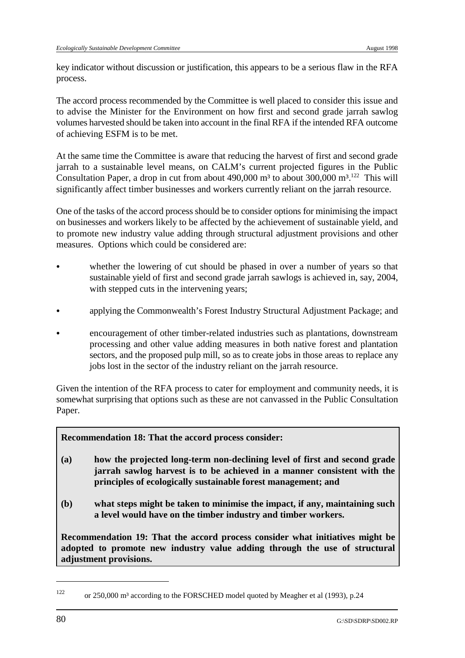key indicator without discussion or justification, this appears to be a serious flaw in the RFA process.

The accord process recommended by the Committee is well placed to consider this issue and to advise the Minister for the Environment on how first and second grade jarrah sawlog volumes harvested should be taken into account in the final RFA if the intended RFA outcome of achieving ESFM is to be met.

At the same time the Committee is aware that reducing the harvest of first and second grade jarrah to a sustainable level means, on CALM's current projected figures in the Public Consultation Paper, a drop in cut from about 490,000 m<sup>3</sup> to about 300,000 m<sup>3</sup>.<sup>122</sup> This will significantly affect timber businesses and workers currently reliant on the jarrah resource.

One of the tasks of the accord process should be to consider options for minimising the impact on businesses and workers likely to be affected by the achievement of sustainable yield, and to promote new industry value adding through structural adjustment provisions and other measures. Options which could be considered are:

- whether the lowering of cut should be phased in over a number of years so that sustainable yield of first and second grade jarrah sawlogs is achieved in, say, 2004, with stepped cuts in the intervening years;
- applying the Commonwealth's Forest Industry Structural Adjustment Package; and
- & encouragement of other timber-related industries such as plantations, downstream processing and other value adding measures in both native forest and plantation sectors, and the proposed pulp mill, so as to create jobs in those areas to replace any jobs lost in the sector of the industry reliant on the jarrah resource.

Given the intention of the RFA process to cater for employment and community needs, it is somewhat surprising that options such as these are not canvassed in the Public Consultation Paper.

**Recommendation 18: That the accord process consider:**

- **(a) how the projected long-term non-declining level of first and second grade jarrah sawlog harvest is to be achieved in a manner consistent with the principles of ecologically sustainable forest management; and**
- **(b) what steps might be taken to minimise the impact, if any, maintaining such a level would have on the timber industry and timber workers.**

**Recommendation 19: That the accord process consider what initiatives might be adopted to promote new industry value adding through the use of structural adjustment provisions.**

 $122 \text{ or } 250,000 \text{ m}^3$  according to the FORSCHED model quoted by Meagher et al (1993), p.24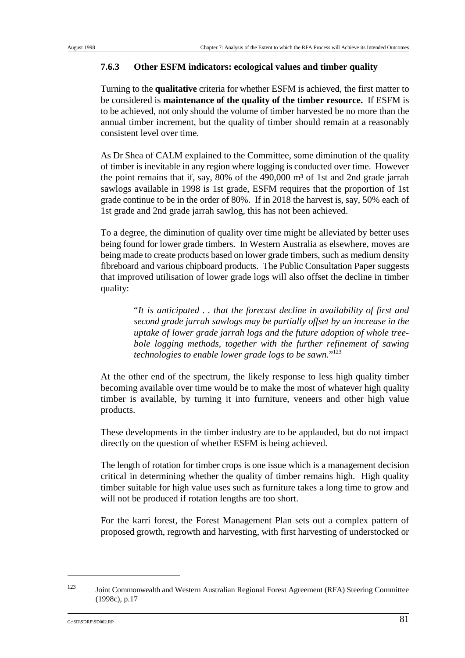### **7.6.3 Other ESFM indicators: ecological values and timber quality**

Turning to the **qualitative** criteria for whether ESFM is achieved, the first matter to be considered is **maintenance of the quality of the timber resource.** If ESFM is to be achieved, not only should the volume of timber harvested be no more than the annual timber increment, but the quality of timber should remain at a reasonably consistent level over time.

As Dr Shea of CALM explained to the Committee, some diminution of the quality of timber is inevitable in any region where logging is conducted over time. However the point remains that if, say,  $80\%$  of the  $490,000$  m<sup>3</sup> of 1st and 2nd grade jarrah sawlogs available in 1998 is 1st grade, ESFM requires that the proportion of 1st grade continue to be in the order of 80%. If in 2018 the harvest is, say, 50% each of 1st grade and 2nd grade jarrah sawlog, this has not been achieved.

To a degree, the diminution of quality over time might be alleviated by better uses being found for lower grade timbers. In Western Australia as elsewhere, moves are being made to create products based on lower grade timbers, such as medium density fibreboard and various chipboard products. The Public Consultation Paper suggests that improved utilisation of lower grade logs will also offset the decline in timber quality:

> "*It is anticipated . . that the forecast decline in availability of first and second grade jarrah sawlogs may be partially offset by an increase in the uptake of lower grade jarrah logs and the future adoption of whole treebole logging methods, together with the further refinement of sawing technologies to enable lower grade logs to be sawn.*"123

At the other end of the spectrum, the likely response to less high quality timber becoming available over time would be to make the most of whatever high quality timber is available, by turning it into furniture, veneers and other high value products.

These developments in the timber industry are to be applauded, but do not impact directly on the question of whether ESFM is being achieved.

The length of rotation for timber crops is one issue which is a management decision critical in determining whether the quality of timber remains high. High quality timber suitable for high value uses such as furniture takes a long time to grow and will not be produced if rotation lengths are too short.

For the karri forest, the Forest Management Plan sets out a complex pattern of proposed growth, regrowth and harvesting, with first harvesting of understocked or

<sup>&</sup>lt;sup>123</sup> Joint Commonwealth and Western Australian Regional Forest Agreement (RFA) Steering Committee (1998c), p.17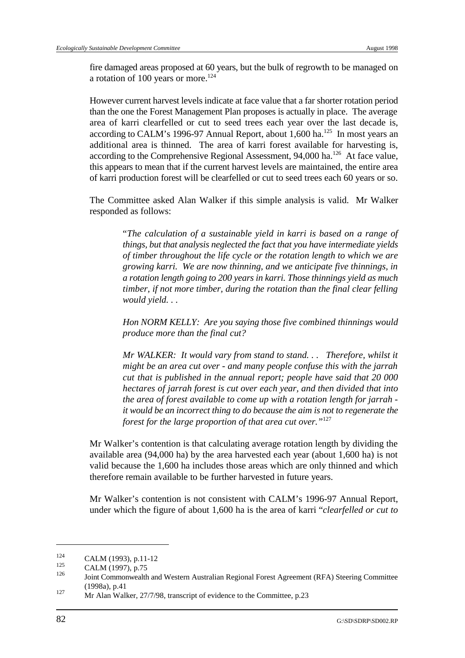fire damaged areas proposed at 60 years, but the bulk of regrowth to be managed on a rotation of 100 years or more.<sup>124</sup>

However current harvest levels indicate at face value that a far shorter rotation period than the one the Forest Management Plan proposes is actually in place. The average area of karri clearfelled or cut to seed trees each year over the last decade is, according to CALM's 1996-97 Annual Report, about 1,600 ha.<sup>125</sup> In most years an additional area is thinned. The area of karri forest available for harvesting is, according to the Comprehensive Regional Assessment, 94,000 ha.<sup>126</sup> At face value, this appears to mean that if the current harvest levels are maintained, the entire area of karri production forest will be clearfelled or cut to seed trees each 60 years or so.

The Committee asked Alan Walker if this simple analysis is valid. Mr Walker responded as follows:

> "*The calculation of a sustainable yield in karri is based on a range of things, but that analysis neglected the fact that you have intermediate yields of timber throughout the life cycle or the rotation length to which we are growing karri. We are now thinning, and we anticipate five thinnings, in a rotation length going to 200 years in karri. Those thinnings yield as much timber, if not more timber, during the rotation than the final clear felling would yield. . .*

> *Hon NORM KELLY: Are you saying those five combined thinnings would produce more than the final cut?*

> *Mr WALKER: It would vary from stand to stand. . . Therefore, whilst it might be an area cut over - and many people confuse this with the jarrah cut that is published in the annual report; people have said that 20 000 hectares of jarrah forest is cut over each year, and then divided that into the area of forest available to come up with a rotation length for jarrah it would be an incorrect thing to do because the aim is not to regenerate the forest for the large proportion of that area cut over."*<sup>127</sup>

Mr Walker's contention is that calculating average rotation length by dividing the available area (94,000 ha) by the area harvested each year (about 1,600 ha) is not valid because the 1,600 ha includes those areas which are only thinned and which therefore remain available to be further harvested in future years.

Mr Walker's contention is not consistent with CALM's 1996-97 Annual Report, under which the figure of about 1,600 ha is the area of karri "*clearfelled or cut to*

 $\frac{124}{125}$  CALM (1993), p.11-12

 $\text{CALM}$  (1997), p.75

Joint Commonwealth and Western Australian Regional Forest Agreement (RFA) Steering Committee <sup>126</sup> (1998a), p.41

<sup>&</sup>lt;sup>127</sup> Mr Alan Walker, 27/7/98, transcript of evidence to the Committee, p.23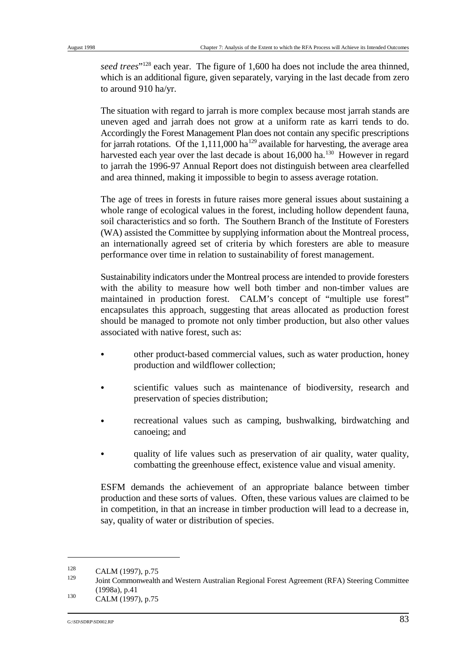*seed trees*"<sup>128</sup> each year. The figure of 1,600 ha does not include the area thinned, which is an additional figure, given separately, varying in the last decade from zero to around 910 ha/yr.

The situation with regard to jarrah is more complex because most jarrah stands are uneven aged and jarrah does not grow at a uniform rate as karri tends to do. Accordingly the Forest Management Plan does not contain any specific prescriptions for jarrah rotations. Of the 1,111,000 ha<sup>129</sup> available for harvesting, the average area harvested each year over the last decade is about  $16,000$  ha.<sup>130</sup> However in regard to jarrah the 1996-97 Annual Report does not distinguish between area clearfelled and area thinned, making it impossible to begin to assess average rotation.

The age of trees in forests in future raises more general issues about sustaining a whole range of ecological values in the forest, including hollow dependent fauna, soil characteristics and so forth. The Southern Branch of the Institute of Foresters (WA) assisted the Committee by supplying information about the Montreal process, an internationally agreed set of criteria by which foresters are able to measure performance over time in relation to sustainability of forest management.

Sustainability indicators under the Montreal process are intended to provide foresters with the ability to measure how well both timber and non-timber values are maintained in production forest. CALM's concept of "multiple use forest" encapsulates this approach, suggesting that areas allocated as production forest should be managed to promote not only timber production, but also other values associated with native forest, such as:

- other product-based commercial values, such as water production, honey production and wildflower collection;
- scientific values such as maintenance of biodiversity, research and preservation of species distribution;
- recreational values such as camping, bushwalking, birdwatching and canoeing; and
- & quality of life values such as preservation of air quality, water quality, combatting the greenhouse effect, existence value and visual amenity.

ESFM demands the achievement of an appropriate balance between timber production and these sorts of values. Often, these various values are claimed to be in competition, in that an increase in timber production will lead to a decrease in, say, quality of water or distribution of species.

 $\frac{128}{129}$  CALM (1997), p.75

Joint Commonwealth and Western Australian Regional Forest Agreement (RFA) Steering Committee (1998a), p.41  $\text{CALM}$  (1997), p.75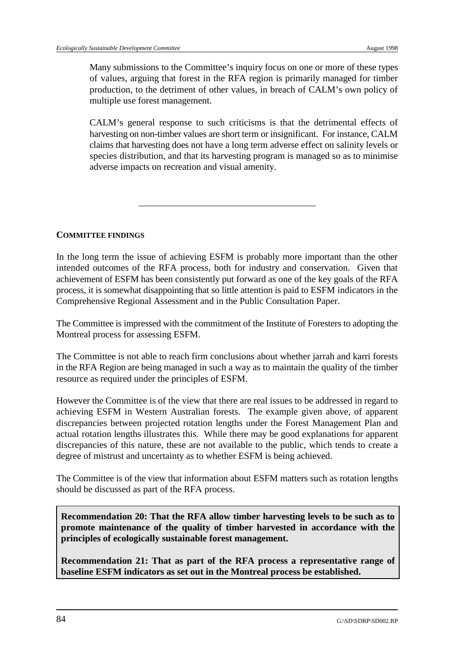Many submissions to the Committee's inquiry focus on one or more of these types of values, arguing that forest in the RFA region is primarily managed for timber production, to the detriment of other values, in breach of CALM's own policy of multiple use forest management.

CALM's general response to such criticisms is that the detrimental effects of harvesting on non-timber values are short term or insignificant. For instance, CALM claims that harvesting does not have a long term adverse effect on salinity levels or species distribution, and that its harvesting program is managed so as to minimise adverse impacts on recreation and visual amenity.

#### **COMMITTEE FINDINGS**

In the long term the issue of achieving ESFM is probably more important than the other intended outcomes of the RFA process, both for industry and conservation. Given that achievement of ESFM has been consistently put forward as one of the key goals of the RFA process, it is somewhat disappointing that so little attention is paid to ESFM indicators in the Comprehensive Regional Assessment and in the Public Consultation Paper.

The Committee is impressed with the commitment of the Institute of Foresters to adopting the Montreal process for assessing ESFM.

The Committee is not able to reach firm conclusions about whether jarrah and karri forests in the RFA Region are being managed in such a way as to maintain the quality of the timber resource as required under the principles of ESFM.

However the Committee is of the view that there are real issues to be addressed in regard to achieving ESFM in Western Australian forests. The example given above, of apparent discrepancies between projected rotation lengths under the Forest Management Plan and actual rotation lengths illustrates this. While there may be good explanations for apparent discrepancies of this nature, these are not available to the public, which tends to create a degree of mistrust and uncertainty as to whether ESFM is being achieved.

The Committee is of the view that information about ESFM matters such as rotation lengths should be discussed as part of the RFA process.

**Recommendation 20: That the RFA allow timber harvesting levels to be such as to promote maintenance of the quality of timber harvested in accordance with the principles of ecologically sustainable forest management.**

**Recommendation 21: That as part of the RFA process a representative range of baseline ESFM indicators as set out in the Montreal process be established.**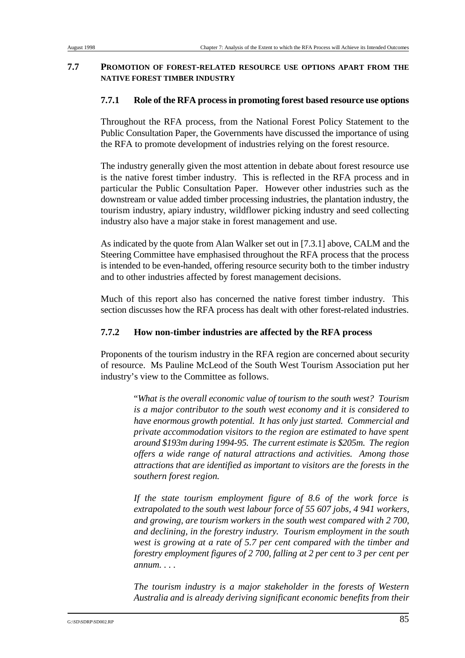### **7.7 PROMOTION OF FOREST-RELATED RESOURCE USE OPTIONS APART FROM THE NATIVE FOREST TIMBER INDUSTRY**

### **7.7.1 Role of the RFA process in promoting forest based resource use options**

Throughout the RFA process, from the National Forest Policy Statement to the Public Consultation Paper, the Governments have discussed the importance of using the RFA to promote development of industries relying on the forest resource.

The industry generally given the most attention in debate about forest resource use is the native forest timber industry. This is reflected in the RFA process and in particular the Public Consultation Paper. However other industries such as the downstream or value added timber processing industries, the plantation industry, the tourism industry, apiary industry, wildflower picking industry and seed collecting industry also have a major stake in forest management and use.

As indicated by the quote from Alan Walker set out in [7.3.1] above, CALM and the Steering Committee have emphasised throughout the RFA process that the process is intended to be even-handed, offering resource security both to the timber industry and to other industries affected by forest management decisions.

Much of this report also has concerned the native forest timber industry. This section discusses how the RFA process has dealt with other forest-related industries.

## **7.7.2 How non-timber industries are affected by the RFA process**

Proponents of the tourism industry in the RFA region are concerned about security of resource. Ms Pauline McLeod of the South West Tourism Association put her industry's view to the Committee as follows.

> "*What is the overall economic value of tourism to the south west? Tourism is a major contributor to the south west economy and it is considered to have enormous growth potential. It has only just started. Commercial and private accommodation visitors to the region are estimated to have spent around \$193m during 1994-95. The current estimate is \$205m. The region offers a wide range of natural attractions and activities. Among those attractions that are identified as important to visitors are the forests in the southern forest region.*

> *If the state tourism employment figure of 8.6 of the work force is extrapolated to the south west labour force of 55 607 jobs, 4 941 workers, and growing, are tourism workers in the south west compared with 2 700, and declining, in the forestry industry. Tourism employment in the south west is growing at a rate of 5.7 per cent compared with the timber and forestry employment figures of 2 700, falling at 2 per cent to 3 per cent per annum. . . .*

> *The tourism industry is a major stakeholder in the forests of Western Australia and is already deriving significant economic benefits from their*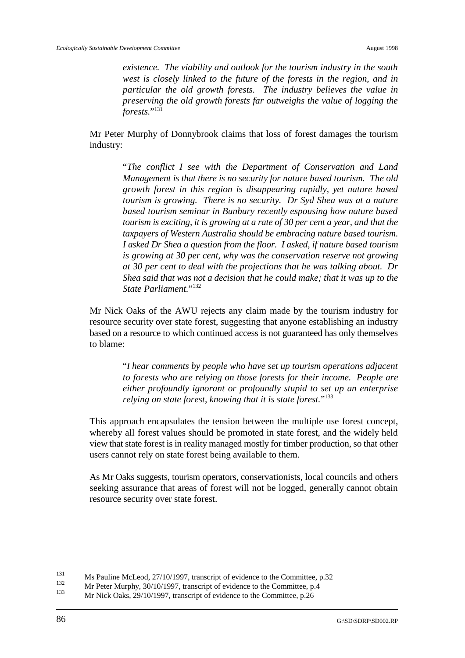*existence. The viability and outlook for the tourism industry in the south west is closely linked to the future of the forests in the region, and in particular the old growth forests. The industry believes the value in preserving the old growth forests far outweighs the value of logging the forests.*"<sup>131</sup>

Mr Peter Murphy of Donnybrook claims that loss of forest damages the tourism industry:

> "*The conflict I see with the Department of Conservation and Land Management is that there is no security for nature based tourism. The old growth forest in this region is disappearing rapidly, yet nature based tourism is growing. There is no security. Dr Syd Shea was at a nature based tourism seminar in Bunbury recently espousing how nature based tourism is exciting, it is growing at a rate of 30 per cent a year, and that the taxpayers of Western Australia should be embracing nature based tourism. I asked Dr Shea a question from the floor. I asked, if nature based tourism is growing at 30 per cent, why was the conservation reserve not growing at 30 per cent to deal with the projections that he was talking about. Dr Shea said that was not a decision that he could make; that it was up to the State Parliament*<sup>"</sup>

Mr Nick Oaks of the AWU rejects any claim made by the tourism industry for resource security over state forest, suggesting that anyone establishing an industry based on a resource to which continued access is not guaranteed has only themselves to blame:

> "*I hear comments by people who have set up tourism operations adjacent to forests who are relying on those forests for their income. People are either profoundly ignorant or profoundly stupid to set up an enterprise relying on state forest, knowing that it is state forest.*"133

 This approach encapsulates the tension between the multiple use forest concept, whereby all forest values should be promoted in state forest, and the widely held view that state forest is in reality managed mostly for timber production, so that other users cannot rely on state forest being available to them.

As Mr Oaks suggests, tourism operators, conservationists, local councils and others seeking assurance that areas of forest will not be logged, generally cannot obtain resource security over state forest.

 $M_s$  Pauline McLeod, 27/10/1997, transcript of evidence to the Committee, p.32<br>132 Mg Peter Mumber 20/10/1997, transcript of suidance to the Committee on A

 $Mr$  Peter Murphy, 30/10/1997, transcript of evidence to the Committee, p.4  $133$ 

Mr Nick Oaks, 29/10/1997, transcript of evidence to the Committee, p.26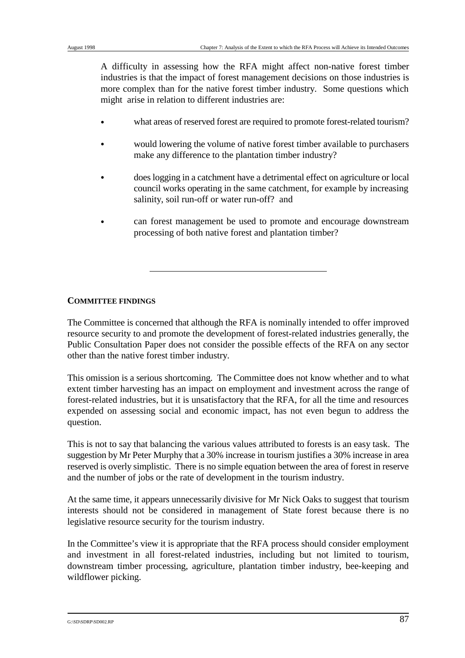A difficulty in assessing how the RFA might affect non-native forest timber industries is that the impact of forest management decisions on those industries is more complex than for the native forest timber industry. Some questions which might arise in relation to different industries are:

- what areas of reserved forest are required to promote forest-related tourism?
- would lowering the volume of native forest timber available to purchasers make any difference to the plantation timber industry?
- & does logging in a catchment have a detrimental effect on agriculture or local council works operating in the same catchment, for example by increasing salinity, soil run-off or water run-off? and
- & can forest management be used to promote and encourage downstream processing of both native forest and plantation timber?

### **COMMITTEE FINDINGS**

The Committee is concerned that although the RFA is nominally intended to offer improved resource security to and promote the development of forest-related industries generally, the Public Consultation Paper does not consider the possible effects of the RFA on any sector other than the native forest timber industry.

This omission is a serious shortcoming. The Committee does not know whether and to what extent timber harvesting has an impact on employment and investment across the range of forest-related industries, but it is unsatisfactory that the RFA, for all the time and resources expended on assessing social and economic impact, has not even begun to address the question.

This is not to say that balancing the various values attributed to forests is an easy task. The suggestion by Mr Peter Murphy that a 30% increase in tourism justifies a 30% increase in area reserved is overly simplistic. There is no simple equation between the area of forest in reserve and the number of jobs or the rate of development in the tourism industry.

At the same time, it appears unnecessarily divisive for Mr Nick Oaks to suggest that tourism interests should not be considered in management of State forest because there is no legislative resource security for the tourism industry.

In the Committee's view it is appropriate that the RFA process should consider employment and investment in all forest-related industries, including but not limited to tourism, downstream timber processing, agriculture, plantation timber industry, bee-keeping and wildflower picking.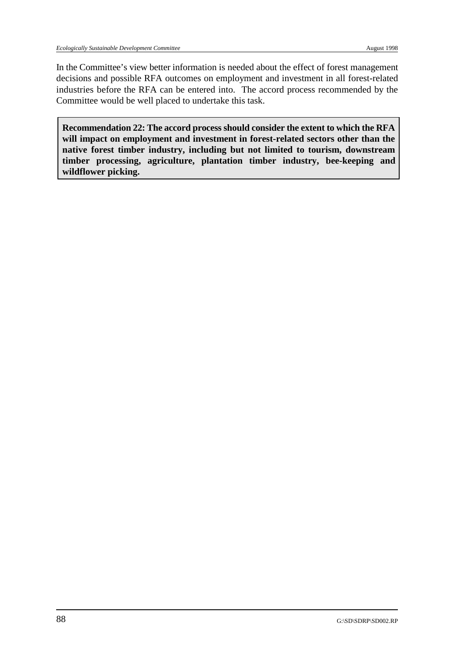In the Committee's view better information is needed about the effect of forest management decisions and possible RFA outcomes on employment and investment in all forest-related industries before the RFA can be entered into. The accord process recommended by the Committee would be well placed to undertake this task.

**Recommendation 22: The accord process should consider the extent to which the RFA will impact on employment and investment in forest-related sectors other than the native forest timber industry, including but not limited to tourism, downstream timber processing, agriculture, plantation timber industry, bee-keeping and wildflower picking.**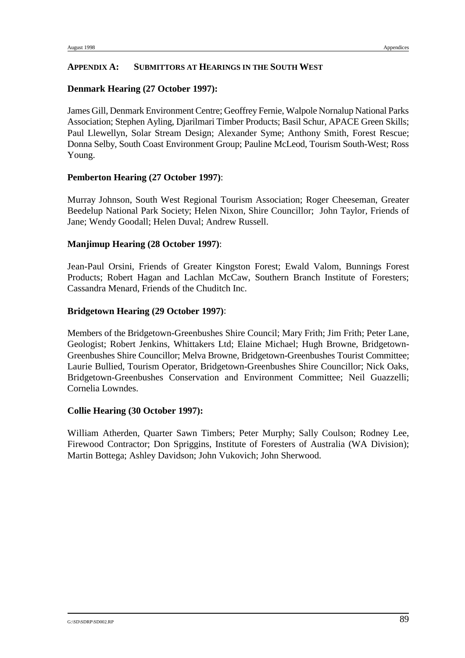#### **APPENDIX A: SUBMITTORS AT HEARINGS IN THE SOUTH WEST**

#### **Denmark Hearing (27 October 1997):**

James Gill, Denmark Environment Centre; Geoffrey Fernie, Walpole Nornalup National Parks Association; Stephen Ayling, Djarilmari Timber Products; Basil Schur, APACE Green Skills; Paul Llewellyn, Solar Stream Design; Alexander Syme; Anthony Smith, Forest Rescue; Donna Selby, South Coast Environment Group; Pauline McLeod, Tourism South-West; Ross Young.

### **Pemberton Hearing (27 October 1997)**:

Murray Johnson, South West Regional Tourism Association; Roger Cheeseman, Greater Beedelup National Park Society; Helen Nixon, Shire Councillor; John Taylor, Friends of Jane; Wendy Goodall; Helen Duval; Andrew Russell.

#### **Manjimup Hearing (28 October 1997)**:

Jean-Paul Orsini, Friends of Greater Kingston Forest; Ewald Valom, Bunnings Forest Products; Robert Hagan and Lachlan McCaw, Southern Branch Institute of Foresters; Cassandra Menard, Friends of the Chuditch Inc.

#### **Bridgetown Hearing (29 October 1997)**:

Members of the Bridgetown-Greenbushes Shire Council; Mary Frith; Jim Frith; Peter Lane, Geologist; Robert Jenkins, Whittakers Ltd; Elaine Michael; Hugh Browne, Bridgetown-Greenbushes Shire Councillor; Melva Browne, Bridgetown-Greenbushes Tourist Committee; Laurie Bullied, Tourism Operator, Bridgetown-Greenbushes Shire Councillor; Nick Oaks, Bridgetown-Greenbushes Conservation and Environment Committee; Neil Guazzelli; Cornelia Lowndes.

#### **Collie Hearing (30 October 1997):**

William Atherden, Quarter Sawn Timbers; Peter Murphy; Sally Coulson; Rodney Lee, Firewood Contractor; Don Spriggins, Institute of Foresters of Australia (WA Division); Martin Bottega; Ashley Davidson; John Vukovich; John Sherwood.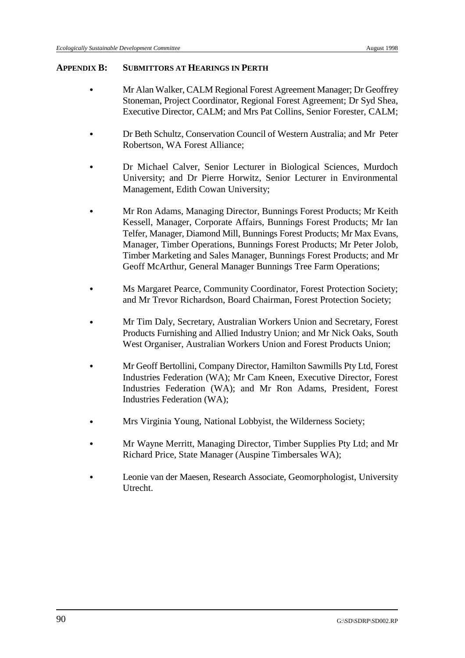#### **APPENDIX B: SUBMITTORS AT HEARINGS IN PERTH**

- & Mr Alan Walker, CALM Regional Forest Agreement Manager; Dr Geoffrey Stoneman, Project Coordinator, Regional Forest Agreement; Dr Syd Shea, Executive Director, CALM; and Mrs Pat Collins, Senior Forester, CALM;
- & Dr Beth Schultz, Conservation Council of Western Australia; and Mr Peter Robertson, WA Forest Alliance;
- Dr Michael Calver, Senior Lecturer in Biological Sciences, Murdoch University; and Dr Pierre Horwitz, Senior Lecturer in Environmental Management, Edith Cowan University;
- & Mr Ron Adams, Managing Director, Bunnings Forest Products; Mr Keith Kessell, Manager, Corporate Affairs, Bunnings Forest Products; Mr Ian Telfer, Manager, Diamond Mill, Bunnings Forest Products; Mr Max Evans, Manager, Timber Operations, Bunnings Forest Products; Mr Peter Jolob, Timber Marketing and Sales Manager, Bunnings Forest Products; and Mr Geoff McArthur, General Manager Bunnings Tree Farm Operations;
- Ms Margaret Pearce, Community Coordinator, Forest Protection Society; and Mr Trevor Richardson, Board Chairman, Forest Protection Society;
- & Mr Tim Daly, Secretary, Australian Workers Union and Secretary, Forest Products Furnishing and Allied Industry Union; and Mr Nick Oaks, South West Organiser, Australian Workers Union and Forest Products Union;
- & Mr Geoff Bertollini, Company Director, Hamilton Sawmills Pty Ltd, Forest Industries Federation (WA); Mr Cam Kneen, Executive Director, Forest Industries Federation (WA); and Mr Ron Adams, President, Forest Industries Federation (WA);
- & Mrs Virginia Young, National Lobbyist, the Wilderness Society;
- & Mr Wayne Merritt, Managing Director, Timber Supplies Pty Ltd; and Mr Richard Price, State Manager (Auspine Timbersales WA);
- & Leonie van der Maesen, Research Associate, Geomorphologist, University Utrecht.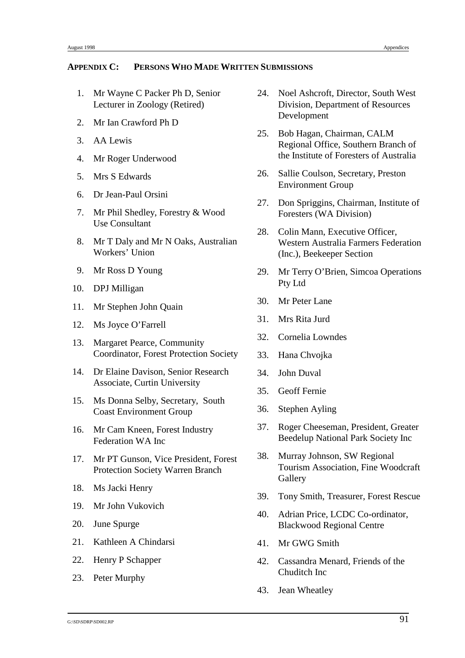#### **APPENDIX C: PERSONS WHO MADE WRITTEN SUBMISSIONS**

- 
- 2. Mr Ian Crawford Ph D
- 3. AA Lewis
- 4. Mr Roger Underwood
- 5. Mrs S Edwards
- 6. Dr Jean-Paul Orsini
- 7. Mr Phil Shedley, Forestry & Wood Use Consultant
- 8. Mr T Daly and Mr N Oaks, Australian Workers' Union
- 9. Mr Ross D Young
- 10. DPJ Milligan
- 11. Mr Stephen John Quain
- 12. Ms Joyce O'Farrell
- 13. Margaret Pearce, Community Coordinator, Forest Protection Society
- 14. Dr Elaine Davison, Senior Research Associate, Curtin University
- 15. Ms Donna Selby, Secretary, South Coast Environment Group
- 16. Mr Cam Kneen, Forest Industry Federation WA Inc
- 17. Mr PT Gunson, Vice President, Forest Protection Society Warren Branch
- 18. Ms Jacki Henry
- 19. Mr John Vukovich
- 20. June Spurge
- 21. Kathleen A Chindarsi
- 22. Henry P Schapper
- 23. Peter Murphy
- 1. Mr Wayne C Packer Ph D, Senior 24. Noel Ashcroft, Director, South West Lecturer in Zoology (Retired) Division, Department of Resources Development
	- 25. Bob Hagan, Chairman, CALM Regional Office, Southern Branch of the Institute of Foresters of Australia
	- 26. Sallie Coulson, Secretary, Preston Environment Group
	- 27. Don Spriggins, Chairman, Institute of Foresters (WA Division)
	- 28. Colin Mann, Executive Officer, Western Australia Farmers Federation (Inc.), Beekeeper Section
	- 29. Mr Terry O'Brien, Simcoa Operations Pty Ltd
	- 30. Mr Peter Lane
	- 31. Mrs Rita Jurd
	- 32. Cornelia Lowndes
	- 33. Hana Chvojka
	- 34. John Duval
	- 35. Geoff Fernie
	- 36. Stephen Ayling
	- 37. Roger Cheeseman, President, Greater Beedelup National Park Society Inc
	- 38. Murray Johnson, SW Regional Tourism Association, Fine Woodcraft **Gallery**
	- 39. Tony Smith, Treasurer, Forest Rescue
	- 40. Adrian Price, LCDC Co-ordinator, Blackwood Regional Centre
	- 41. Mr GWG Smith
	- 42. Cassandra Menard, Friends of the Chuditch Inc
	- 43. Jean Wheatley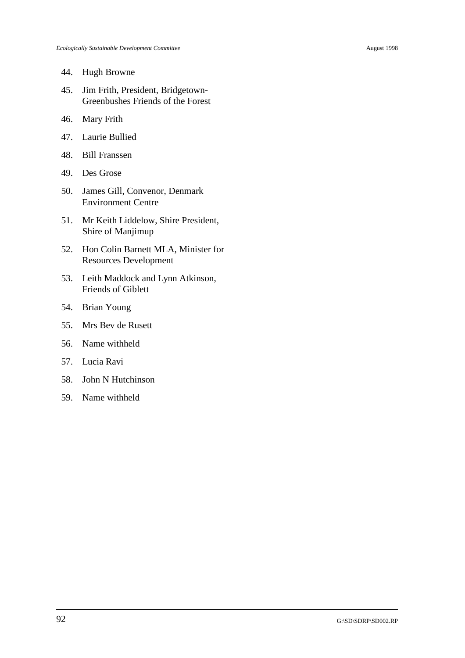- 44. Hugh Browne
- 45. Jim Frith, President, Bridgetown-Greenbushes Friends of the Forest
- 46. Mary Frith
- 47. Laurie Bullied
- 48. Bill Franssen
- 49. Des Grose
- 50. James Gill, Convenor, Denmark Environment Centre
- 51. Mr Keith Liddelow, Shire President, Shire of Manjimup
- 52. Hon Colin Barnett MLA, Minister for Resources Development
- 53. Leith Maddock and Lynn Atkinson, Friends of Giblett
- 54. Brian Young
- 55. Mrs Bev de Rusett
- 56. Name withheld
- 57. Lucia Ravi
- 58. John N Hutchinson
- 59. Name withheld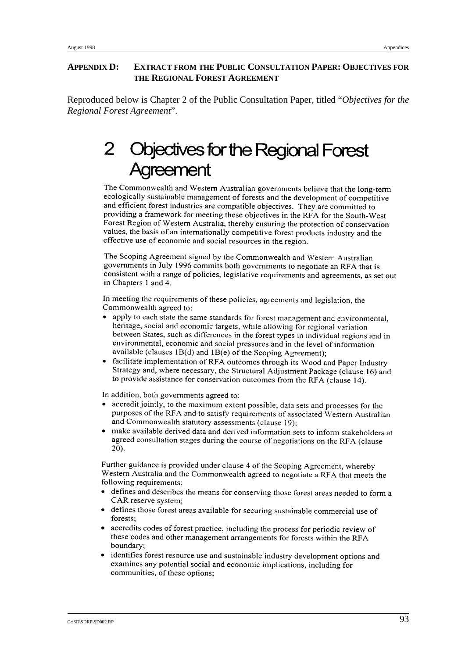#### **APPENDIX D: EXTRACT FROM THE PUBLIC CONSULTATION PAPER: OBJECTIVES FOR THE REGIONAL FOREST AGREEMENT**

Reproduced below is Chapter 2 of the Public Consultation Paper, titled "*Objectives for the Regional Forest Agreement*".

## 2 bjectives for the Regional Forest reement

The Commonwealth and Western Australian governments believe that the long-term ecologically sustainable management of forests and the development of competitive and efficient forest industries are compatible objectives. They are committed to providing a framework for meeting these objectives in the RFA for the South-West Forest Region of Western Australia, thereby ensuring the protection of conservation values, the basis of an internationally competitive forest products industry and the effective use of economic and social resources in the region.

The Scoping Agreement signed by the Commonwealth and Western Australian governments in July 1996 commits both governments to negotiate an RFA that is consistent with a range of policies, legislative requirements and agreements, as set out in Chapters 1 and 4.

In meeting the requirements of these policies, agreements and legislation, the Commonwealth agreed to:

- apply to each state the same standards for forest management and environmental, heritage, social and economic targets, while allowing for regional variation between States, such as differences in the forest types in individual regions and in environmental, economic and social pressures and in the level of information available (clauses 1B(d) and 1B(e) of the Scoping Agreement);
- facilitate implementation of RFA outcomes through its Wood and Paper Industry Strategy and, where necessary, the Structural Adjustment Package (clause 16) and to provide assistance for conservation outcomes from the RFA (clause 14).

In addition, both governments agreed to:

- accredit jointly, to the maximum extent possible, data sets and processes for the purposes of the RFA and to satisfy requirements of associated Western Australian and Commonwealth statutory assessments (clause 19);
- make available derived data and derived information sets to inform stakeholders at agreed consultation stages during the course of negotiations on the RFA (clause 20).

Further guidance is provided under clause 4 of the Scoping Agreement, whereby Western Australia and the Commonwealth agreed to negotiate a RFA that meets the following requirements:

- defines and describes the means for conserving those forest areas needed to form a CAR reserve system;
- defines those forest areas available for securing sustainable commercial use of forests:
- accredits codes of forest practice, including the process for periodic review of these codes and other management arrangements for forests within the RFA boundary;
- identifies forest resource use and sustainable industry development options and examines any potential social and economic implications, including for communities, of these options;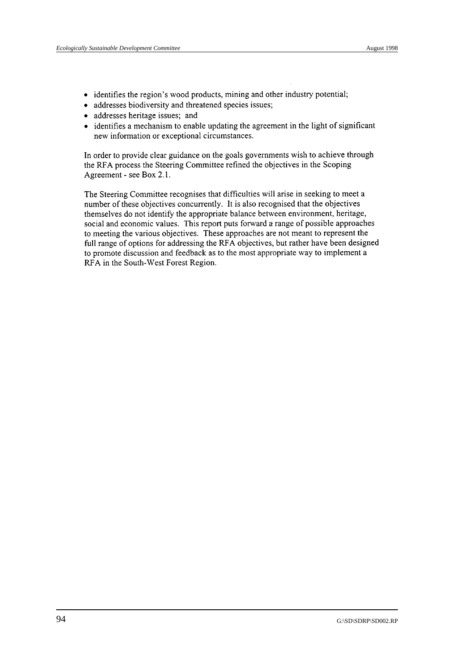- identifies the region's wood products, mining and other industry potential;
- addresses biodiversity and threatened species issues;
- addresses heritage issues; and
- identifies a mechanism to enable updating the agreement in the light of significant new information or exceptional circumstances.

In order to provide clear guidance on the goals governments wish to achieve through the RFA process the Steering Committee refined the objectives in the Scoping Agreement - see Box 2.1.

The Steering Committee recognises that difficulties will arise in seeking to meet a number of these objectives concurrently. It is also recognised that the objectives themselves do not identify the appropriate balance between environment, heritage, social and economic values. This report puts forward a range of possible approaches to meeting the various objectives. These approaches are not meant to represent the full range of options for addressing the RFA objectives, but rather have been designed to promote discussion and feedback as to the most appropriate way to implement a RFA in the South-West Forest Region.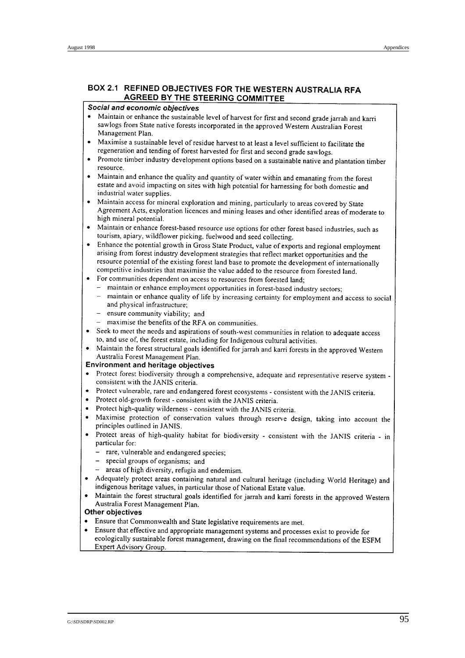#### BOX 2.1 REFINED OBJECTIVES FOR THE WESTERN AUSTRALIA RFA **AGREED BY THE STEERING COMMITTEE**

#### Social and economic objectives

- Maintain or enhance the sustainable level of harvest for first and second grade jarrah and karri sawlogs from State native forests incorporated in the approved Western Australian Forest Management Plan.
- Maximise a sustainable level of residue harvest to at least a level sufficient to facilitate the regeneration and tending of forest harvested for first and second grade sawlogs.
- Promote timber industry development options based on a sustainable native and plantation timber resource.
- Maintain and enhance the quality and quantity of water within and emanating from the forest estate and avoid impacting on sites with high potential for harnessing for both domestic and industrial water supplies.
- Maintain access for mineral exploration and mining, particularly to areas covered by State Agreement Acts, exploration licences and mining leases and other identified areas of moderate to high mineral potential.
- Maintain or enhance forest-based resource use options for other forest based industries, such as tourism, apiary, wildflower picking, fuelwood and seed collecting.
- Enhance the potential growth in Gross State Product, value of exports and regional employment arising from forest industry development strategies that reflect market opportunities and the resource potential of the existing forest land base to promote the development of internationally competitive industries that maximise the value added to the resource from forested land.
- For communities dependent on access to resources from forested land:
	- maintain or enhance employment opportunities in forest-based industry sectors;
	- maintain or enhance quality of life by increasing certainty for employment and access to social and physical infrastructure;
	- $-$  ensure community viability: and
	- $-$  maximise the benefits of the RFA on communities.
- Seek to meet the needs and aspirations of south-west communities in relation to adequate access to, and use of, the forest estate, including for Indigenous cultural activities.
- Maintain the forest structural goals identified for jarrah and karri forests in the approved Western Australia Forest Management Plan.

#### **Environment and heritage objectives**

- Protect forest biodiversity through a comprehensive, adequate and representative reserve system consistent with the JANIS criteria.
- Protect vulnerable, rare and endangered forest ecosystems consistent with the JANIS criteria.
- Protect old-growth forest consistent with the JANIS criteria.  $\bullet$
- Protect high-quality wilderness consistent with the JANIS criteria.  $\bullet$
- Maximise protection of conservation values through reserve design, taking into account the  $\bullet$ principles outlined in JANIS.
- Protect areas of high-quality habitat for biodiversity consistent with the JANIS criteria in  $\bullet$ particular for:
	- rare, vulnerable and endangered species;
		- special groups of organisms; and
	- areas of high diversity, refugia and endemism.
- Adequately protect areas containing natural and cultural heritage (including World Heritage) and indigenous heritage values, in particular those of National Estate value.
- Maintain the forest structural goals identified for jarrah and karri forests in the approved Western  $\bullet$ Australia Forest Management Plan.

#### Other objectives

- Ensure that Commonwealth and State legislative requirements are met.  $\bullet$
- $\bullet$ Ensure that effective and appropriate management systems and processes exist to provide for ecologically sustainable forest management, drawing on the final recommendations of the ESFM Expert Advisory Group.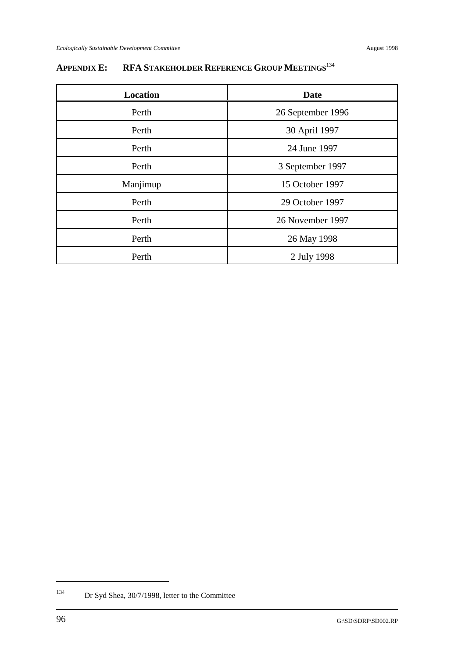# **APPENDIX E: RFA STAKEHOLDER REFERENCE GROUP MEETINGS**<sup>134</sup>

| Location | <b>Date</b>       |
|----------|-------------------|
| Perth    | 26 September 1996 |
| Perth    | 30 April 1997     |
| Perth    | 24 June 1997      |
| Perth    | 3 September 1997  |
| Manjimup | 15 October 1997   |
| Perth    | 29 October 1997   |
| Perth    | 26 November 1997  |
| Perth    | 26 May 1998       |
| Perth    | 2 July 1998       |

 $134$  Dr Syd Shea, 30/7/1998, letter to the Committee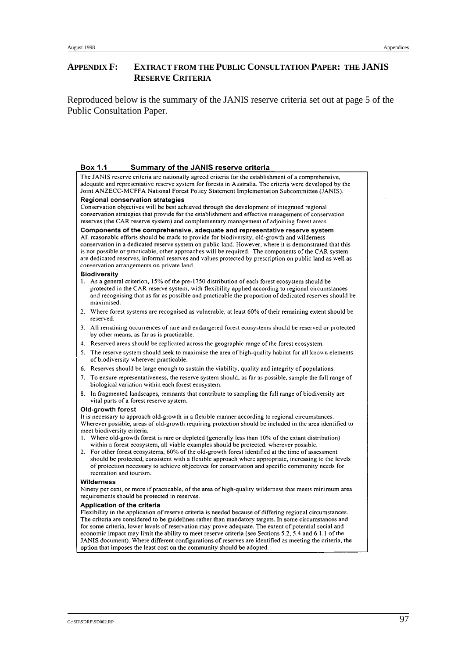#### **APPENDIX F: EXTRACT FROM THE PUBLIC CONSULTATION PAPER: THE JANIS RESERVE CRITERIA**

Reproduced below is the summary of the JANIS reserve criteria set out at page 5 of the Public Consultation Paper.

#### Box 1.1 Summary of the JANIS reserve criteria

The JANIS reserve criteria are nationally agreed criteria for the establishment of a comprehensive, adequate and representative reserve system for forests in Australia. The criteria were developed by the Joint ANZECC-MCFFA National Forest Policy Statement Implementation Subcommittee (JANIS). Regional conservation strategies

Conservation objectives will be best achieved through the development of integrated regional conservation strategies that provide for the establishment and effective management of conservation reserves (the CAR reserve system) and complementary management of adjoining forest areas.

#### Components of the comprehensive, adequate and representative reserve system All reasonable efforts should be made to provide for biodiversity, old-growth and wilderness conservation in a dedicated reserve system on public land. However, where it is demonstrated that this is not possible or practicable, other approaches will be required. The components of the CAR system

are dedicated reserves, informal reserves and values protected by prescription on public land as well as conservation arrangements on private land.

#### **Biodiversity**

- 1. As a general criterion, 15% of the pre-1750 distribution of each forest ecosystem should be protected in the CAR reserve system, with flexibility applied according to regional circumstances and recognising that as far as possible and practicable the proportion of dedicated reserves should be maximised.
- 2. Where forest systems are recognised as vulnerable, at least 60% of their remaining extent should be reserved.
- 3. All remaining occurrences of rare and endangered forest ecosystems should be reserved or protected by other means, as far as is practicable.
- 4. Reserved areas should be replicated across the geographic range of the forest ecosystem.
- 5. The reserve system should seek to maximise the area of high-quality habitat for all known elements of biodiversity wherever practicable.
- 6. Reserves should be large enough to sustain the viability, quality and integrity of populations.
- To ensure representativeness, the reserve system should, as far as possible, sample the full range of biological variation within each forest ecosystem.
- 8. In fragmented landscapes, remnants that contribute to sampling the full range of biodiversity are vital parts of a forest reserve system.

#### Old-growth forest

It is necessary to approach old-growth in a flexible manner according to regional circumstances. Wherever possible, areas of old-growth requiring protection should be included in the area identified to meet biodiversity criteria.

- Where old-growth forest is rare or depleted (generally less than 10% of the extant distribution)  $\mathbf{1}$ . within a forest ecosystem, all viable examples should be protected, wherever possible.
- 2. For other forest ecosystems, 60% of the old-growth forest identified at the time of assessment should be protected, consistent with a flexible approach where appropriate, increasing to the levels of protection necessary to achieve objectives for conservation and specific community needs for recreation and tourism.

#### **Wilderness**

Ninety per cent, or more if practicable, of the area of high-quality wilderness that meets minimum area requirements should be protected in reserves.

#### Application of the criteria

Flexibility in the application of reserve criteria is needed because of differing regional circumstances. The criteria are considered to be guidelines rather than mandatory targets. In some circumstances and for some criteria, lower levels of reservation may prove adequate. The extent of potential social and economic impact may limit the ability to meet reserve criteria (see Sections 5.2, 5.4 and 6.1.1 of the JANIS document). Where different configurations of reserves are identified as meeting the criteria, the option that imposes the least cost on the community should be adopted.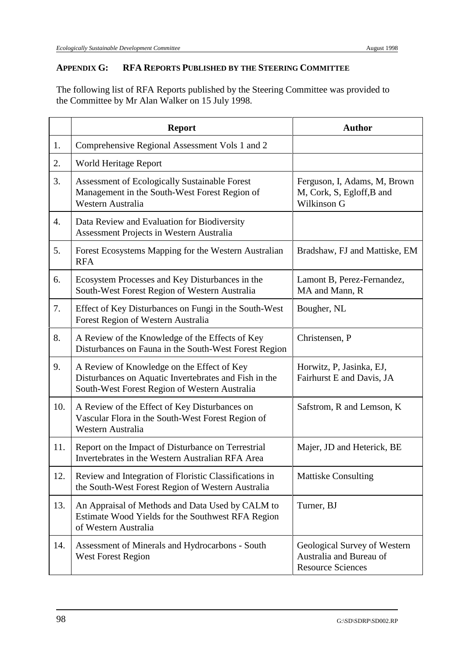### **APPENDIX G: RFA REPORTS PUBLISHED BY THE STEERING COMMITTEE**

The following list of RFA Reports published by the Steering Committee was provided to the Committee by Mr Alan Walker on 15 July 1998.

|     | <b>Report</b>                                                                                                                                        | <b>Author</b>                                                                       |
|-----|------------------------------------------------------------------------------------------------------------------------------------------------------|-------------------------------------------------------------------------------------|
| 1.  | Comprehensive Regional Assessment Vols 1 and 2                                                                                                       |                                                                                     |
| 2.  | World Heritage Report                                                                                                                                |                                                                                     |
| 3.  | Assessment of Ecologically Sustainable Forest<br>Management in the South-West Forest Region of<br>Western Australia                                  | Ferguson, I, Adams, M, Brown<br>M, Cork, S, Egloff, B and<br>Wilkinson G            |
| 4.  | Data Review and Evaluation for Biodiversity<br>Assessment Projects in Western Australia                                                              |                                                                                     |
| 5.  | Forest Ecosystems Mapping for the Western Australian<br><b>RFA</b>                                                                                   | Bradshaw, FJ and Mattiske, EM                                                       |
| 6.  | Ecosystem Processes and Key Disturbances in the<br>South-West Forest Region of Western Australia                                                     | Lamont B, Perez-Fernandez,<br>MA and Mann, R                                        |
| 7.  | Effect of Key Disturbances on Fungi in the South-West<br>Forest Region of Western Australia                                                          | Bougher, NL                                                                         |
| 8.  | A Review of the Knowledge of the Effects of Key<br>Disturbances on Fauna in the South-West Forest Region                                             | Christensen, P                                                                      |
| 9.  | A Review of Knowledge on the Effect of Key<br>Disturbances on Aquatic Invertebrates and Fish in the<br>South-West Forest Region of Western Australia | Horwitz, P, Jasinka, EJ,<br>Fairhurst E and Davis, JA                               |
| 10. | A Review of the Effect of Key Disturbances on<br>Vascular Flora in the South-West Forest Region of<br>Western Australia                              | Safstrom, R and Lemson, K                                                           |
| 11. | Report on the Impact of Disturbance on Terrestrial<br>Invertebrates in the Western Australian RFA Area                                               | Majer, JD and Heterick, BE                                                          |
| 12. | Review and Integration of Floristic Classifications in<br>the South-West Forest Region of Western Australia                                          | <b>Mattiske Consulting</b>                                                          |
| 13. | An Appraisal of Methods and Data Used by CALM to<br>Estimate Wood Yields for the Southwest RFA Region<br>of Western Australia                        | Turner, BJ                                                                          |
| 14. | Assessment of Minerals and Hydrocarbons - South<br><b>West Forest Region</b>                                                                         | Geological Survey of Western<br>Australia and Bureau of<br><b>Resource Sciences</b> |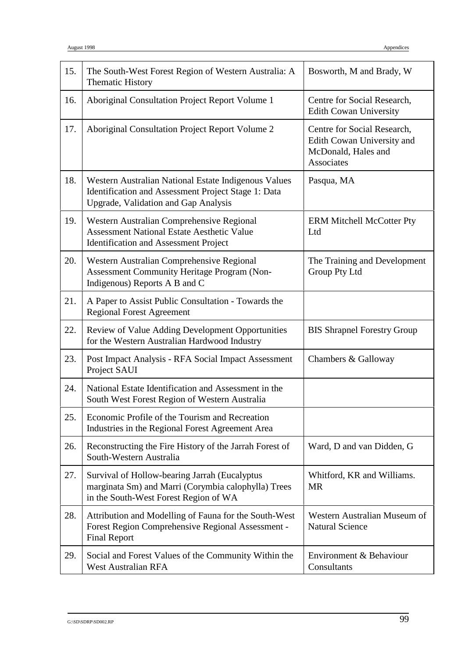| 15. | The South-West Forest Region of Western Australia: A<br><b>Thematic History</b>                                                                     | Bosworth, M and Brady, W                                                                              |
|-----|-----------------------------------------------------------------------------------------------------------------------------------------------------|-------------------------------------------------------------------------------------------------------|
| 16. | Aboriginal Consultation Project Report Volume 1                                                                                                     | Centre for Social Research,<br><b>Edith Cowan University</b>                                          |
| 17. | Aboriginal Consultation Project Report Volume 2                                                                                                     | Centre for Social Research,<br>Edith Cowan University and<br>McDonald, Hales and<br><b>Associates</b> |
| 18. | Western Australian National Estate Indigenous Values<br>Identification and Assessment Project Stage 1: Data<br>Upgrade, Validation and Gap Analysis | Pasqua, MA                                                                                            |
| 19. | Western Australian Comprehensive Regional<br><b>Assessment National Estate Aesthetic Value</b><br><b>Identification and Assessment Project</b>      | <b>ERM Mitchell McCotter Pty</b><br>Ltd                                                               |
| 20. | Western Australian Comprehensive Regional<br><b>Assessment Community Heritage Program (Non-</b><br>Indigenous) Reports A B and C                    | The Training and Development<br><b>Group Pty Ltd</b>                                                  |
| 21. | A Paper to Assist Public Consultation - Towards the<br><b>Regional Forest Agreement</b>                                                             |                                                                                                       |
| 22. | Review of Value Adding Development Opportunities<br>for the Western Australian Hardwood Industry                                                    | <b>BIS Shrapnel Forestry Group</b>                                                                    |
| 23. | Post Impact Analysis - RFA Social Impact Assessment<br>Project SAUI                                                                                 | Chambers & Galloway                                                                                   |
| 24. | National Estate Identification and Assessment in the<br>South West Forest Region of Western Australia                                               |                                                                                                       |
| 25. | Economic Profile of the Tourism and Recreation<br>Industries in the Regional Forest Agreement Area                                                  |                                                                                                       |
| 26. | Reconstructing the Fire History of the Jarrah Forest of<br>South-Western Australia                                                                  | Ward, D and van Didden, G                                                                             |
| 27. | Survival of Hollow-bearing Jarrah (Eucalyptus<br>marginata Sm) and Marri (Corymbia calophylla) Trees<br>in the South-West Forest Region of WA       | Whitford, KR and Williams.<br><b>MR</b>                                                               |
| 28. | Attribution and Modelling of Fauna for the South-West<br>Forest Region Comprehensive Regional Assessment -<br><b>Final Report</b>                   | Western Australian Museum of<br><b>Natural Science</b>                                                |
| 29. | Social and Forest Values of the Community Within the<br><b>West Australian RFA</b>                                                                  | Environment & Behaviour<br>Consultants                                                                |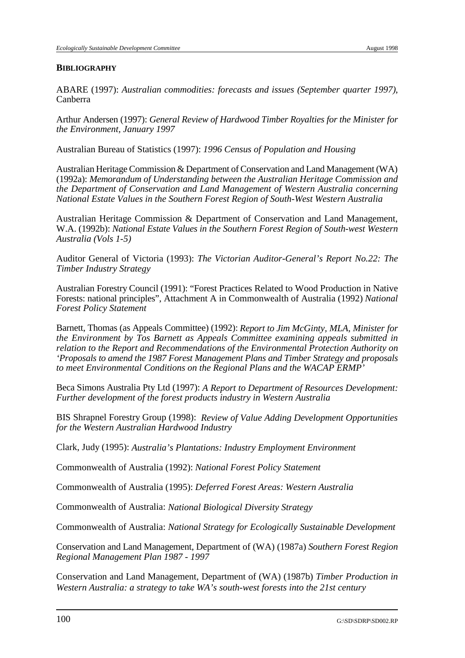#### **BIBLIOGRAPHY**

ABARE (1997): *Australian commodities: forecasts and issues (September quarter 1997)*, Canberra

Arthur Andersen (1997): *General Review of Hardwood Timber Royalties for the Minister for the Environment, January 1997*

Australian Bureau of Statistics (1997): *1996 Census of Population and Housing*

Australian Heritage Commission & Department of Conservation and Land Management (WA) (1992a): *Memorandum of Understanding between the Australian Heritage Commission and the Department of Conservation and Land Management of Western Australia concerning National Estate Values in the Southern Forest Region of South-West Western Australia*

Australian Heritage Commission & Department of Conservation and Land Management, W.A. (1992b): *National Estate Values in the Southern Forest Region of South-west Western Australia (Vols 1-5)*

Auditor General of Victoria (1993): *The Victorian Auditor-General's Report No.22: The Timber Industry Strategy*

Australian Forestry Council (1991): "Forest Practices Related to Wood Production in Native Forests: national principles", Attachment A in Commonwealth of Australia (1992) *National Forest Policy Statement*

Barnett, Thomas (as Appeals Committee) (1992): *Report to Jim McGinty, MLA, Minister for the Environment by Tos Barnett as Appeals Committee examining appeals submitted in relation to the Report and Recommendations of the Environmental Protection Authority on 'Proposals to amend the 1987 Forest Management Plans and Timber Strategy and proposals to meet Environmental Conditions on the Regional Plans and the WACAP ERMP'*

Beca Simons Australia Pty Ltd (1997): *A Report to Department of Resources Development: Further development of the forest products industry in Western Australia*

BIS Shrapnel Forestry Group (1998): *Review of Value Adding Development Opportunities for the Western Australian Hardwood Industry*

Clark, Judy (1995): *Australia's Plantations: Industry Employment Environment*

Commonwealth of Australia (1992): *National Forest Policy Statement*

Commonwealth of Australia (1995): *Deferred Forest Areas: Western Australia*

Commonwealth of Australia: *National Biological Diversity Strategy*

Commonwealth of Australia: *National Strategy for Ecologically Sustainable Development*

Conservation and Land Management, Department of (WA) (1987a) *Southern Forest Region Regional Management Plan 1987 - 1997*

Conservation and Land Management, Department of (WA) (1987b) *Timber Production in Western Australia: a strategy to take WA's south-west forests into the 21st century*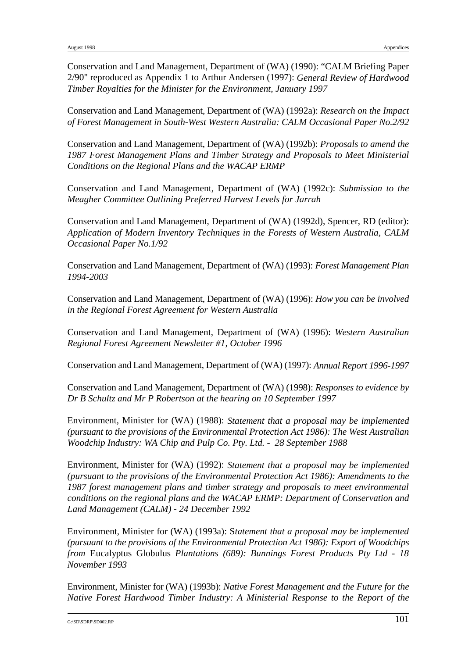Conservation and Land Management, Department of (WA) (1990): "CALM Briefing Paper 2/90" reproduced as Appendix 1 to Arthur Andersen (1997): *General Review of Hardwood Timber Royalties for the Minister for the Environment, January 1997*

Conservation and Land Management, Department of (WA) (1992a): *Research on the Impact of Forest Management in South-West Western Australia: CALM Occasional Paper No.2/92*

Conservation and Land Management, Department of (WA) (1992b): *Proposals to amend the 1987 Forest Management Plans and Timber Strategy and Proposals to Meet Ministerial Conditions on the Regional Plans and the WACAP ERMP*

Conservation and Land Management, Department of (WA) (1992c): *Submission to the Meagher Committee Outlining Preferred Harvest Levels for Jarrah*

Conservation and Land Management, Department of (WA) (1992d), Spencer, RD (editor): *Application of Modern Inventory Techniques in the Forests of Western Australia, CALM Occasional Paper No.1/92*

Conservation and Land Management, Department of (WA) (1993): *Forest Management Plan 1994-2003*

Conservation and Land Management, Department of (WA) (1996): *How you can be involved in the Regional Forest Agreement for Western Australia*

Conservation and Land Management, Department of (WA) (1996): *Western Australian Regional Forest Agreement Newsletter #1, October 1996*

Conservation and Land Management, Department of (WA) (1997): *Annual Report 1996-1997*

Conservation and Land Management, Department of (WA) (1998): *Responses to evidence by Dr B Schultz and Mr P Robertson at the hearing on 10 September 1997*

Environment, Minister for (WA) (1988): *Statement that a proposal may be implemented (pursuant to the provisions of the Environmental Protection Act 1986): The West Australian Woodchip Industry: WA Chip and Pulp Co. Pty. Ltd. - 28 September 1988* 

Environment, Minister for (WA) (1992): *Statement that a proposal may be implemented (pursuant to the provisions of the Environmental Protection Act 1986): Amendments to the 1987 forest management plans and timber strategy and proposals to meet environmental conditions on the regional plans and the WACAP ERMP: Department of Conservation and Land Management (CALM) - 24 December 1992*

Environment, Minister for (WA) (1993a): S*tatement that a proposal may be implemented (pursuant to the provisions of the Environmental Protection Act 1986): Export of Woodchips from* Eucalyptus Globulus *Plantations (689): Bunnings Forest Products Pty Ltd - 18 November 1993* 

Environment, Minister for (WA) (1993b): *Native Forest Management and the Future for the Native Forest Hardwood Timber Industry: A Ministerial Response to the Report of the*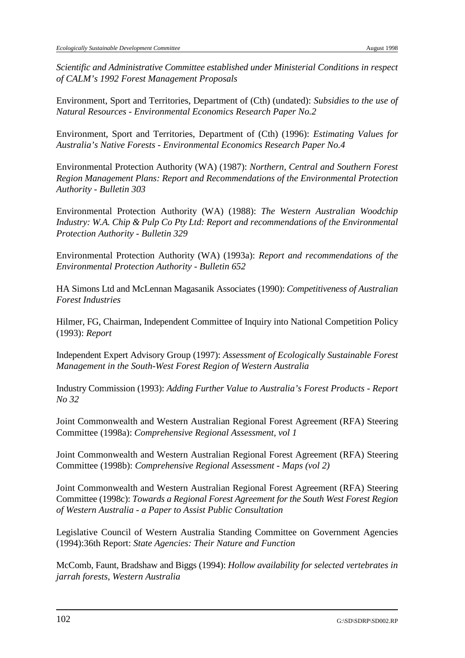*Scientific and Administrative Committee established under Ministerial Conditions in respect of CALM's 1992 Forest Management Proposals*

Environment, Sport and Territories, Department of (Cth) (undated): *Subsidies to the use of Natural Resources - Environmental Economics Research Paper No.2*

Environment, Sport and Territories, Department of (Cth) (1996): *Estimating Values for Australia's Native Forests - Environmental Economics Research Paper No.4* 

Environmental Protection Authority (WA) (1987): *Northern, Central and Southern Forest Region Management Plans: Report and Recommendations of the Environmental Protection Authority - Bulletin 303*

Environmental Protection Authority (WA) (1988): *The Western Australian Woodchip Industry: W.A. Chip & Pulp Co Pty Ltd: Report and recommendations of the Environmental Protection Authority - Bulletin 329*

Environmental Protection Authority (WA) (1993a): *Report and recommendations of the Environmental Protection Authority - Bulletin 652* 

HA Simons Ltd and McLennan Magasanik Associates (1990): *Competitiveness of Australian Forest Industries*

Hilmer, FG, Chairman, Independent Committee of Inquiry into National Competition Policy (1993): *Report*

Independent Expert Advisory Group (1997): *Assessment of Ecologically Sustainable Forest Management in the South-West Forest Region of Western Australia* 

Industry Commission (1993): *Adding Further Value to Australia's Forest Products - Report No 32*

Joint Commonwealth and Western Australian Regional Forest Agreement (RFA) Steering Committee (1998a): *Comprehensive Regional Assessment, vol 1*

Joint Commonwealth and Western Australian Regional Forest Agreement (RFA) Steering Committee (1998b): *Comprehensive Regional Assessment - Maps (vol 2)*

Joint Commonwealth and Western Australian Regional Forest Agreement (RFA) Steering Committee (1998c): *Towards a Regional Forest Agreement for the South West Forest Region of Western Australia - a Paper to Assist Public Consultation*

Legislative Council of Western Australia Standing Committee on Government Agencies (1994):36th Report: *State Agencies: Their Nature and Function*

McComb, Faunt, Bradshaw and Biggs (1994): *Hollow availability for selected vertebrates in jarrah forests, Western Australia*